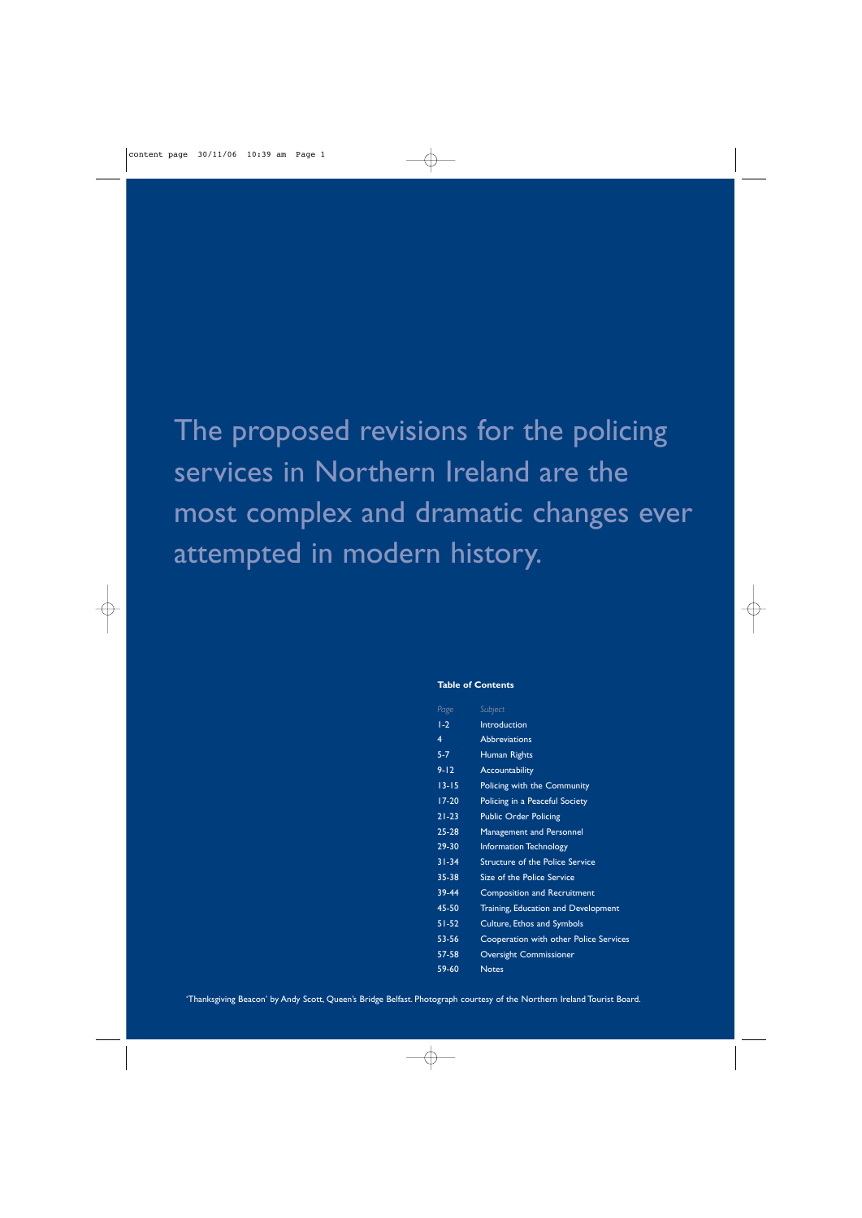# The proposed revisions for the policing services in Northern Ireland are the most complex and dramatic changes ever attempted in modern history.

# **Table of Contents**

| Page             | Subject                                |
|------------------|----------------------------------------|
| $\overline{1-2}$ | Introduction                           |
| 4                | <b>Abbreviations</b>                   |
| $5 - 7$          | Human Rights                           |
| $9 - 12$         | Accountability                         |
| 13-15            | Policing with the Community            |
| $17-20$          | Policing in a Peaceful Society         |
| $21 - 23$        | <b>Public Order Policing</b>           |
| $25 - 28$        | <b>Management and Personnel</b>        |
| 29-30            | <b>Information Technology</b>          |
| $31 - 34$        | <b>Structure of the Police Service</b> |
| 35-38            | Size of the Police Service             |
| $39 - 44$        | <b>Composition and Recruitment</b>     |
| 45-50            | Training, Education and Development    |
| $51 - 52$        | Culture, Ethos and Symbols             |
| 53-56            | Cooperation with other Police Services |
| 57-58            | <b>Oversight Commissioner</b>          |
| 59-60            | Notes                                  |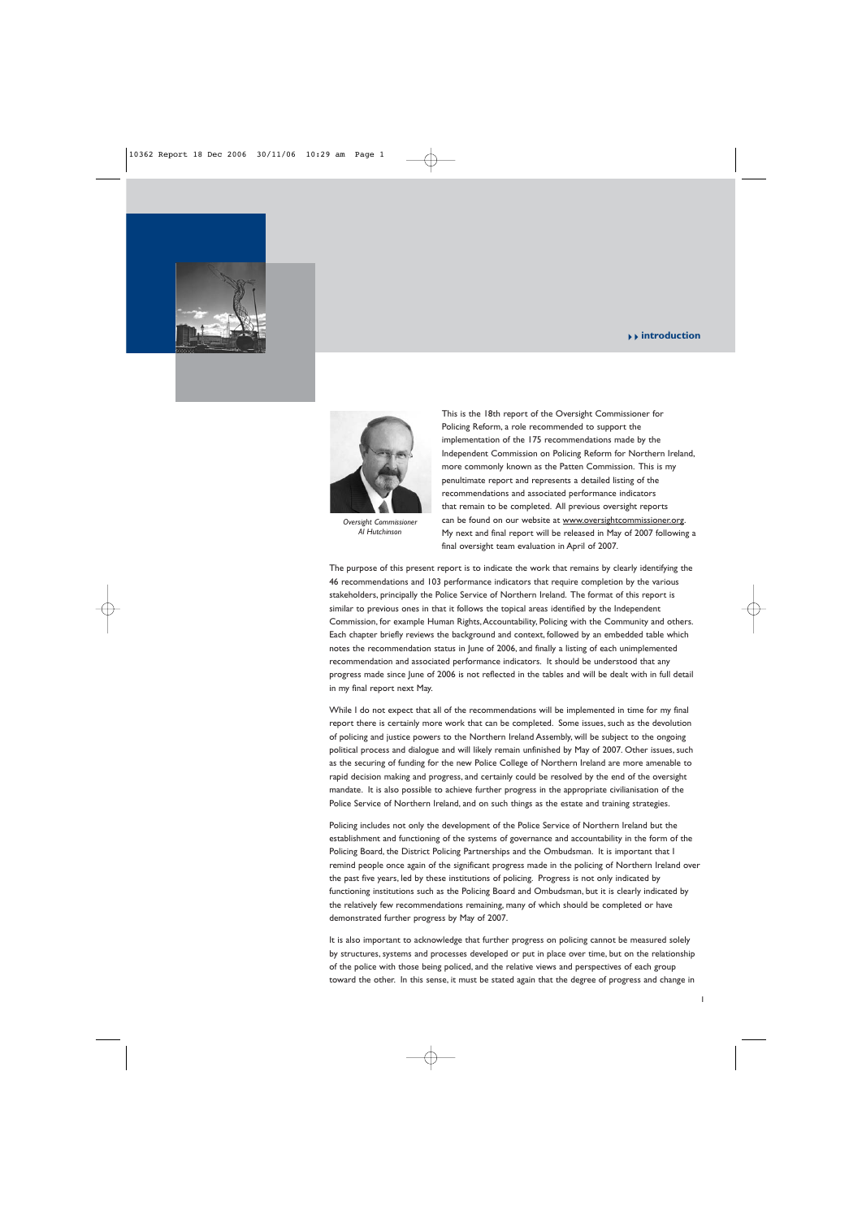# --**introduction**



*Oversight Commissioner Al Hutchinson*

This is the 18th report of the Oversight Commissioner for Policing Reform, a role recommended to support the implementation of the 175 recommendations made by the Independent Commission on Policing Reform for Northern Ireland, more commonly known as the Patten Commission. This is my penultimate report and represents a detailed listing of the recommendations and associated performance indicators that remain to be completed. All previous oversight reports can be found on our website at www.oversightcommissioner.org. My next and final report will be released in May of 2007 following a final oversight team evaluation in April of 2007.

The purpose of this present report is to indicate the work that remains by clearly identifying the 46 recommendations and 103 performance indicators that require completion by the various stakeholders, principally the Police Service of Northern Ireland. The format of this report is similar to previous ones in that it follows the topical areas identified by the Independent Commission, for example Human Rights,Accountability, Policing with the Community and others. Each chapter briefly reviews the background and context, followed by an embedded table which notes the recommendation status in lune of 2006, and finally a listing of each unimplemented recommendation and associated performance indicators. It should be understood that any progress made since June of 2006 is not reflected in the tables and will be dealt with in full detail in my final report next May.

While I do not expect that all of the recommendations will be implemented in time for my final report there is certainly more work that can be completed. Some issues, such as the devolution of policing and justice powers to the Northern Ireland Assembly, will be subject to the ongoing political process and dialogue and will likely remain unfinished by May of 2007. Other issues, such as the securing of funding for the new Police College of Northern Ireland are more amenable to rapid decision making and progress, and certainly could be resolved by the end of the oversight mandate. It is also possible to achieve further progress in the appropriate civilianisation of the Police Service of Northern Ireland, and on such things as the estate and training strategies.

Policing includes not only the development of the Police Service of Northern Ireland but the establishment and functioning of the systems of governance and accountability in the form of the Policing Board, the District Policing Partnerships and the Ombudsman. It is important that I remind people once again of the significant progress made in the policing of Northern Ireland over the past five years, led by these institutions of policing. Progress is not only indicated by functioning institutions such as the Policing Board and Ombudsman, but it is clearly indicated by the relatively few recommendations remaining, many of which should be completed or have demonstrated further progress by May of 2007.

It is also important to acknowledge that further progress on policing cannot be measured solely by structures, systems and processes developed or put in place over time, but on the relationship of the police with those being policed, and the relative views and perspectives of each group toward the other. In this sense, it must be stated again that the degree of progress and change in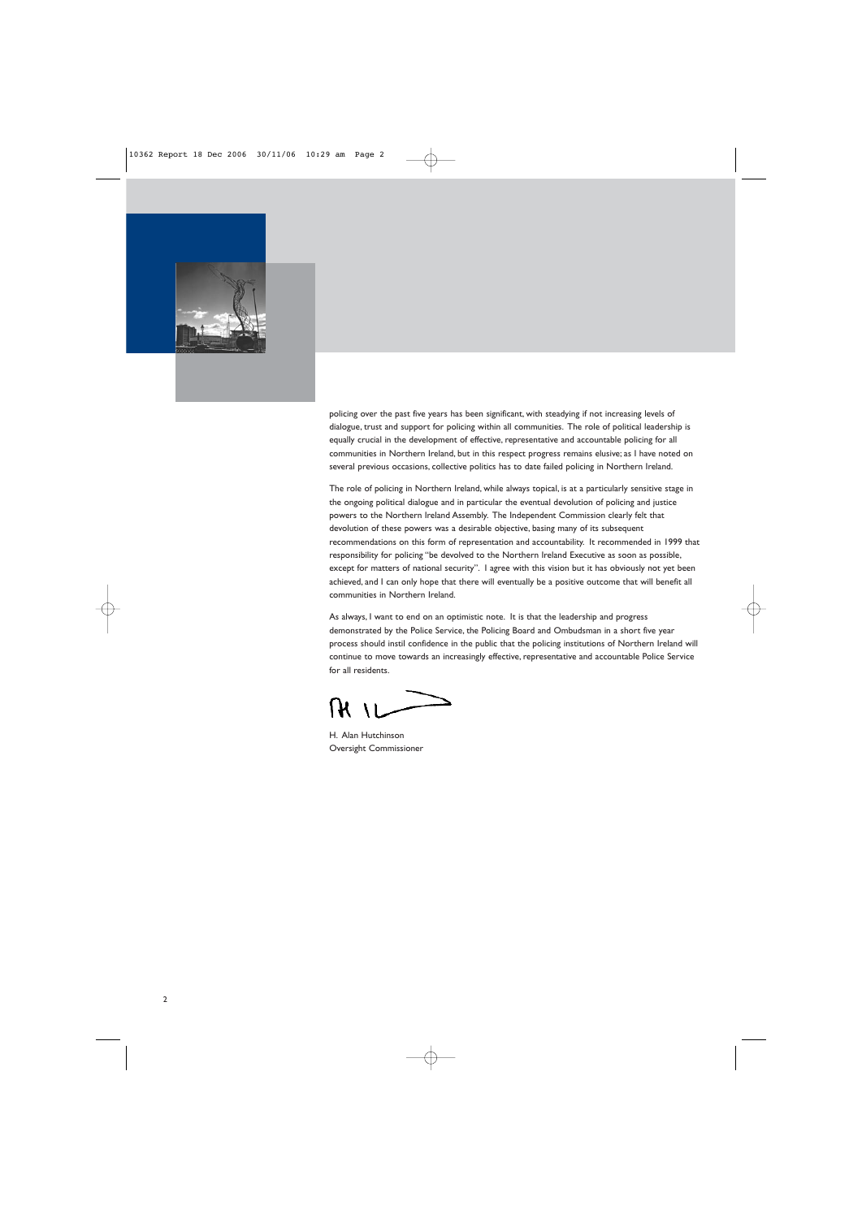

policing over the past five years has been significant, with steadying if not increasing levels of dialogue, trust and support for policing within all communities. The role of political leadership is equally crucial in the development of effective, representative and accountable policing for all communities in Northern Ireland, but in this respect progress remains elusive; as I have noted on several previous occasions, collective politics has to date failed policing in Northern Ireland.

The role of policing in Northern Ireland, while always topical, is at a particularly sensitive stage in the ongoing political dialogue and in particular the eventual devolution of policing and justice powers to the Northern Ireland Assembly. The Independent Commission clearly felt that devolution of these powers was a desirable objective, basing many of its subsequent recommendations on this form of representation and accountability. It recommended in 1999 that responsibility for policing "be devolved to the Northern Ireland Executive as soon as possible, except for matters of national security". I agree with this vision but it has obviously not yet been achieved, and I can only hope that there will eventually be a positive outcome that will benefit all communities in Northern Ireland.

As always, I want to end on an optimistic note. It is that the leadership and progress demonstrated by the Police Service, the Policing Board and Ombudsman in a short five year process should instil confidence in the public that the policing institutions of Northern Ireland will continue to move towards an increasingly effective, representative and accountable Police Service for all residents.

H. Alan Hutchinson Oversight Commissioner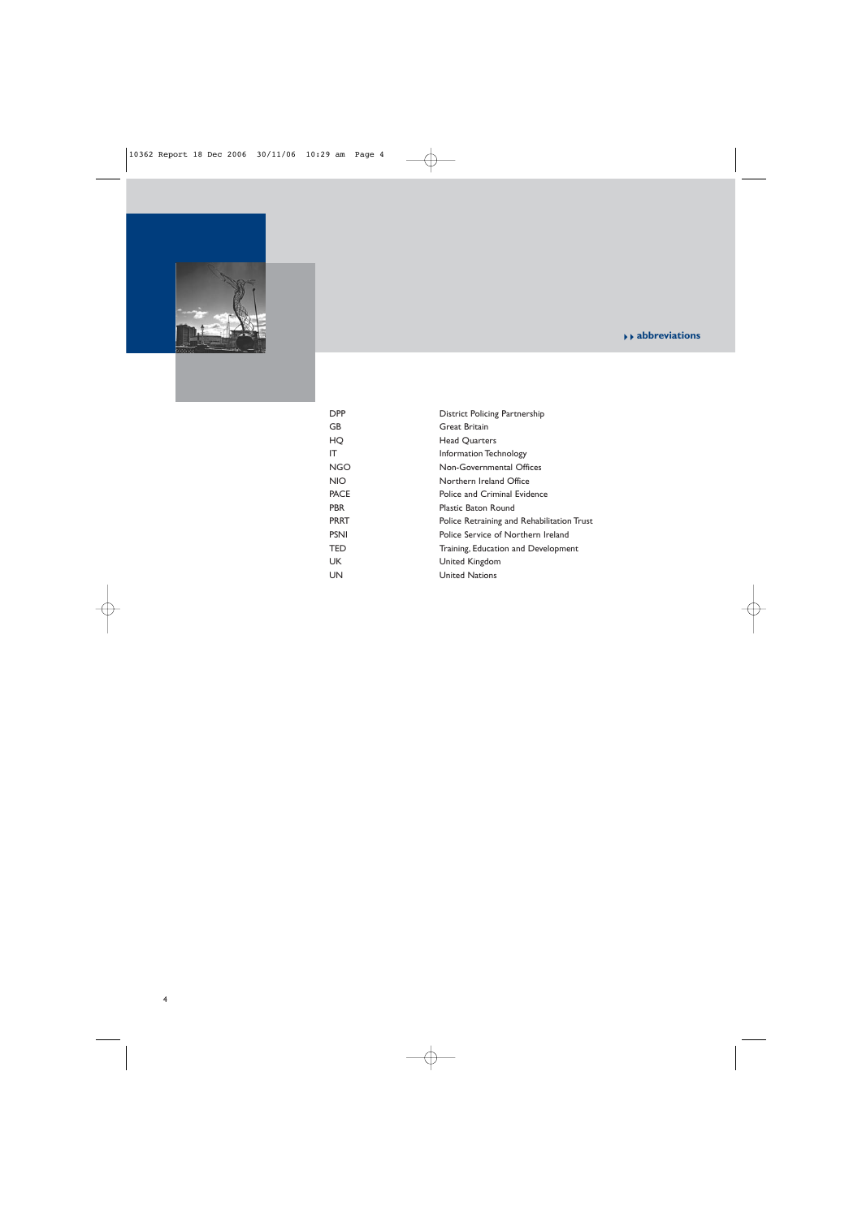# --**abbreviations**



| DPP         | <b>District Policing Partnership</b>       |
|-------------|--------------------------------------------|
| GB.         | Great Britain                              |
| HQ          | <b>Head Ouarters</b>                       |
| IΤ          | Information Technology                     |
| <b>NGO</b>  | Non-Governmental Offices                   |
| NIO.        | Northern Ireland Office                    |
| <b>PACE</b> | Police and Criminal Evidence               |
| <b>PBR</b>  | Plastic Baton Round                        |
| <b>PRRT</b> | Police Retraining and Rehabilitation Trust |
| <b>PSNI</b> | Police Service of Northern Ireland         |
| TED         | Training, Education and Development        |
| UK          | United Kingdom                             |
| UN          | <b>United Nations</b>                      |
|             |                                            |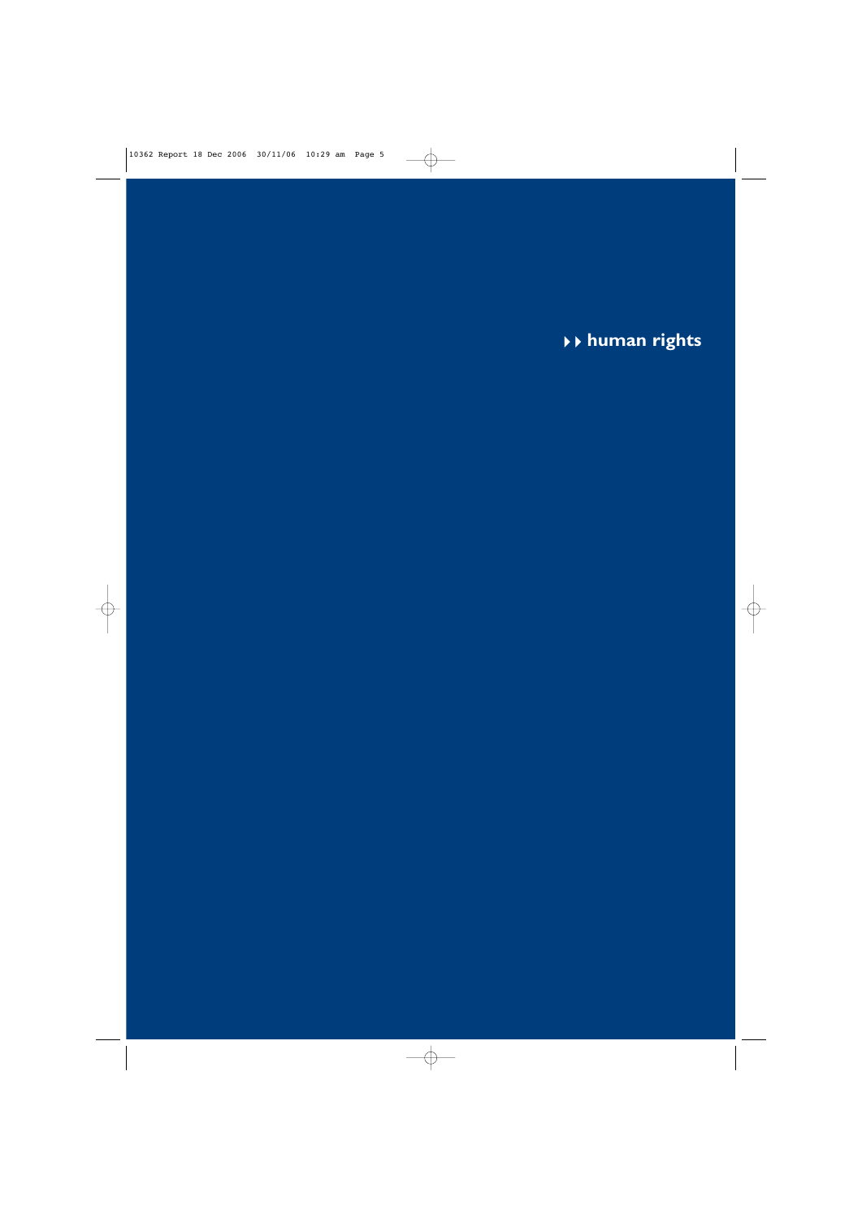--**human rights**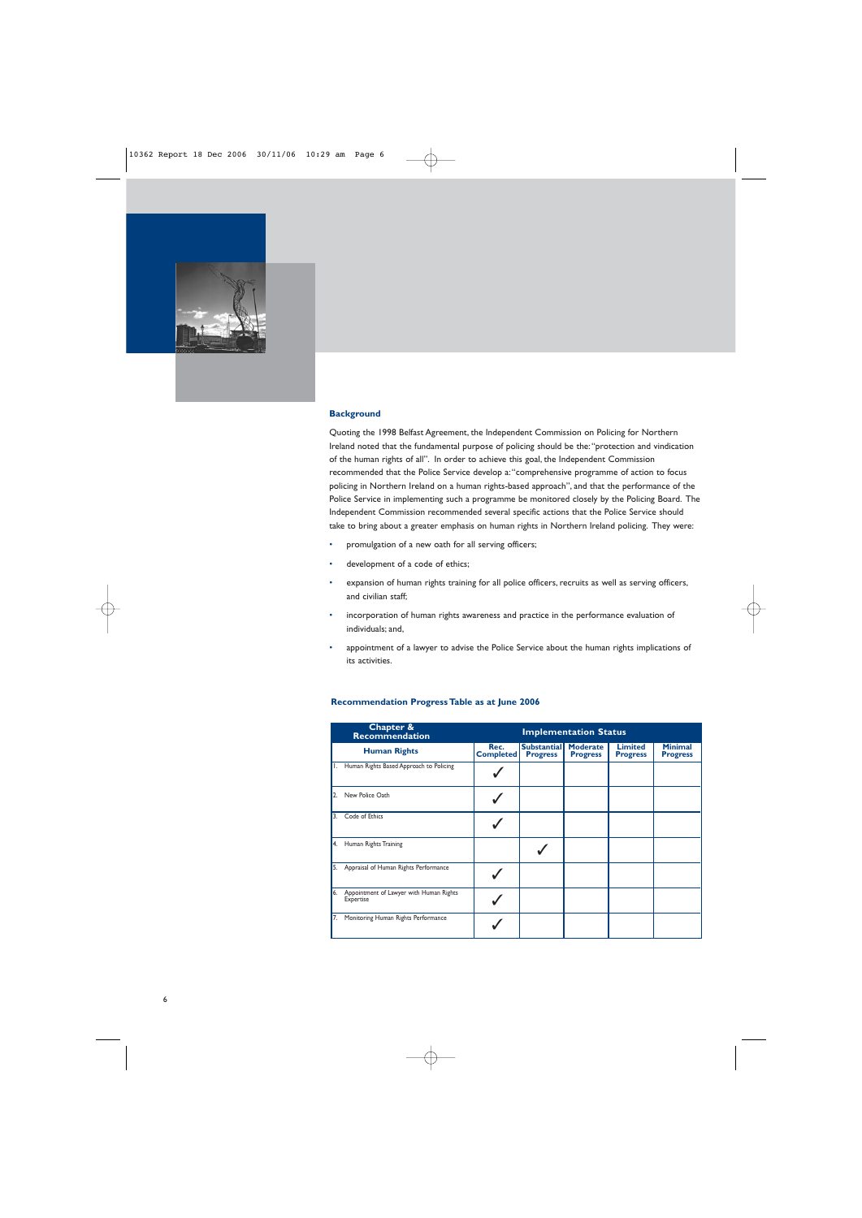

Quoting the 1998 Belfast Agreement, the Independent Commission on Policing for Northern Ireland noted that the fundamental purpose of policing should be the:"protection and vindication of the human rights of all". In order to achieve this goal, the Independent Commission recommended that the Police Service develop a:"comprehensive programme of action to focus policing in Northern Ireland on a human rights-based approach", and that the performance of the Police Service in implementing such a programme be monitored closely by the Policing Board. The Independent Commission recommended several specific actions that the Police Service should take to bring about a greater emphasis on human rights in Northern Ireland policing. They were:

- promulgation of a new oath for all serving officers;
- development of a code of ethics;
- expansion of human rights training for all police officers, recruits as well as serving officers, and civilian staff;
- incorporation of human rights awareness and practice in the performance evaluation of individuals; and,
- appointment of a lawyer to advise the Police Service about the human rights implications of its activities.

| Chapter &<br><b>Recommendation</b>                      | <b>Implementation Status</b> |                                       |                                    |                                   |                                   |
|---------------------------------------------------------|------------------------------|---------------------------------------|------------------------------------|-----------------------------------|-----------------------------------|
| <b>Human Rights</b>                                     | Rec.<br><b>Completed</b>     | <b>Substantial</b><br><b>Progress</b> | <b>Moderate</b><br><b>Progress</b> | <b>Limited</b><br><b>Progress</b> | <b>Minimal</b><br><b>Progress</b> |
| 1. Human Rights Based Approach to Policing              |                              |                                       |                                    |                                   |                                   |
| 2. New Police Oath                                      |                              |                                       |                                    |                                   |                                   |
| 3. Code of Ethics                                       |                              |                                       |                                    |                                   |                                   |
| 4. Human Rights Training                                |                              |                                       |                                    |                                   |                                   |
| 5. Appraisal of Human Rights Performance                |                              |                                       |                                    |                                   |                                   |
| 6. Appointment of Lawyer with Human Rights<br>Expertise |                              |                                       |                                    |                                   |                                   |
| 7. Monitoring Human Rights Performance                  |                              |                                       |                                    |                                   |                                   |

# **Recommendation Progress Table as at June 2006**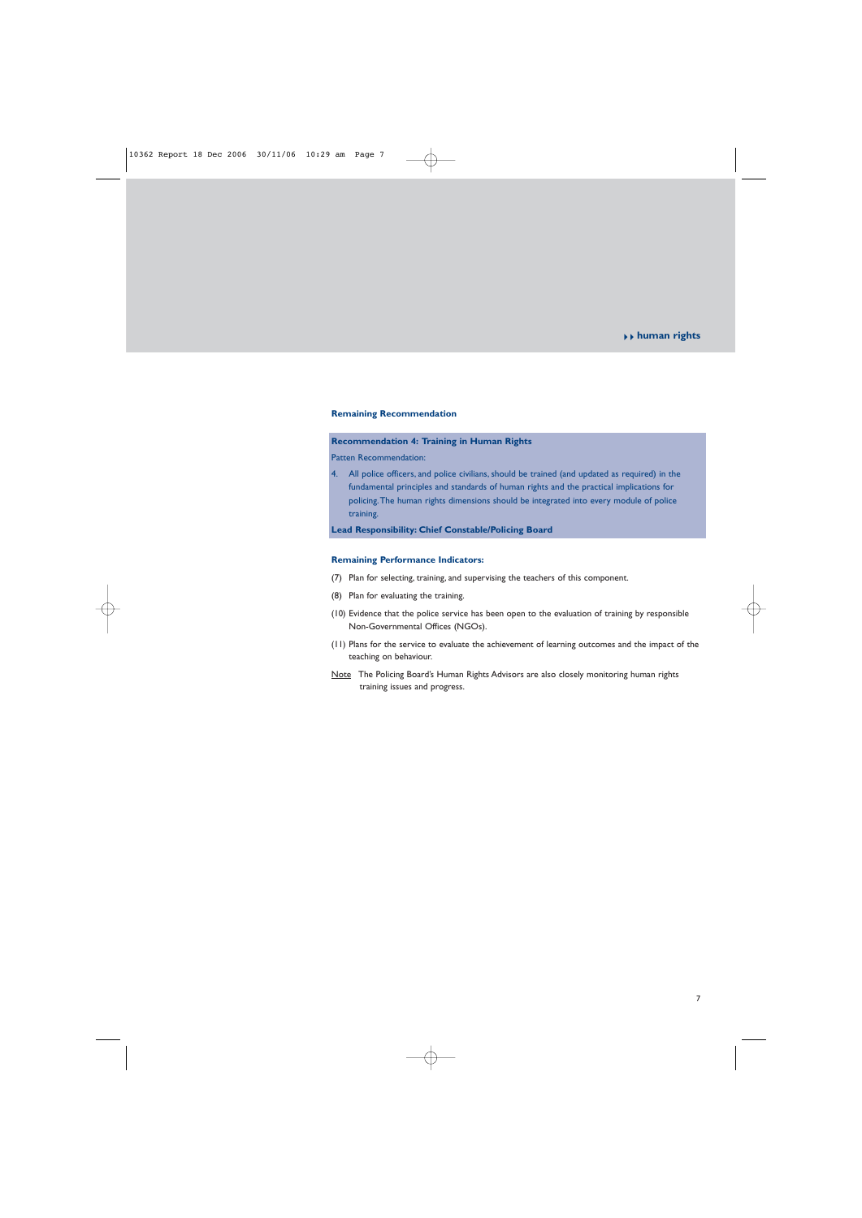## **Remaining Recommendation**

## **Recommendation 4: Training in Human Rights**

Patten Recommendation:

4. All police officers, and police civilians, should be trained (and updated as required) in the fundamental principles and standards of human rights and the practical implications for policing.The human rights dimensions should be integrated into every module of police training.

**Lead Responsibility: Chief Constable/Policing Board**

- (7) Plan for selecting, training, and supervising the teachers of this component.
- (8) Plan for evaluating the training.
- (10) Evidence that the police service has been open to the evaluation of training by responsible Non-Governmental Offices (NGOs).
- (11) Plans for the service to evaluate the achievement of learning outcomes and the impact of the teaching on behaviour.
- Note The Policing Board's Human Rights Advisors are also closely monitoring human rights training issues and progress.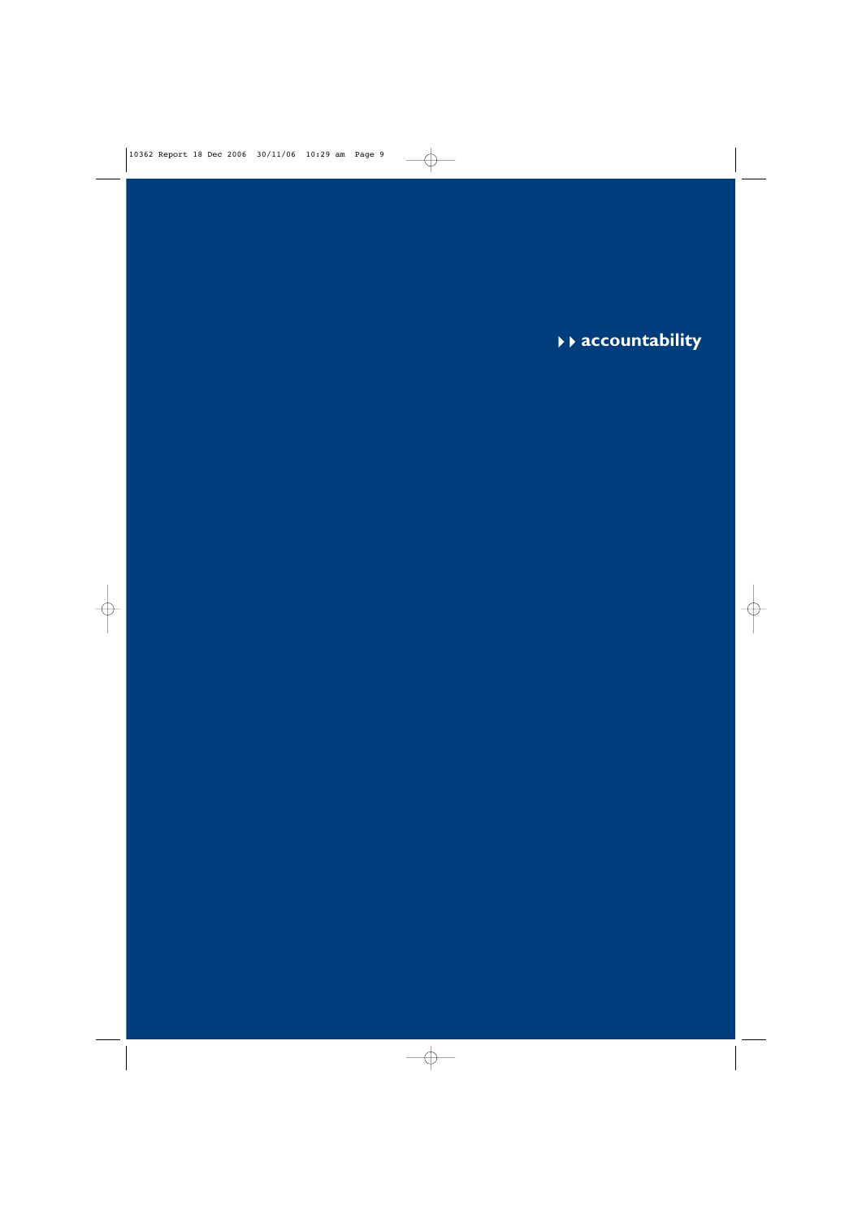--**accountability**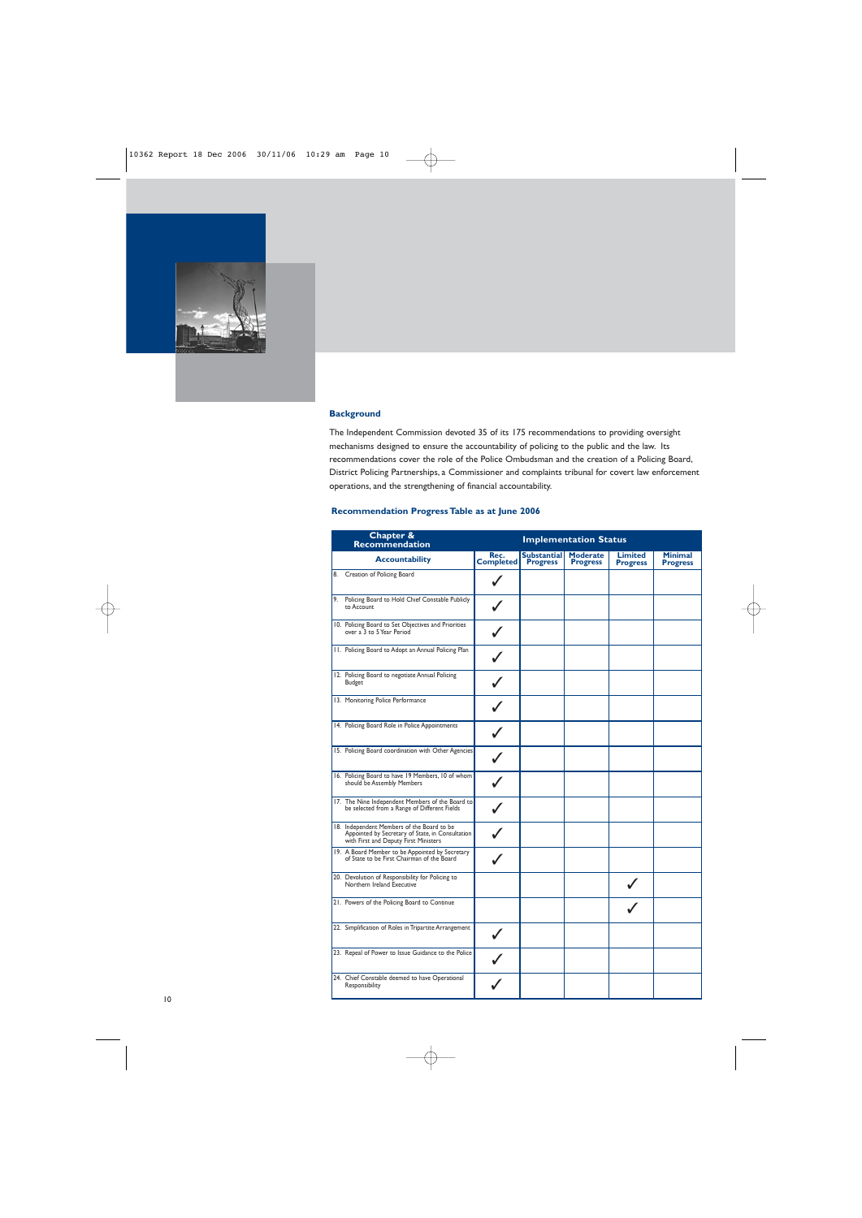

The Independent Commission devoted 35 of its 175 recommendations to providing oversight mechanisms designed to ensure the accountability of policing to the public and the law. Its recommendations cover the role of the Police Ombudsman and the creation of a Policing Board, District Policing Partnerships, a Commissioner and complaints tribunal for covert law enforcement operations, and the strengthening of financial accountability.

# **Recommendation Progress Table as at June 2006**

| Chapter &<br><b>Recommendation</b>                                                                                                      | <b>Implementation Status</b> |                                       |                                    |                            |                                   |
|-----------------------------------------------------------------------------------------------------------------------------------------|------------------------------|---------------------------------------|------------------------------------|----------------------------|-----------------------------------|
| <b>Accountability</b>                                                                                                                   | Rec.<br><b>Completed</b>     | <b>Substantial</b><br><b>Progress</b> | <b>Moderate</b><br><b>Progress</b> | Limited<br><b>Progress</b> | <b>Minimal</b><br><b>Progress</b> |
| 8. Creation of Policing Board                                                                                                           |                              |                                       |                                    |                            |                                   |
| 9. Policing Board to Hold Chief Constable Publicly<br>to Account                                                                        |                              |                                       |                                    |                            |                                   |
| 10. Policing Board to Set Objectives and Priorities<br>over a 3 to 5 Year Period                                                        |                              |                                       |                                    |                            |                                   |
| 11. Policing Board to Adopt an Annual Policing Plan                                                                                     |                              |                                       |                                    |                            |                                   |
| 12. Policing Board to negotiate Annual Policing<br>Budget                                                                               |                              |                                       |                                    |                            |                                   |
| 13. Monitoring Police Performance                                                                                                       |                              |                                       |                                    |                            |                                   |
| 14. Policing Board Role in Police Appointments                                                                                          |                              |                                       |                                    |                            |                                   |
| 15. Policing Board coordination with Other Agencies                                                                                     |                              |                                       |                                    |                            |                                   |
| 16. Policing Board to have 19 Members, 10 of whom<br>should be Assembly Members                                                         |                              |                                       |                                    |                            |                                   |
| 17. The Nine Independent Members of the Board to<br>be selected from a Range of Different Fields                                        |                              |                                       |                                    |                            |                                   |
| 18. Independent Members of the Board to be<br>Appointed by Secretary of State, in Consultation<br>with First and Deputy First Ministers |                              |                                       |                                    |                            |                                   |
| 19. A Board Member to be Appointed by Secretary<br>of State to be First Chairman of the Board                                           |                              |                                       |                                    |                            |                                   |
| 20. Devolution of Responsibility for Policing to<br>Northern Ireland Executive                                                          |                              |                                       |                                    |                            |                                   |
| 21. Powers of the Policing Board to Continue                                                                                            |                              |                                       |                                    |                            |                                   |
| 22. Simplification of Roles in Tripartite Arrangement                                                                                   |                              |                                       |                                    |                            |                                   |
| 23. Repeal of Power to Issue Guidance to the Police                                                                                     |                              |                                       |                                    |                            |                                   |
| 24. Chief Constable deemed to have Operational<br>Responsibility                                                                        |                              |                                       |                                    |                            |                                   |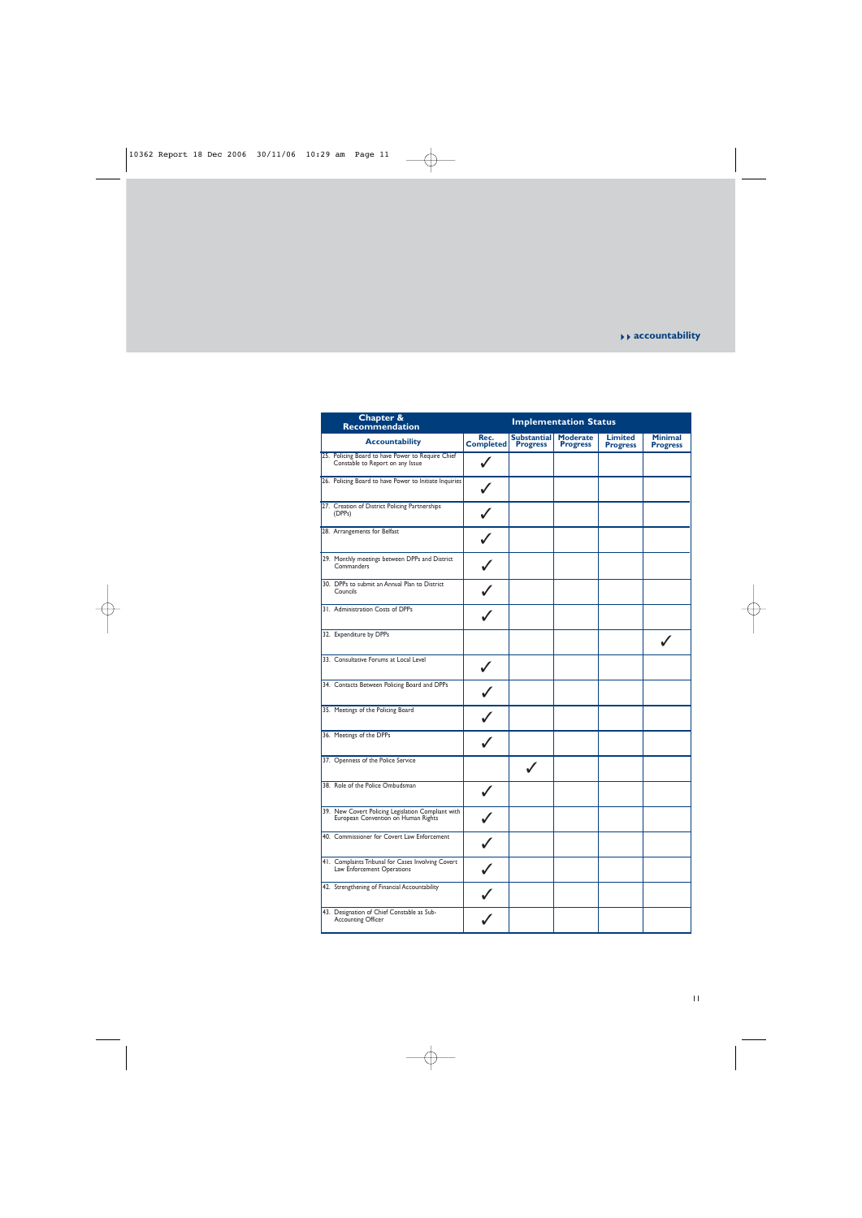# --**accountability**

| Chapter &<br><b>Recommendation</b>                                                        |                   | <b>Implementation Status</b>          |                                    |                                   |                                   |
|-------------------------------------------------------------------------------------------|-------------------|---------------------------------------|------------------------------------|-----------------------------------|-----------------------------------|
| <b>Accountability</b>                                                                     | Rec.<br>Completed | <b>Substantial</b><br><b>Progress</b> | <b>Moderate</b><br><b>Progress</b> | <b>Limited</b><br><b>Progress</b> | <b>Minimal</b><br><b>Progress</b> |
| 25. Policing Board to have Power to Require Chief<br>Constable to Report on any Issue     |                   |                                       |                                    |                                   |                                   |
| 26. Policing Board to have Power to Initiate Inquiries                                    |                   |                                       |                                    |                                   |                                   |
| 27. Creation of District Policing Partnerships<br>(DPPs)                                  |                   |                                       |                                    |                                   |                                   |
| 28. Arrangements for Belfast                                                              |                   |                                       |                                    |                                   |                                   |
| 29. Monthly meetings between DPPs and District<br>Commanders                              |                   |                                       |                                    |                                   |                                   |
| 30. DPPs to submit an Annual Plan to District<br>Councils                                 |                   |                                       |                                    |                                   |                                   |
| 31. Administration Costs of DPPs                                                          |                   |                                       |                                    |                                   |                                   |
| 32. Expenditure by DPPs                                                                   |                   |                                       |                                    |                                   |                                   |
| 33. Consultative Forums at Local Level                                                    |                   |                                       |                                    |                                   |                                   |
| 34. Contacts Between Policing Board and DPPs                                              |                   |                                       |                                    |                                   |                                   |
| 35. Meetings of the Policing Board                                                        |                   |                                       |                                    |                                   |                                   |
| 36. Meetings of the DPPs                                                                  |                   |                                       |                                    |                                   |                                   |
| 37. Openness of the Police Service                                                        |                   |                                       |                                    |                                   |                                   |
| 38. Role of the Police Ombudsman                                                          |                   |                                       |                                    |                                   |                                   |
| 39. New Covert Policing Legislation Compliant with<br>European Convention on Human Rights |                   |                                       |                                    |                                   |                                   |
| 40. Commissioner for Covert Law Enforcement                                               |                   |                                       |                                    |                                   |                                   |
| 41. Complaints Tribunal for Cases Involving Covert<br>Law Enforcement Operations          |                   |                                       |                                    |                                   |                                   |
| 42. Strengthening of Financial Accountability                                             |                   |                                       |                                    |                                   |                                   |
| 43. Designation of Chief Constable as Sub-<br><b>Accounting Officer</b>                   |                   |                                       |                                    |                                   |                                   |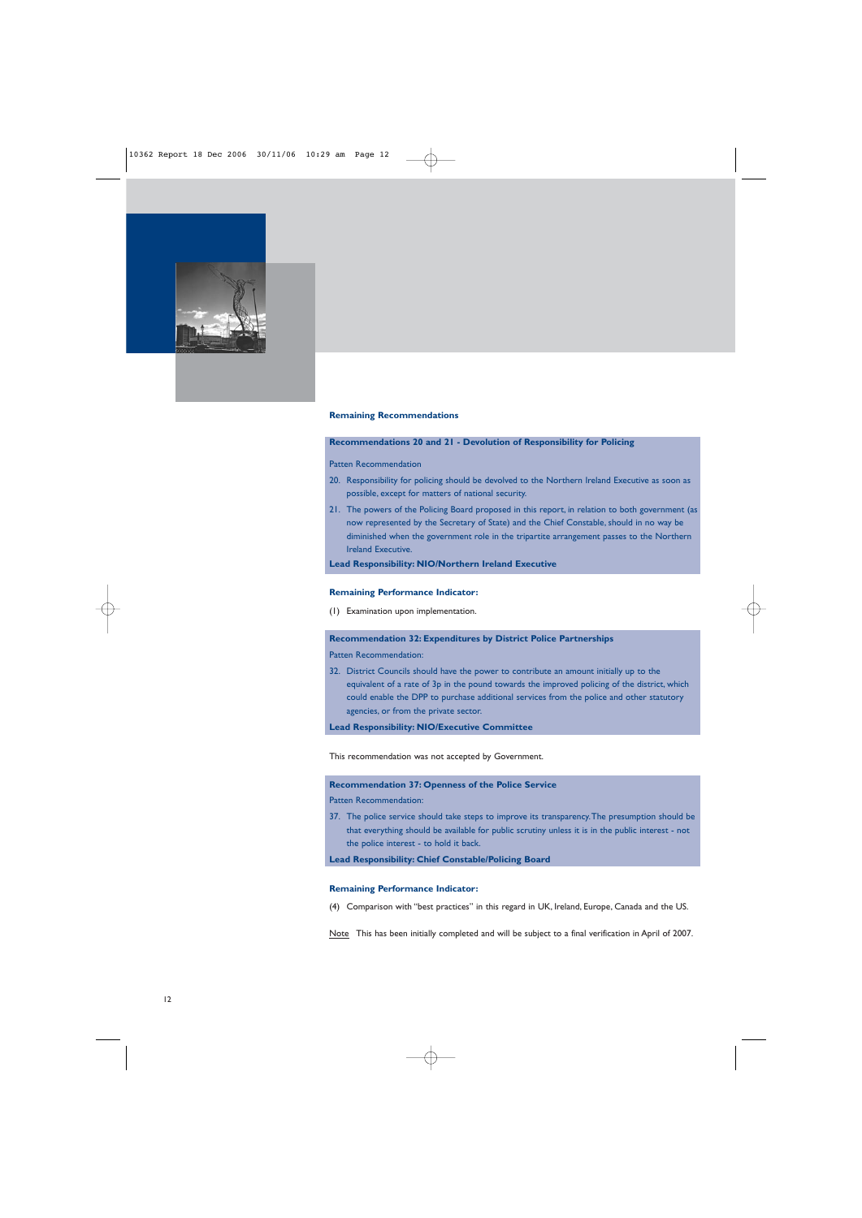

## **Remaining Recommendations**

# **Recommendations 20 and 21 - Devolution of Responsibility for Policing**

Patten Recommendation

- 20. Responsibility for policing should be devolved to the Northern Ireland Executive as soon as possible, except for matters of national security.
- 21. The powers of the Policing Board proposed in this report, in relation to both government (as now represented by the Secretary of State) and the Chief Constable, should in no way be diminished when the government role in the tripartite arrangement passes to the Northern Ireland Executive.

## **Lead Responsibility: NIO/Northern Ireland Executive**

#### **Remaining Performance Indicator:**

(1) Examination upon implementation.

## **Recommendation 32: Expenditures by District Police Partnerships**

Patten Recommendation:

32. District Councils should have the power to contribute an amount initially up to the equivalent of a rate of 3p in the pound towards the improved policing of the district, which could enable the DPP to purchase additional services from the police and other statutory agencies, or from the private sector.

**Lead Responsibility: NIO/Executive Committee**

This recommendation was not accepted by Government.

**Recommendation 37: Openness of the Police Service**

Patten Recommendation:

37. The police service should take steps to improve its transparency.The presumption should be that everything should be available for public scrutiny unless it is in the public interest - not the police interest - to hold it back.

**Lead Responsibility: Chief Constable/Policing Board**

## **Remaining Performance Indicator:**

(4) Comparison with "best practices" in this regard in UK, Ireland, Europe, Canada and the US.

Note This has been initially completed and will be subject to a final verification in April of 2007.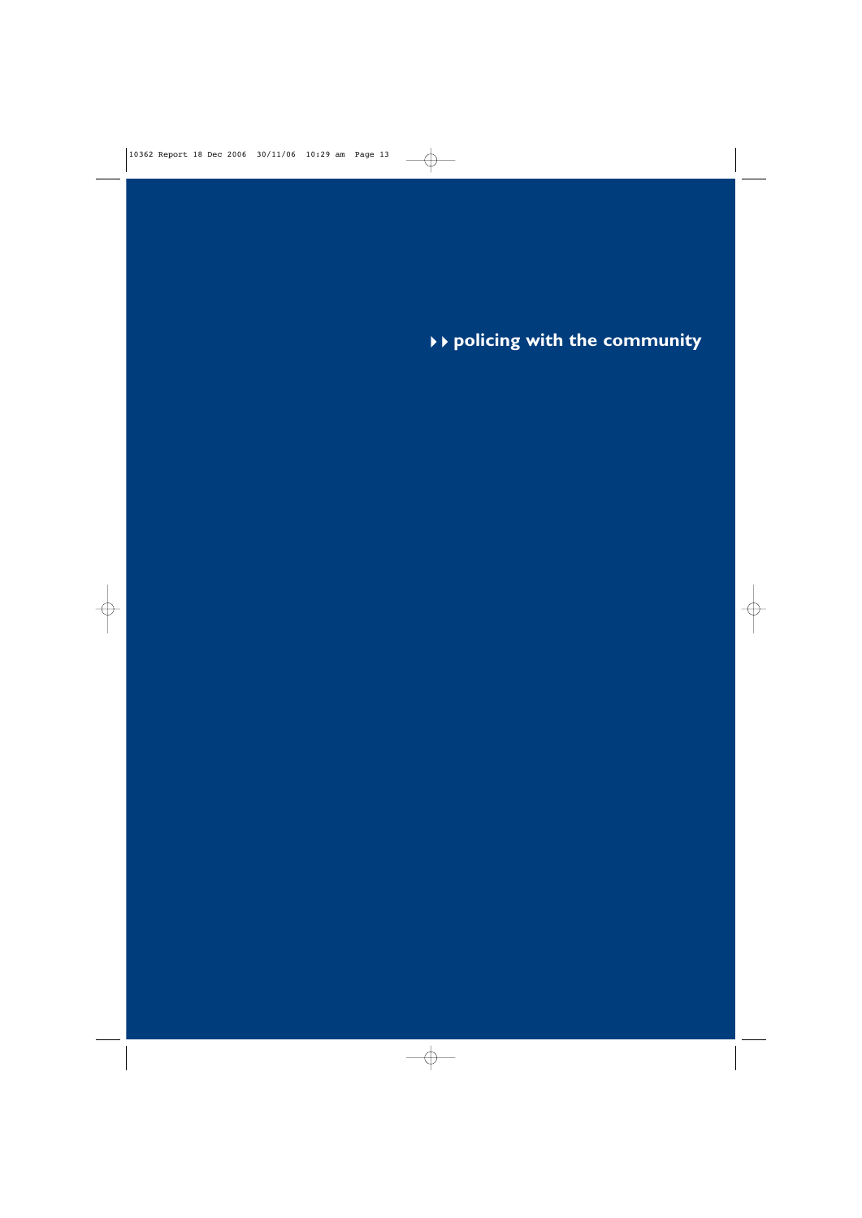--**policing with the community**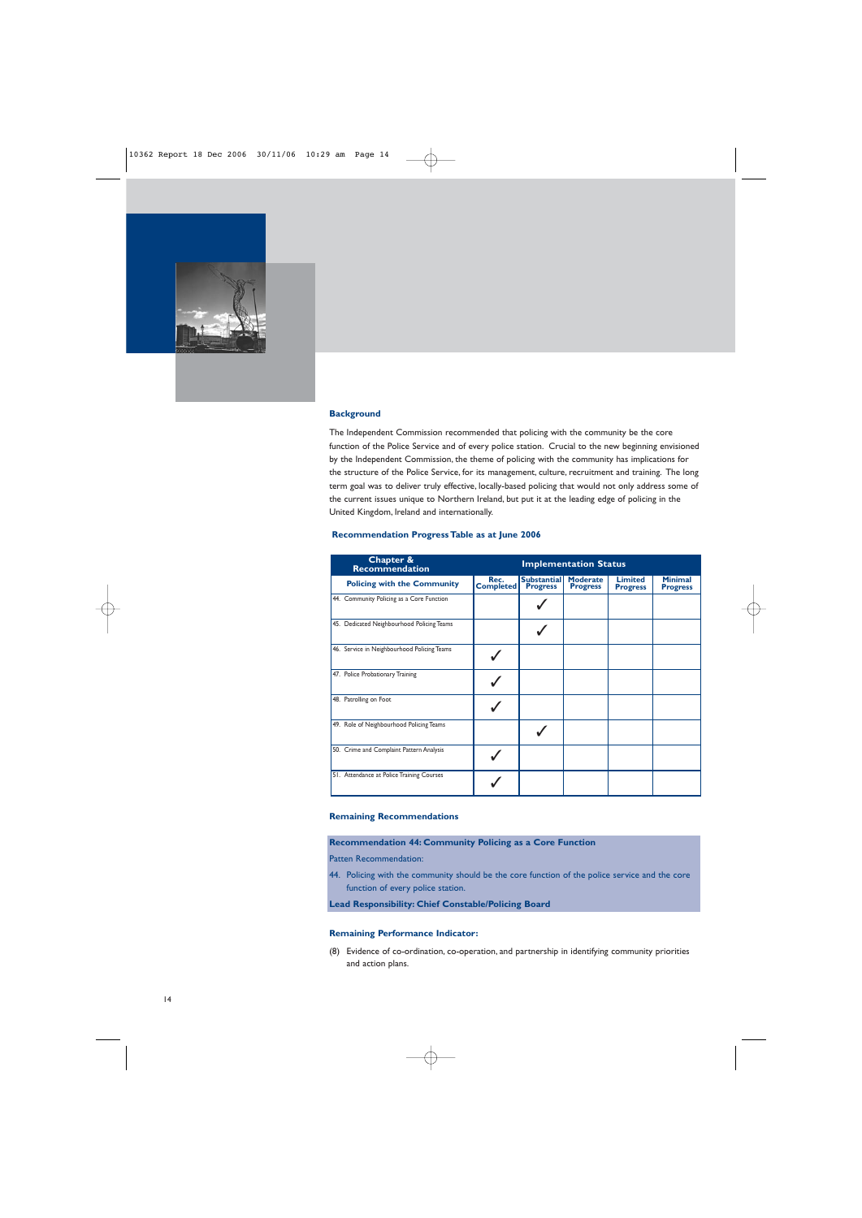

The Independent Commission recommended that policing with the community be the core function of the Police Service and of every police station. Crucial to the new beginning envisioned by the Independent Commission, the theme of policing with the community has implications for the structure of the Police Service, for its management, culture, recruitment and training. The long term goal was to deliver truly effective, locally-based policing that would not only address some of the current issues unique to Northern Ireland, but put it at the leading edge of policing in the United Kingdom, Ireland and internationally.

#### **Recommendation Progress Table as at June 2006**

| Chapter &<br>Recommendation                 | <b>Implementation Status</b> |                                       |                                    |                                   |                                   |
|---------------------------------------------|------------------------------|---------------------------------------|------------------------------------|-----------------------------------|-----------------------------------|
| <b>Policing with the Community</b>          | Rec.<br><b>Completed</b>     | <b>Substantial</b><br><b>Progress</b> | <b>Moderate</b><br><b>Progress</b> | <b>Limited</b><br><b>Progress</b> | <b>Minimal</b><br><b>Progress</b> |
| 44. Community Policing as a Core Function   |                              |                                       |                                    |                                   |                                   |
| 45. Dedicated Neighbourhood Policing Teams  |                              |                                       |                                    |                                   |                                   |
| 46. Service in Neighbourhood Policing Teams |                              |                                       |                                    |                                   |                                   |
| 47. Police Probationary Training            |                              |                                       |                                    |                                   |                                   |
| 48. Patrolling on Foot                      |                              |                                       |                                    |                                   |                                   |
| 49. Role of Neighbourhood Policing Teams    |                              |                                       |                                    |                                   |                                   |
| 50. Crime and Complaint Pattern Analysis    |                              |                                       |                                    |                                   |                                   |
| 51. Attendance at Police Training Courses   |                              |                                       |                                    |                                   |                                   |

## **Remaining Recommendations**

**Recommendation 44: Community Policing as a Core Function**

Patten Recommendation:

44. Policing with the community should be the core function of the police service and the core function of every police station.

**Lead Responsibility: Chief Constable/Policing Board**

## **Remaining Performance Indicator:**

(8) Evidence of co-ordination, co-operation, and partnership in identifying community priorities and action plans.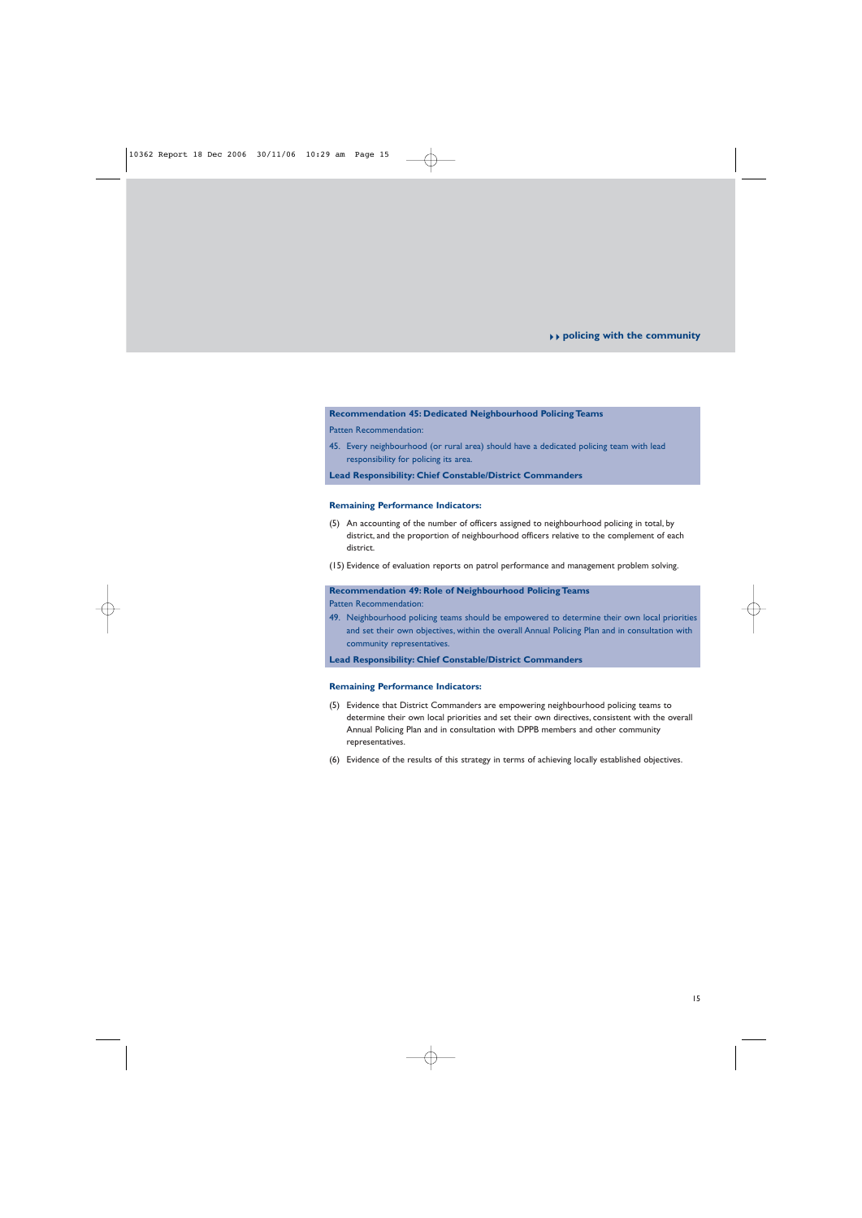# --**policing with the community**

## **Recommendation 45: Dedicated Neighbourhood Policing Teams**

Patten Recommendation:

45. Every neighbourhood (or rural area) should have a dedicated policing team with lead responsibility for policing its area.

**Lead Responsibility: Chief Constable/District Commanders**

#### **Remaining Performance Indicators:**

- (5) An accounting of the number of officers assigned to neighbourhood policing in total, by district, and the proportion of neighbourhood officers relative to the complement of each district.
- (15) Evidence of evaluation reports on patrol performance and management problem solving.

# **Recommendation 49: Role of Neighbourhood Policing Teams** Patten Recommendation:

49. Neighbourhood policing teams should be empowered to determine their own local priorities and set their own objectives, within the overall Annual Policing Plan and in consultation with community representatives.

**Lead Responsibility: Chief Constable/District Commanders**

- (5) Evidence that District Commanders are empowering neighbourhood policing teams to determine their own local priorities and set their own directives, consistent with the overall Annual Policing Plan and in consultation with DPPB members and other community representatives.
- (6) Evidence of the results of this strategy in terms of achieving locally established objectives.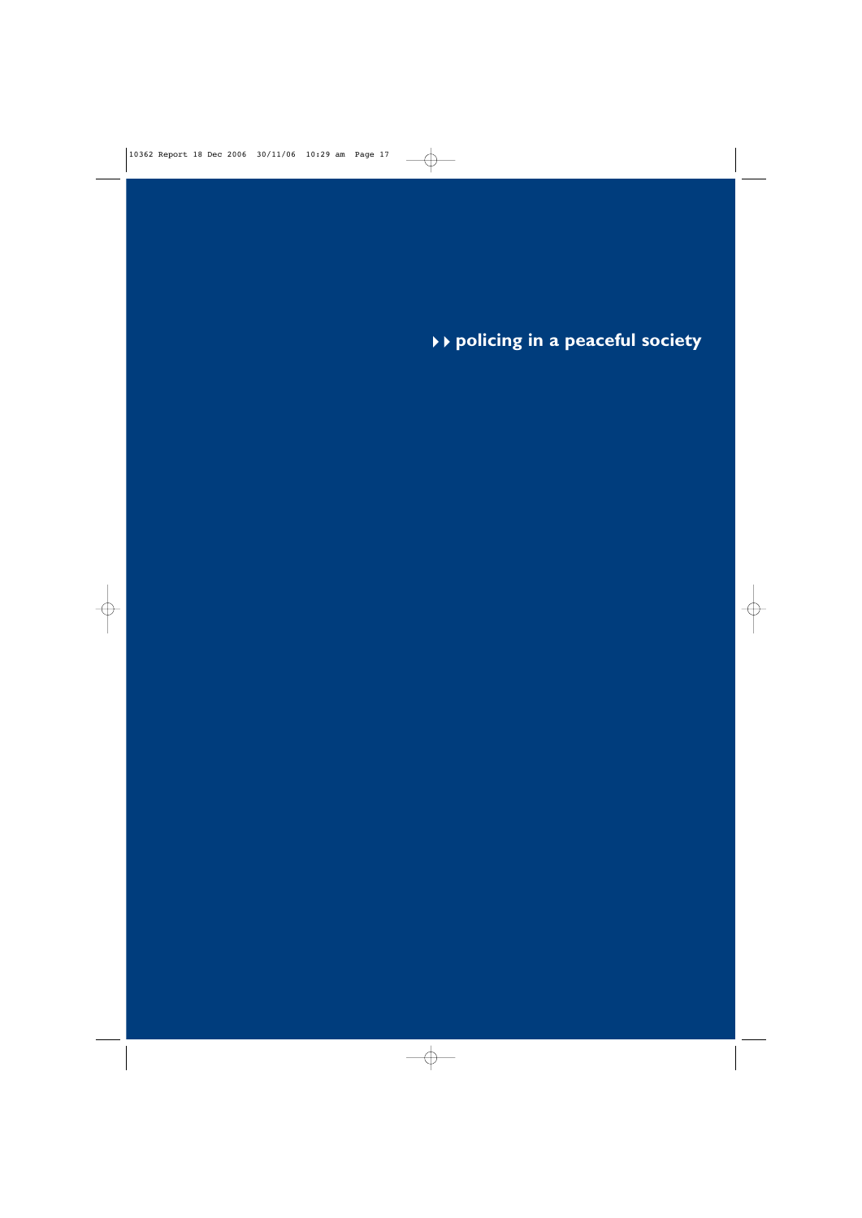--**policing in a peaceful society**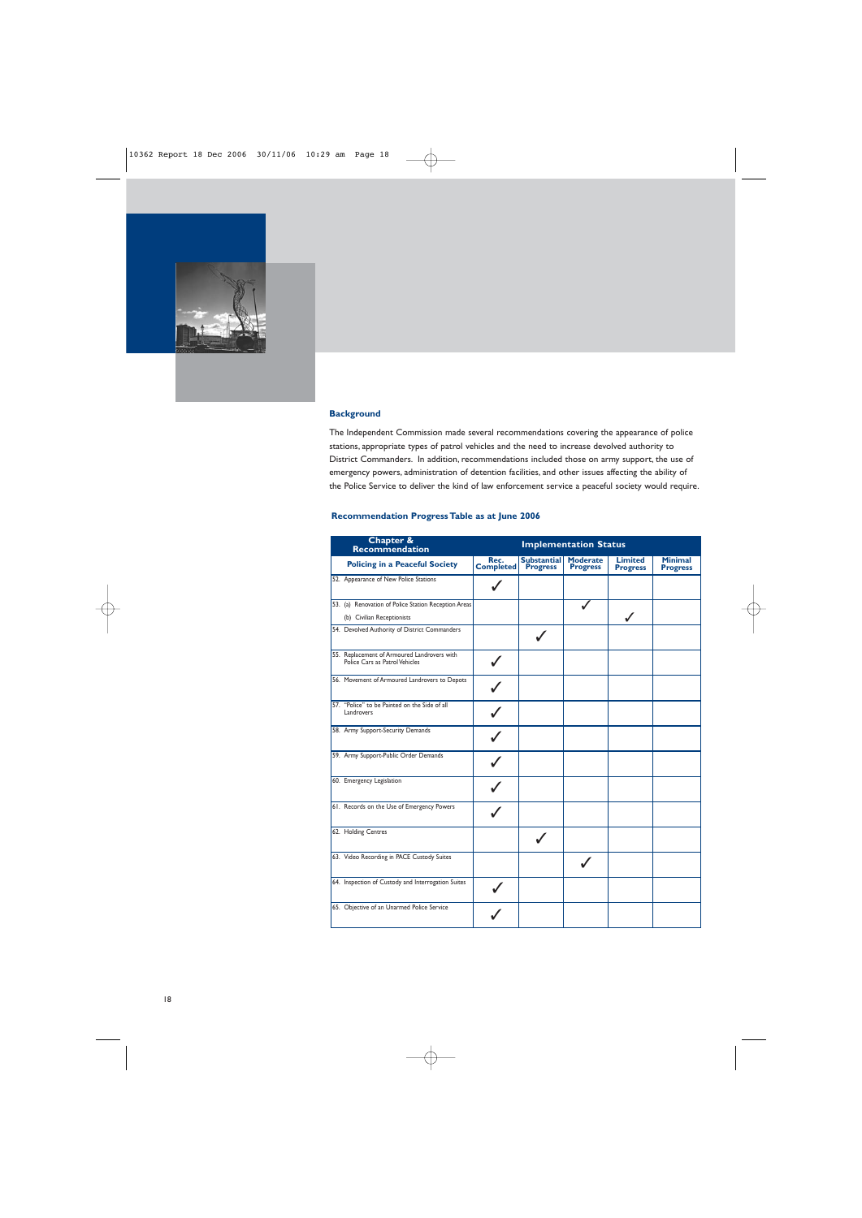

The Independent Commission made several recommendations covering the appearance of police stations, appropriate types of patrol vehicles and the need to increase devolved authority to District Commanders. In addition, recommendations included those on army support, the use of emergency powers, administration of detention facilities, and other issues affecting the ability of the Police Service to deliver the kind of law enforcement service a peaceful society would require.

# **Recommendation Progress Table as at June 2006**

| <b>Chapter &amp;</b><br><b>Recommendation</b>                                      | <b>Implementation Status</b> |                                       |                                    |                                   |                                   |
|------------------------------------------------------------------------------------|------------------------------|---------------------------------------|------------------------------------|-----------------------------------|-----------------------------------|
| <b>Policing in a Peaceful Society</b>                                              | Rec.<br>Completed            | <b>Substantial</b><br><b>Progress</b> | <b>Moderate</b><br><b>Progress</b> | <b>Limited</b><br><b>Progress</b> | <b>Minimal</b><br><b>Progress</b> |
| 52. Appearance of New Police Stations                                              |                              |                                       |                                    |                                   |                                   |
| 53. (a) Renovation of Police Station Reception Areas<br>(b) Civilian Receptionists |                              |                                       |                                    | $\checkmark$                      |                                   |
| 54. Devolved Authority of District Commanders                                      |                              |                                       |                                    |                                   |                                   |
| 55. Replacement of Armoured Landrovers with<br>Police Cars as Patrol Vehicles      |                              |                                       |                                    |                                   |                                   |
| 56. Movement of Armoured Landrovers to Depots                                      |                              |                                       |                                    |                                   |                                   |
| 57. "Police" to be Painted on the Side of all<br>Landrovers                        |                              |                                       |                                    |                                   |                                   |
| 58. Army Support-Security Demands                                                  |                              |                                       |                                    |                                   |                                   |
| 59. Army Support-Public Order Demands                                              |                              |                                       |                                    |                                   |                                   |
| 60. Emergency Legislation                                                          |                              |                                       |                                    |                                   |                                   |
| 61. Records on the Use of Emergency Powers                                         |                              |                                       |                                    |                                   |                                   |
| 62. Holding Centres                                                                |                              |                                       |                                    |                                   |                                   |
| 63. Video Recording in PACE Custody Suites                                         |                              |                                       |                                    |                                   |                                   |
| 64. Inspection of Custody and Interrogation Suites                                 |                              |                                       |                                    |                                   |                                   |
| 65. Objective of an Unarmed Police Service                                         |                              |                                       |                                    |                                   |                                   |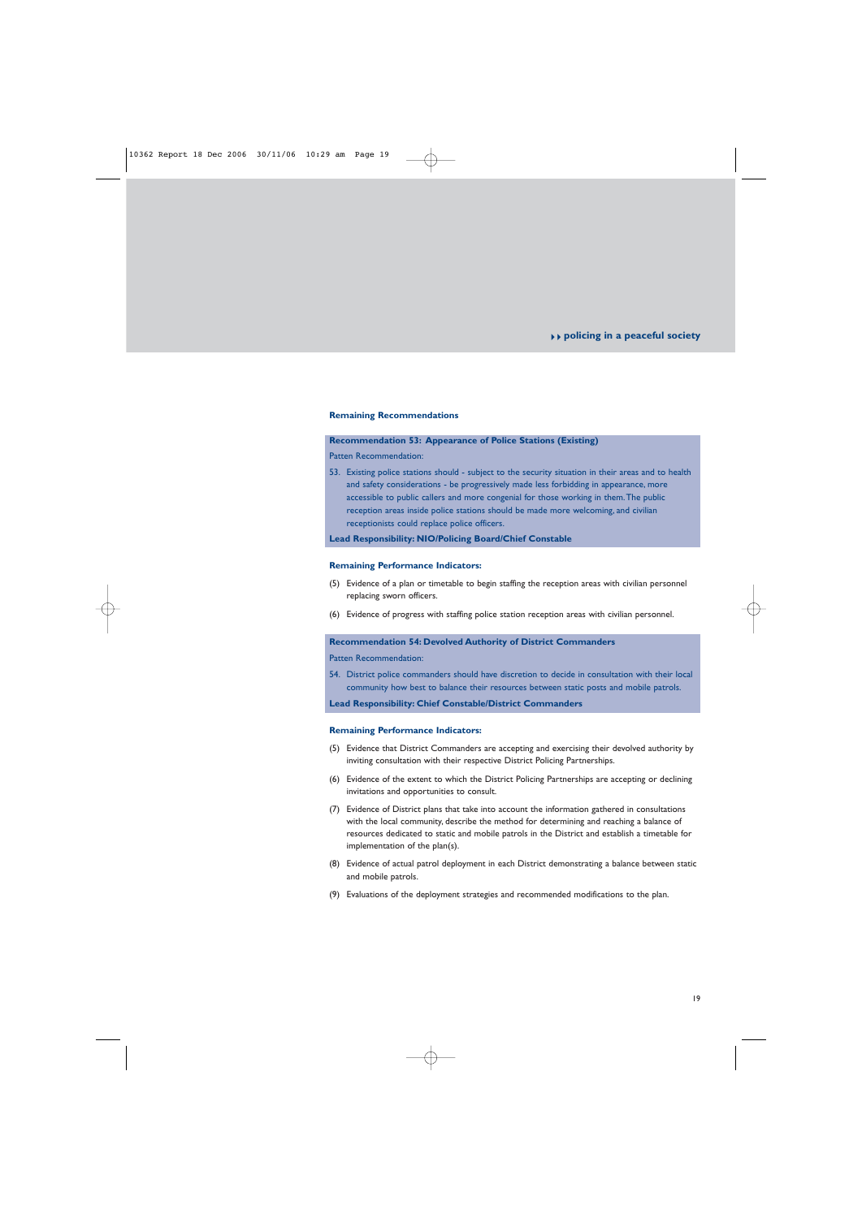# --**policing in a peaceful society**

#### **Remaining Recommendations**

## **Recommendation 53: Appearance of Police Stations (Existing)**

Patten Recommendation:

53. Existing police stations should - subject to the security situation in their areas and to health and safety considerations - be progressively made less forbidding in appearance, more accessible to public callers and more congenial for those working in them.The public reception areas inside police stations should be made more welcoming, and civilian receptionists could replace police officers.

## **Lead Responsibility: NIO/Policing Board/Chief Constable**

## **Remaining Performance Indicators:**

- (5) Evidence of a plan or timetable to begin staffing the reception areas with civilian personnel replacing sworn officers.
- (6) Evidence of progress with staffing police station reception areas with civilian personnel.

## **Recommendation 54: Devolved Authority of District Commanders**

Patten Recommendation:

54. District police commanders should have discretion to decide in consultation with their local community how best to balance their resources between static posts and mobile patrols.

#### **Lead Responsibility: Chief Constable/District Commanders**

- (5) Evidence that District Commanders are accepting and exercising their devolved authority by inviting consultation with their respective District Policing Partnerships.
- (6) Evidence of the extent to which the District Policing Partnerships are accepting or declining invitations and opportunities to consult.
- (7) Evidence of District plans that take into account the information gathered in consultations with the local community, describe the method for determining and reaching a balance of resources dedicated to static and mobile patrols in the District and establish a timetable for implementation of the plan(s).
- (8) Evidence of actual patrol deployment in each District demonstrating a balance between static and mobile patrols.
- (9) Evaluations of the deployment strategies and recommended modifications to the plan.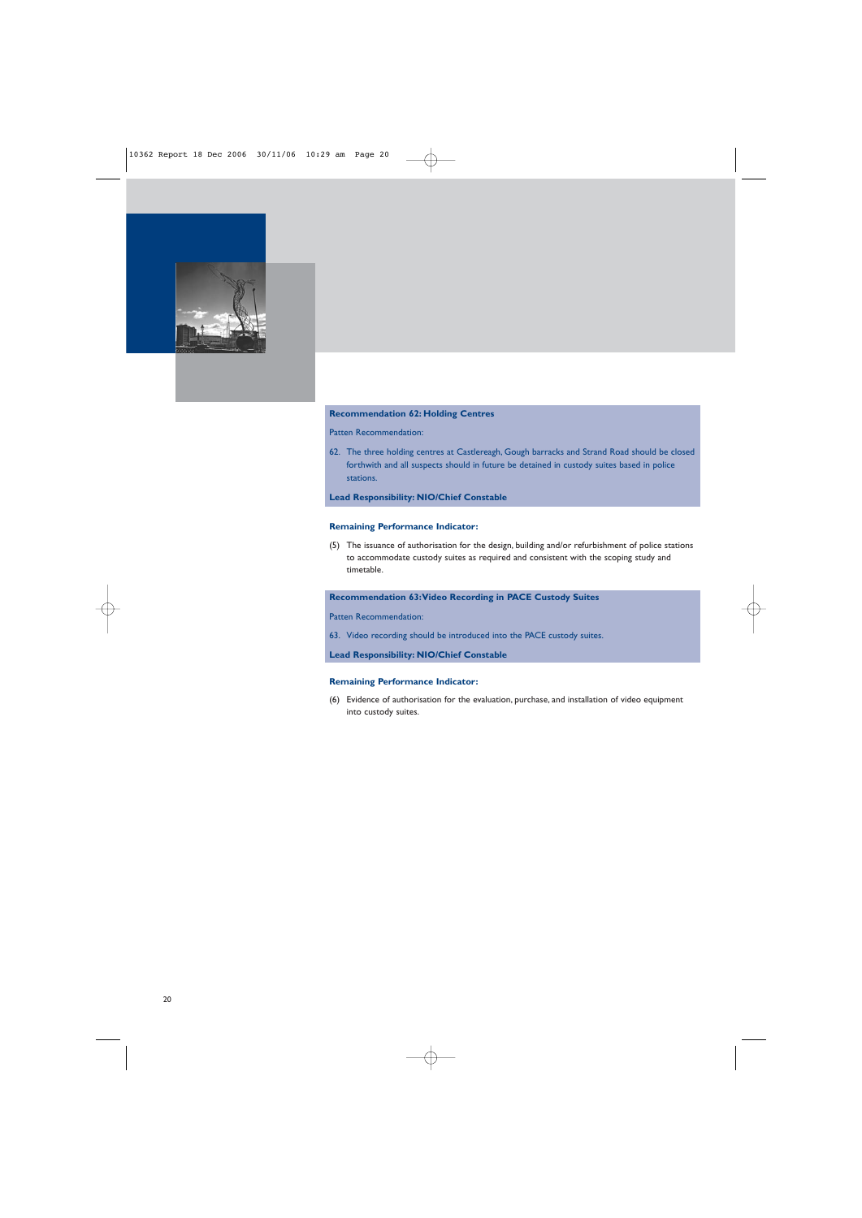

## **Recommendation 62: Holding Centres**

Patten Recommendation:

62. The three holding centres at Castlereagh, Gough barracks and Strand Road should be closed forthwith and all suspects should in future be detained in custody suites based in police stations.

**Lead Responsibility: NIO/Chief Constable**

## **Remaining Performance Indicator:**

(5) The issuance of authorisation for the design, building and/or refurbishment of police stations to accommodate custody suites as required and consistent with the scoping study and timetable.

# **Recommendation 63:Video Recording in PACE Custody Suites**

Patten Recommendation:

63. Video recording should be introduced into the PACE custody suites.

**Lead Responsibility: NIO/Chief Constable**

## **Remaining Performance Indicator:**

(6) Evidence of authorisation for the evaluation, purchase, and installation of video equipment into custody suites.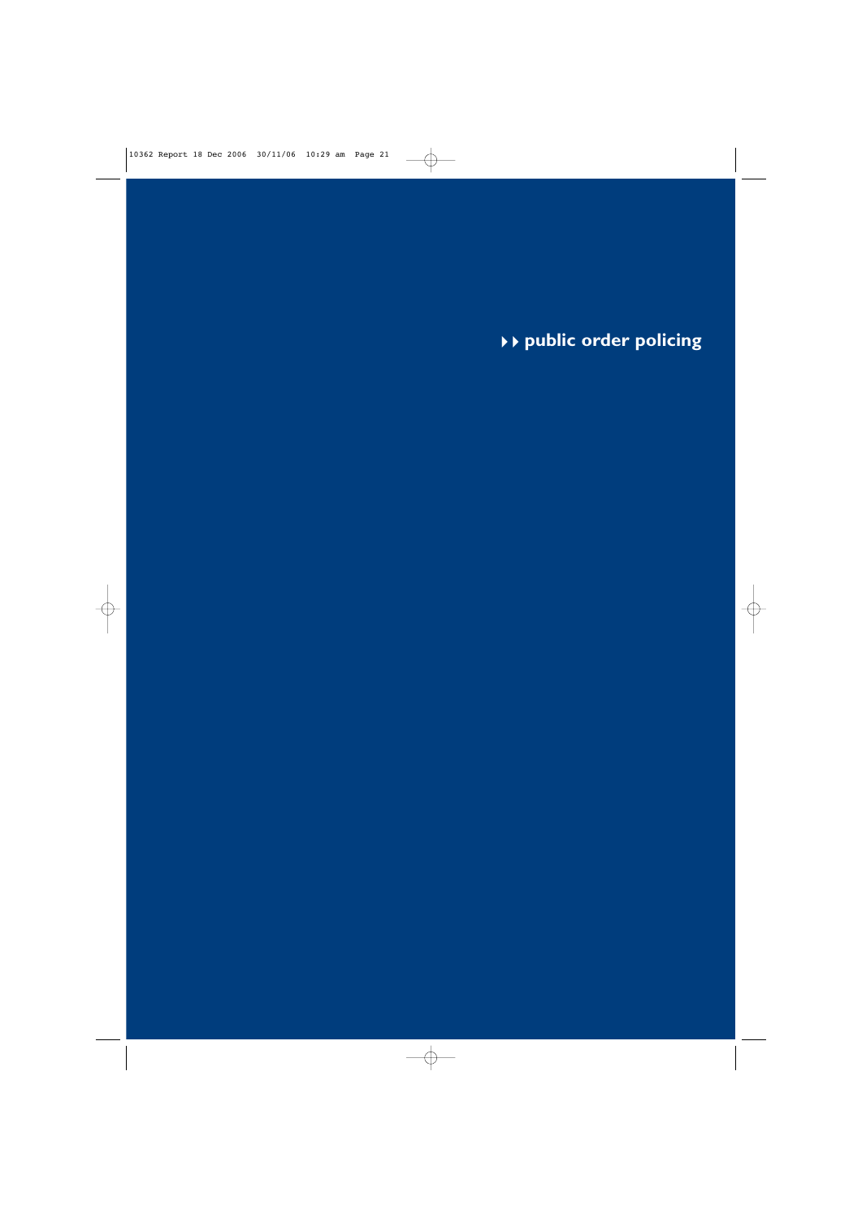--**public order policing**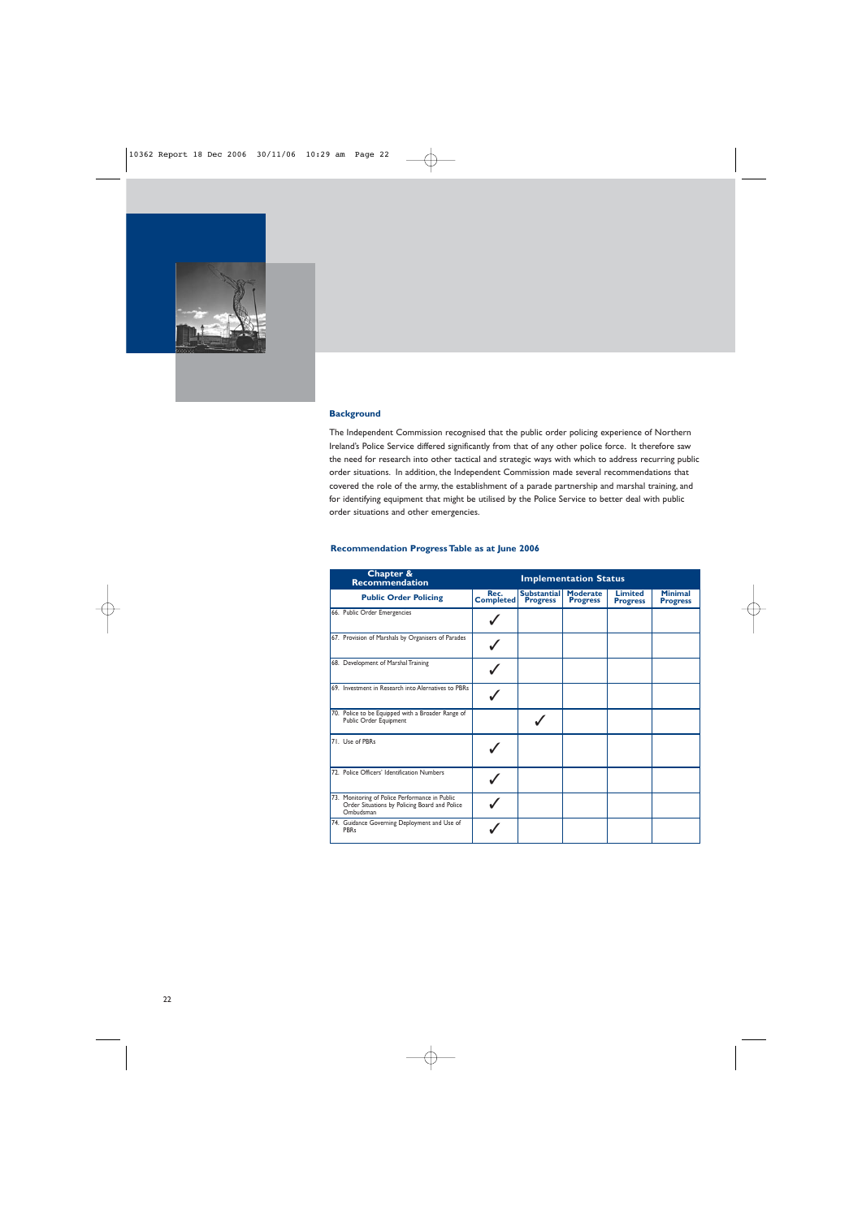

The Independent Commission recognised that the public order policing experience of Northern Ireland's Police Service differed significantly from that of any other police force. It therefore saw the need for research into other tactical and strategic ways with which to address recurring public order situations. In addition, the Independent Commission made several recommendations that covered the role of the army, the establishment of a parade partnership and marshal training, and for identifying equipment that might be utilised by the Police Service to better deal with public order situations and other emergencies.

## **Recommendation Progress Table as at June 2006**

| Chapter &<br><b>Recommendation</b>                                                                           | <b>Implementation Status</b> |                                |                                    |                                   |                                   |
|--------------------------------------------------------------------------------------------------------------|------------------------------|--------------------------------|------------------------------------|-----------------------------------|-----------------------------------|
| <b>Public Order Policing</b>                                                                                 | Rec.<br><b>Completed</b>     | Substantial<br><b>Progress</b> | <b>Moderate</b><br><b>Progress</b> | <b>Limited</b><br><b>Progress</b> | <b>Minimal</b><br><b>Progress</b> |
| 66. Public Order Emergencies                                                                                 |                              |                                |                                    |                                   |                                   |
| 67. Provision of Marshals by Organisers of Parades                                                           |                              |                                |                                    |                                   |                                   |
| 68. Development of Marshal Training                                                                          |                              |                                |                                    |                                   |                                   |
| 69. Investment in Research into Alernatives to PBRs                                                          |                              |                                |                                    |                                   |                                   |
| 70. Police to be Equipped with a Broader Range of<br>Public Order Equipment                                  |                              |                                |                                    |                                   |                                   |
| 71. Use of PBRs                                                                                              |                              |                                |                                    |                                   |                                   |
| 72. Police Officers' Identification Numbers                                                                  |                              |                                |                                    |                                   |                                   |
| 73. Monitoring of Police Performance in Public<br>Order Situations by Policing Board and Police<br>Ombudsman |                              |                                |                                    |                                   |                                   |
| 74. Guidance Governing Deployment and Use of<br><b>PBRs</b>                                                  |                              |                                |                                    |                                   |                                   |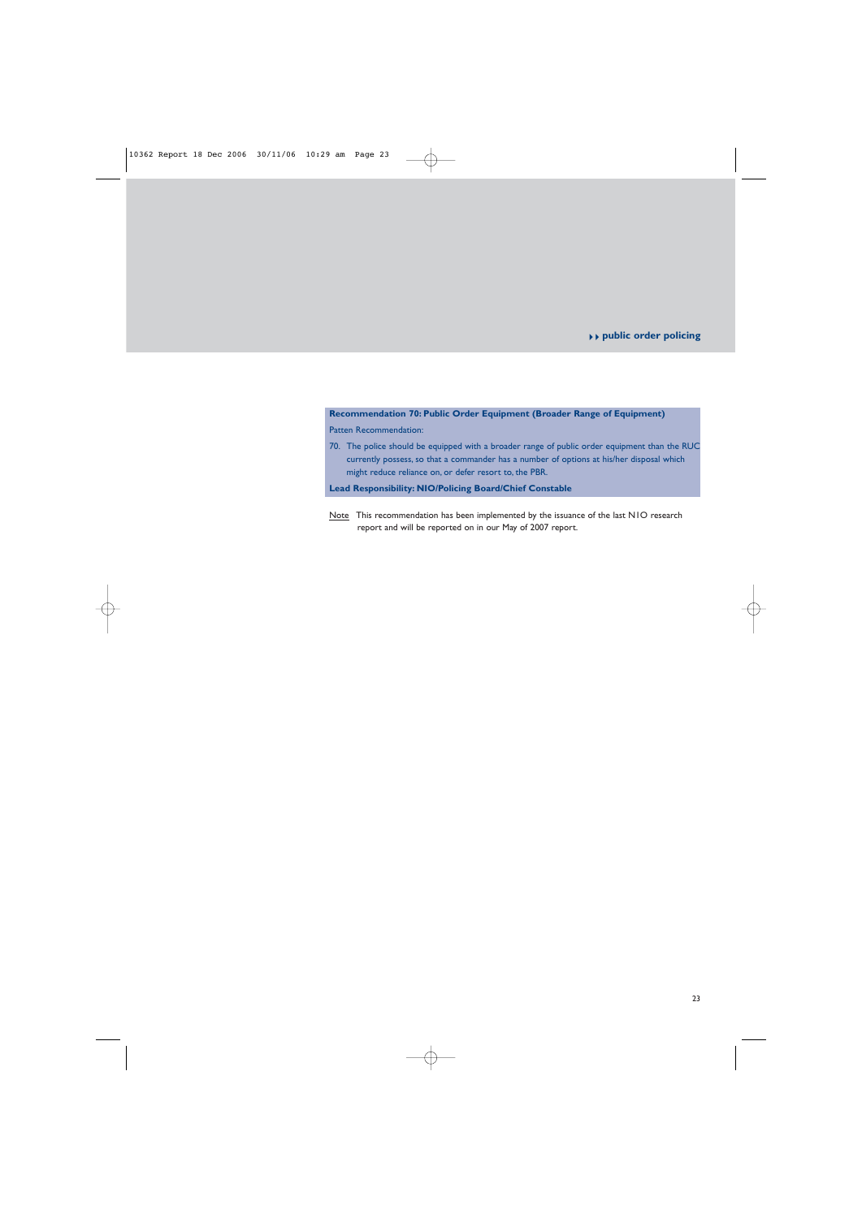# **Recommendation 70: Public Order Equipment (Broader Range of Equipment)**

Patten Recommendation:

70. The police should be equipped with a broader range of public order equipment than the RUC currently possess, so that a commander has a number of options at his/her disposal which might reduce reliance on, or defer resort to, the PBR.

**Lead Responsibility: NIO/Policing Board/Chief Constable**

Note This recommendation has been implemented by the issuance of the last N1O research report and will be reported on in our May of 2007 report.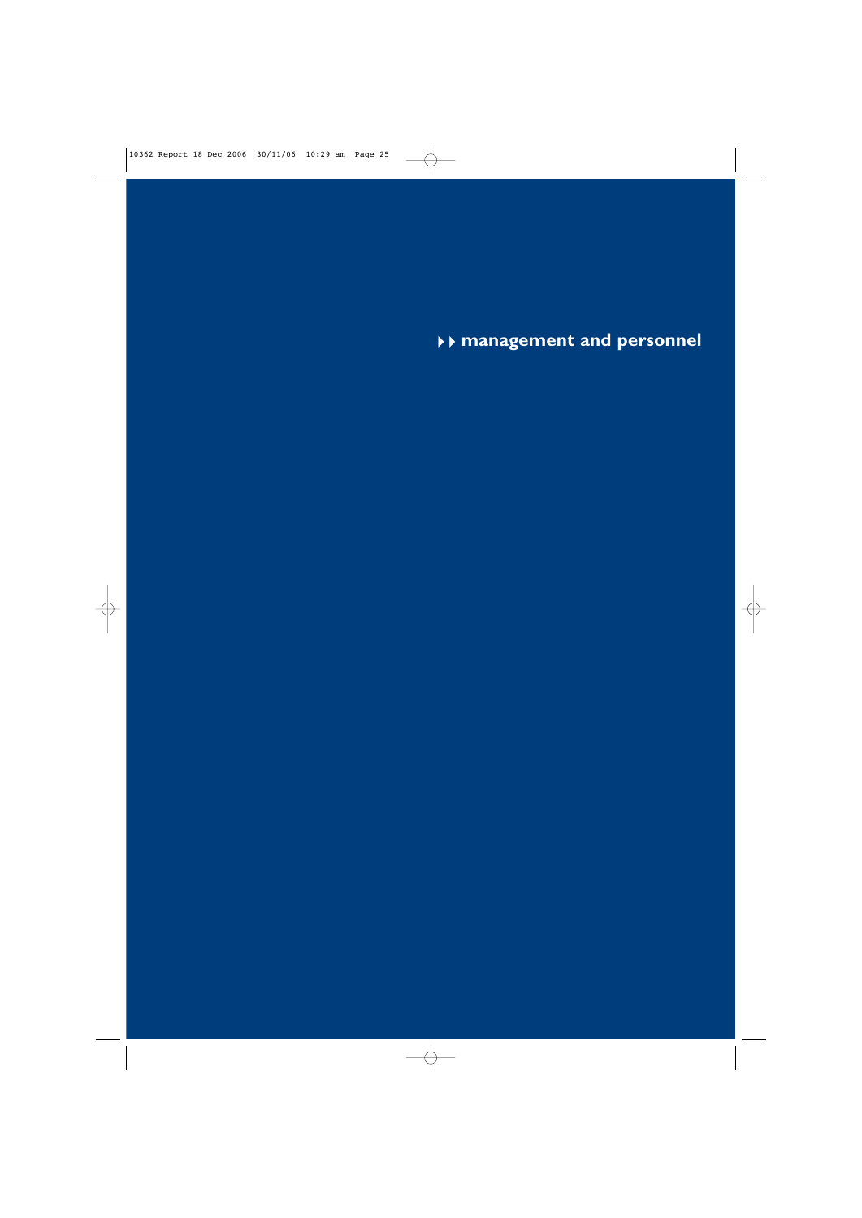--**management and personnel**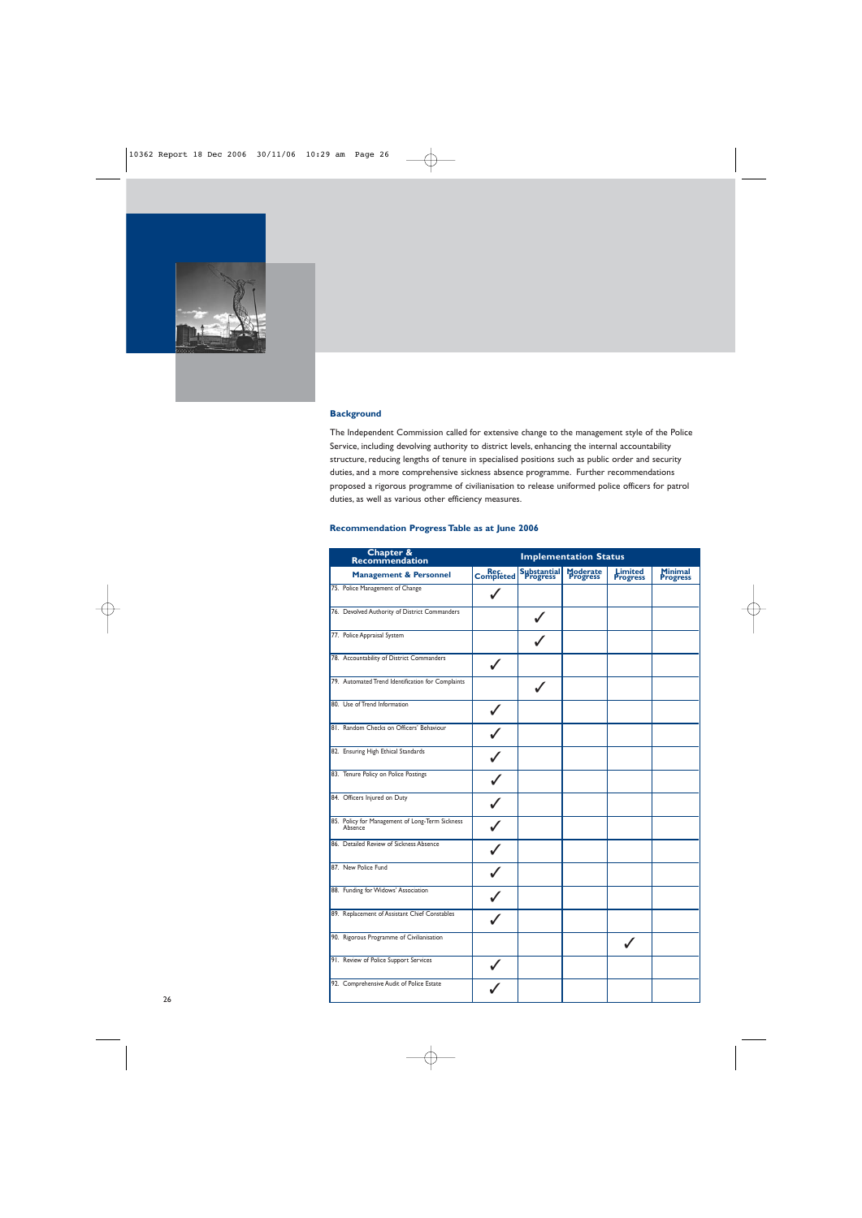

The Independent Commission called for extensive change to the management style of the Police Service, including devolving authority to district levels, enhancing the internal accountability structure, reducing lengths of tenure in specialised positions such as public order and security duties, and a more comprehensive sickness absence programme. Further recommendations proposed a rigorous programme of civilianisation to release uniformed police officers for patrol duties, as well as various other efficiency measures.

## **Recommendation Progress Table as at June 2006**

| <b>Chapter &amp; Recommendation</b><br><b>Implementation Status</b> |                                                            |                   |                                |                      |                                   |                                   |
|---------------------------------------------------------------------|------------------------------------------------------------|-------------------|--------------------------------|----------------------|-----------------------------------|-----------------------------------|
|                                                                     | <b>Management &amp; Personnel</b>                          | Rec.<br>Completed | <b>Substantial</b><br>Progress | Moderate<br>Progress | <b>Limited</b><br><b>Progress</b> | <b>Minimal</b><br><b>Progress</b> |
|                                                                     | 75. Police Management of Change                            |                   |                                |                      |                                   |                                   |
|                                                                     | 76. Devolved Authority of District Commanders              |                   |                                |                      |                                   |                                   |
|                                                                     | 77. Police Appraisal System                                |                   |                                |                      |                                   |                                   |
|                                                                     | 78. Accountability of District Commanders                  |                   |                                |                      |                                   |                                   |
|                                                                     | 79. Automated Trend Identification for Complaints          |                   |                                |                      |                                   |                                   |
|                                                                     | 80. Use of Trend Information                               |                   |                                |                      |                                   |                                   |
|                                                                     | 81. Random Checks on Officers' Behaviour                   |                   |                                |                      |                                   |                                   |
|                                                                     | 82. Ensuring High Ethical Standards                        |                   |                                |                      |                                   |                                   |
|                                                                     | 83. Tenure Policy on Police Postings                       |                   |                                |                      |                                   |                                   |
|                                                                     | 84. Officers Injured on Duty                               |                   |                                |                      |                                   |                                   |
|                                                                     | 85. Policy for Management of Long-Term Sickness<br>Absence |                   |                                |                      |                                   |                                   |
|                                                                     | 86. Detailed Review of Sickness Absence                    |                   |                                |                      |                                   |                                   |
|                                                                     | 87. New Police Fund                                        |                   |                                |                      |                                   |                                   |
|                                                                     | 88. Funding for Widows' Association                        |                   |                                |                      |                                   |                                   |
|                                                                     | 89. Replacement of Assistant Chief Constables              |                   |                                |                      |                                   |                                   |
|                                                                     | 90. Rigorous Programme of Civilianisation                  |                   |                                |                      |                                   |                                   |
|                                                                     | 91. Review of Police Support Services                      |                   |                                |                      |                                   |                                   |
|                                                                     | 92. Comprehensive Audit of Police Estate                   |                   |                                |                      |                                   |                                   |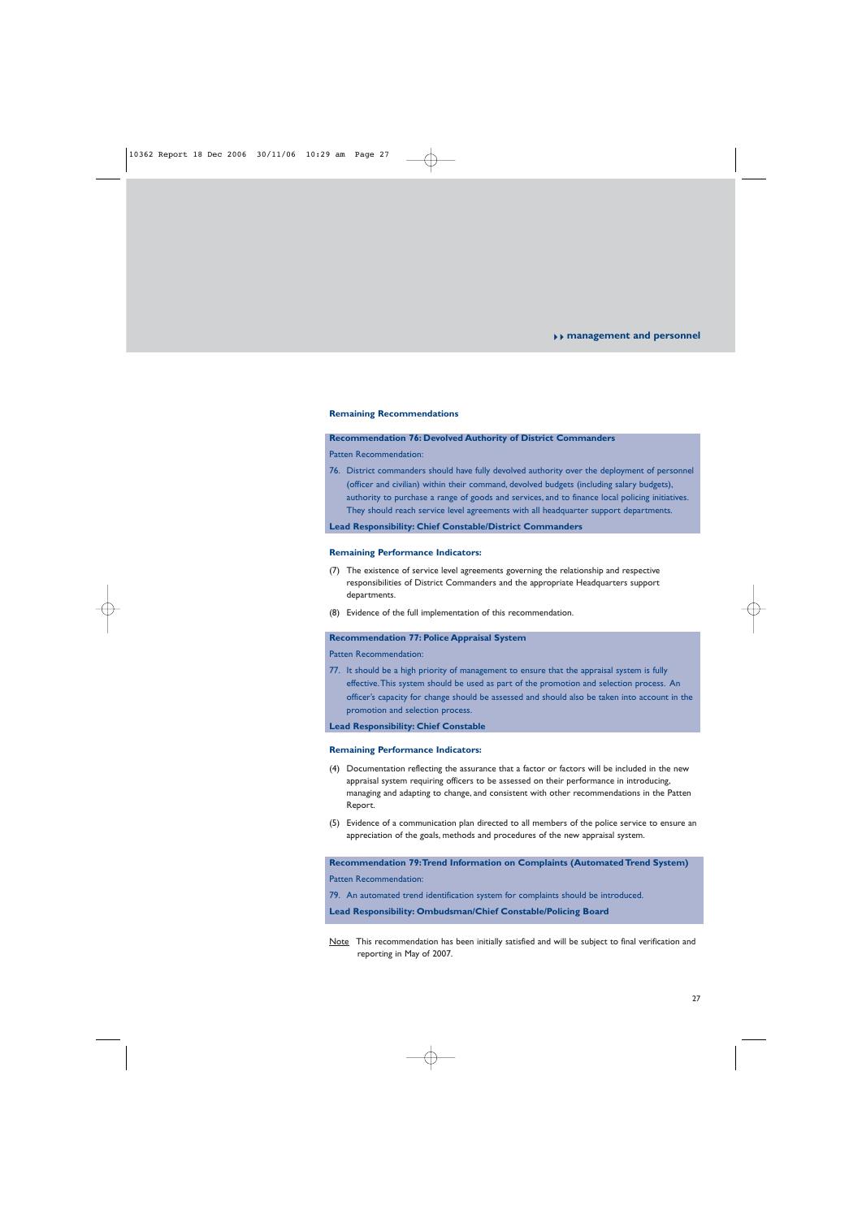# --**management and personnel**

#### **Remaining Recommendations**

## **Recommendation 76: Devolved Authority of District Commanders**

Patten Recommendation:

76. District commanders should have fully devolved authority over the deployment of personnel (officer and civilian) within their command, devolved budgets (including salary budgets), authority to purchase a range of goods and services, and to finance local policing initiatives. They should reach service level agreements with all headquarter support departments.

**Lead Responsibility: Chief Constable/District Commanders**

## **Remaining Performance Indicators:**

- (7) The existence of service level agreements governing the relationship and respective responsibilities of District Commanders and the appropriate Headquarters support departments.
- (8) Evidence of the full implementation of this recommendation.

# **Recommendation 77: Police Appraisal System**

Patten Recommendation:

77. It should be a high priority of management to ensure that the appraisal system is fully effective.This system should be used as part of the promotion and selection process. An officer's capacity for change should be assessed and should also be taken into account in the promotion and selection process.

## **Lead Responsibility: Chief Constable**

## **Remaining Performance Indicators:**

- (4) Documentation reflecting the assurance that a factor or factors will be included in the new appraisal system requiring officers to be assessed on their performance in introducing, managing and adapting to change, and consistent with other recommendations in the Patten Report.
- (5) Evidence of a communication plan directed to all members of the police service to ensure an appreciation of the goals, methods and procedures of the new appraisal system.

**Recommendation 79:Trend Information on Complaints (Automated Trend System)** Patten Recommendation:

79. An automated trend identification system for complaints should be introduced.

**Lead Responsibility: Ombudsman/Chief Constable/Policing Board**

Note This recommendation has been initially satisfied and will be subject to final verification and reporting in May of 2007.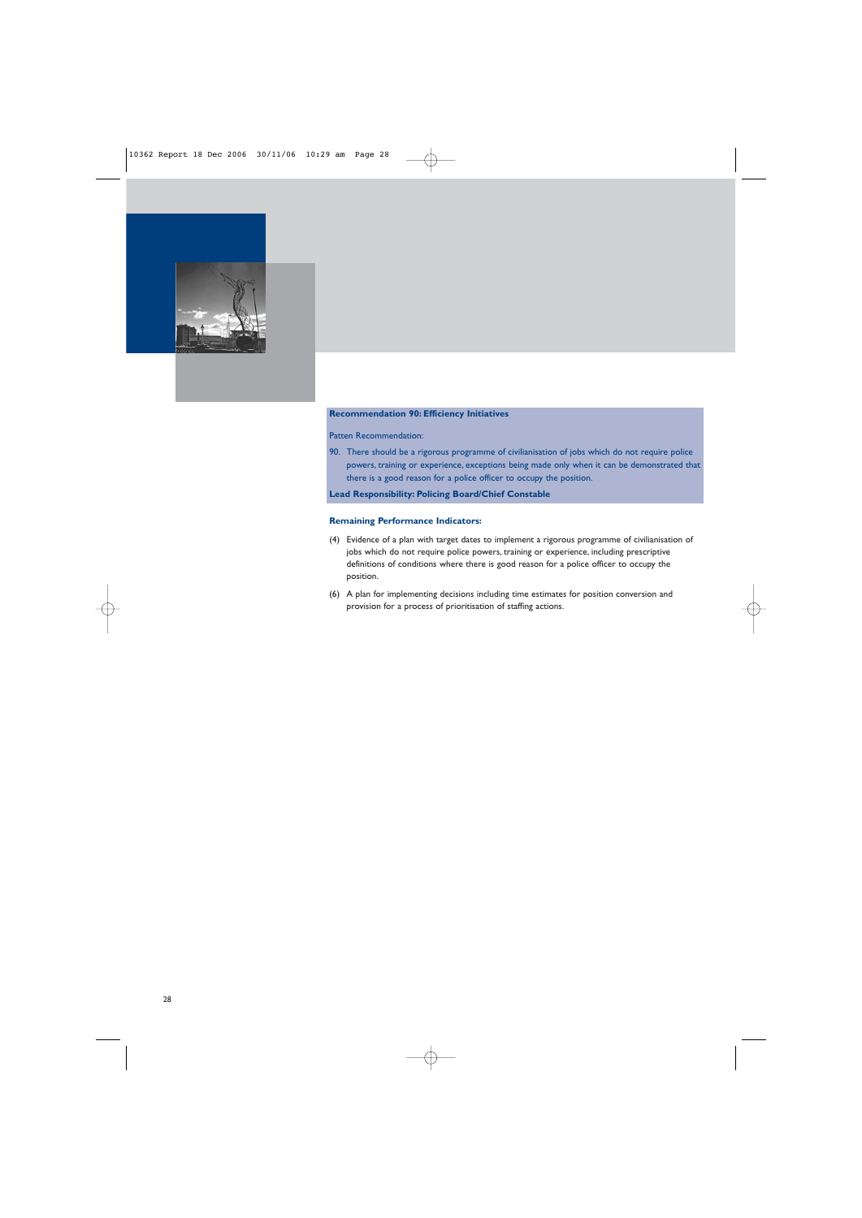

# **Recommendation 90: Efficiency Initiatives**

Patten Recommendation:

90. There should be a rigorous programme of civilianisation of jobs which do not require police powers, training or experience, exceptions being made only when it can be demonstrated that there is a good reason for a police officer to occupy the position.

**Lead Responsibility: Policing Board/Chief Constable**

- (4) Evidence of a plan with target dates to implement a rigorous programme of civilianisation of jobs which do not require police powers, training or experience, including prescriptive definitions of conditions where there is good reason for a police officer to occupy the position.
- (6) A plan for implementing decisions including time estimates for position conversion and provision for a process of prioritisation of staffing actions.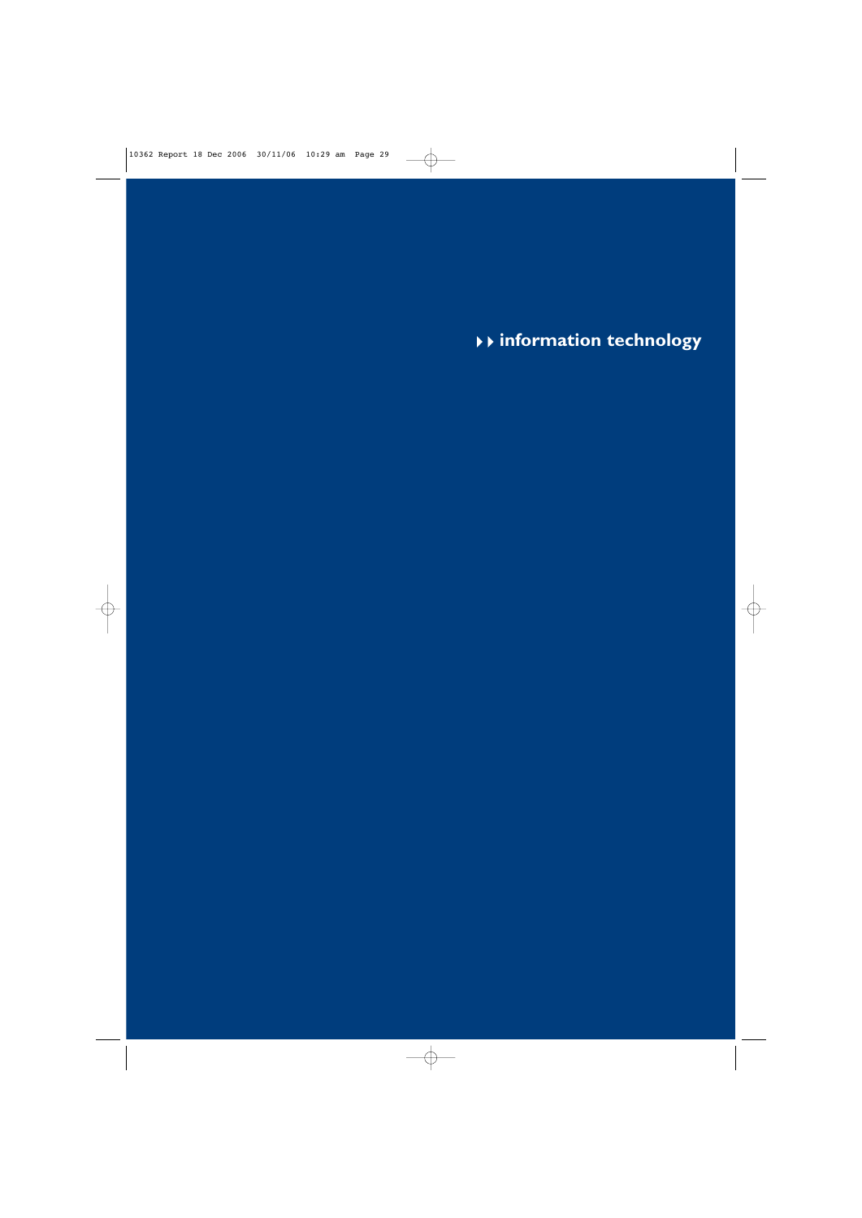--**information technology**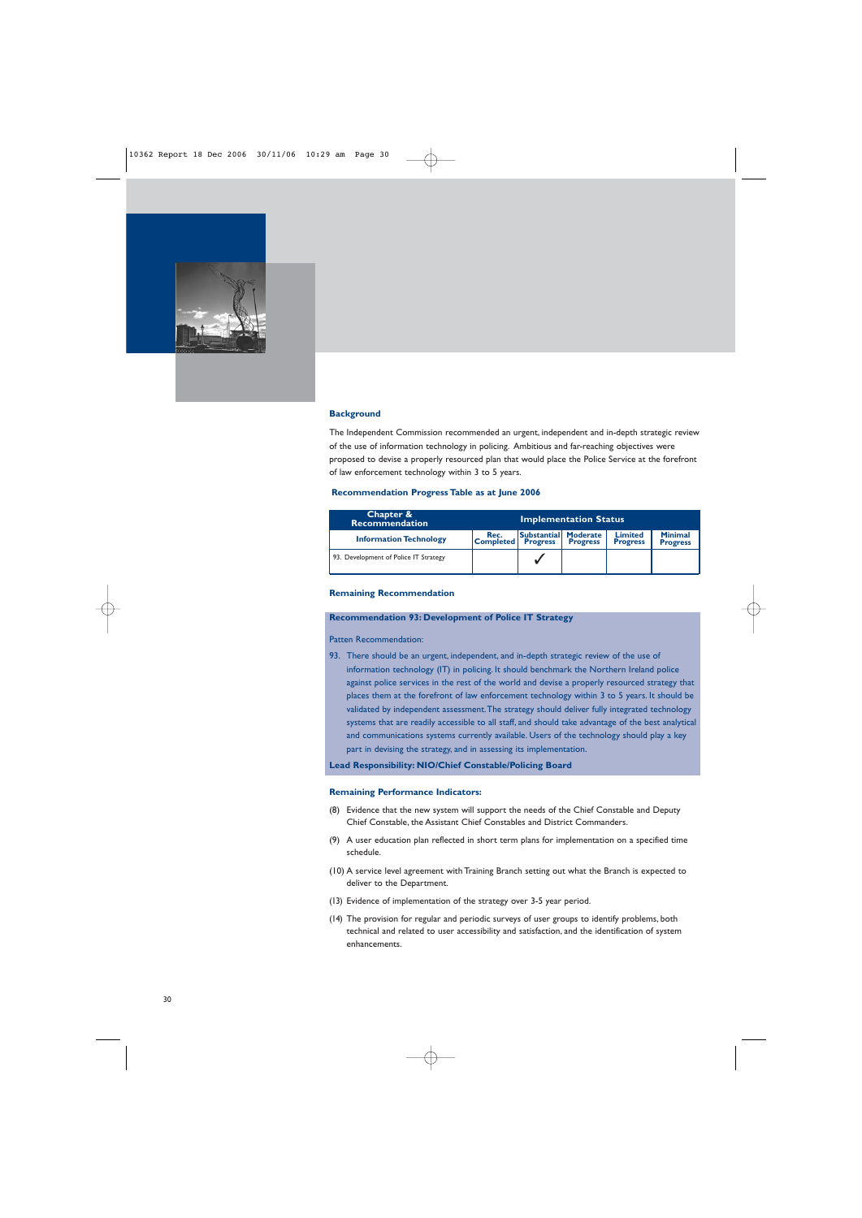

The Independent Commission recommended an urgent, independent and in-depth strategic review of the use of information technology in policing. Ambitious and far-reaching objectives were proposed to devise a properly resourced plan that would place the Police Service at the forefront of law enforcement technology within 3 to 5 years.

## **Recommendation Progress Table as at June 2006**

| Chapter &<br><b>Recommendation</b>    | <b>Implementation Status</b>      |                        |                 |                                   |                                   |
|---------------------------------------|-----------------------------------|------------------------|-----------------|-----------------------------------|-----------------------------------|
| <b>Information Technology</b>         | Rec.<br><b>Completed</b> Progress | Substantial   Moderate | <b>Progress</b> | <b>Limited</b><br><b>Progress</b> | <b>Minimal</b><br><b>Progress</b> |
| 93. Development of Police IT Strategy |                                   |                        |                 |                                   |                                   |

#### **Remaining Recommendation**

## **Recommendation 93: Development of Police IT Strategy**

Patten Recommendation:

93. There should be an urgent, independent, and in-depth strategic review of the use of information technology (IT) in policing. It should benchmark the Northern Ireland police against police services in the rest of the world and devise a properly resourced strategy that places them at the forefront of law enforcement technology within 3 to 5 years. It should be validated by independent assessment.The strategy should deliver fully integrated technology systems that are readily accessible to all staff, and should take advantage of the best analytical and communications systems currently available. Users of the technology should play a key part in devising the strategy, and in assessing its implementation.

# **Lead Responsibility: NIO/Chief Constable/Policing Board**

- (8) Evidence that the new system will support the needs of the Chief Constable and Deputy Chief Constable, the Assistant Chief Constables and District Commanders.
- (9) A user education plan reflected in short term plans for implementation on a specified time schedule.
- (10) A service level agreement with Training Branch setting out what the Branch is expected to deliver to the Department.
- (13) Evidence of implementation of the strategy over 3-5 year period.
- (14) The provision for regular and periodic surveys of user groups to identify problems, both technical and related to user accessibility and satisfaction, and the identification of system enhancements.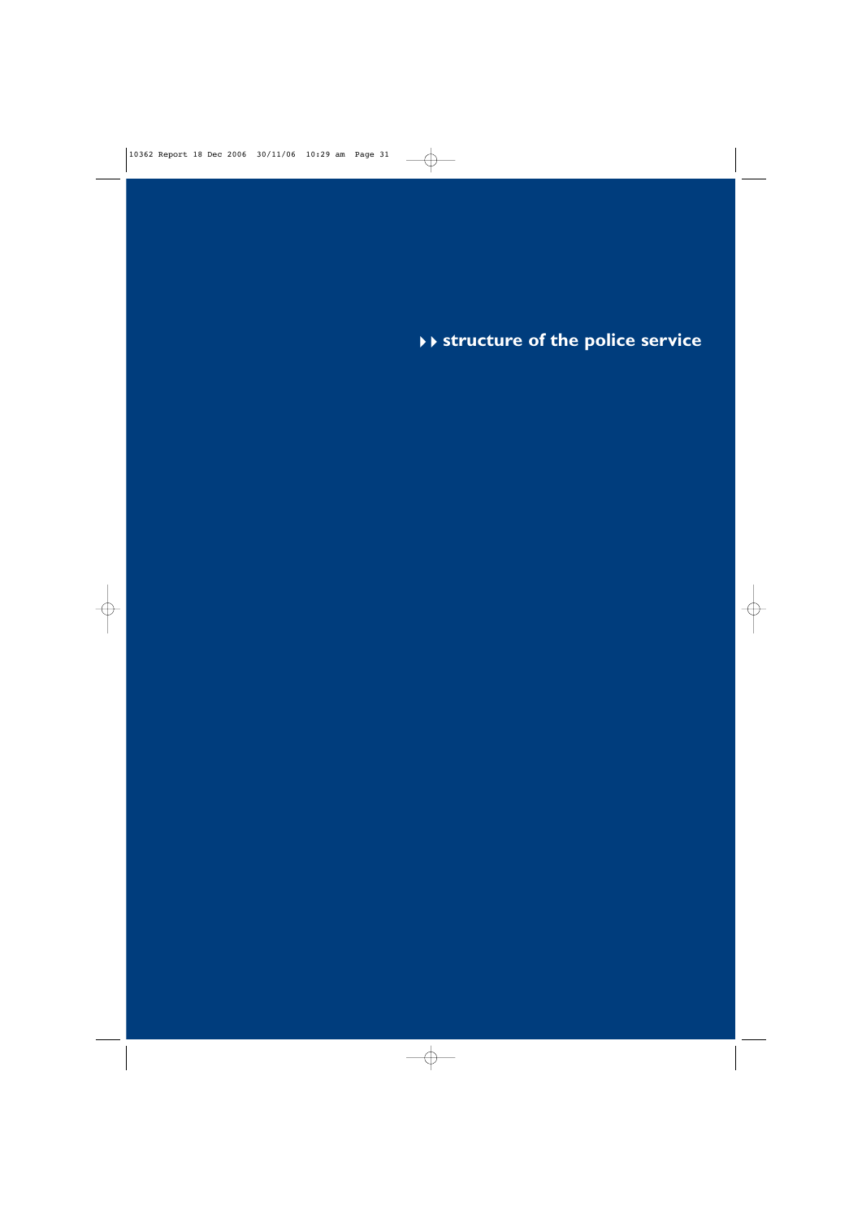--**structure of the police service**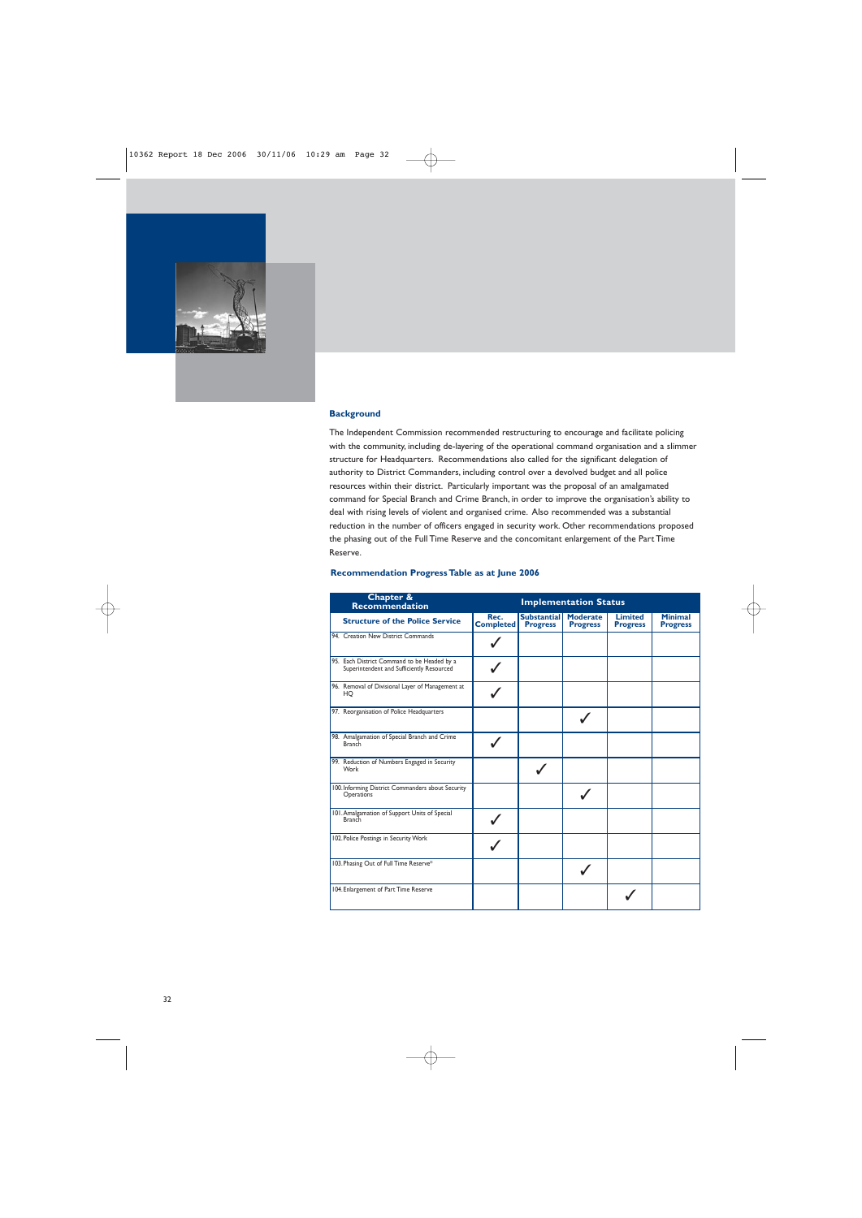

The Independent Commission recommended restructuring to encourage and facilitate policing with the community, including de-layering of the operational command organisation and a slimmer structure for Headquarters. Recommendations also called for the significant delegation of authority to District Commanders, including control over a devolved budget and all police resources within their district. Particularly important was the proposal of an amalgamated command for Special Branch and Crime Branch, in order to improve the organisation's ability to deal with rising levels of violent and organised crime. Also recommended was a substantial reduction in the number of officers engaged in security work. Other recommendations proposed the phasing out of the Full Time Reserve and the concomitant enlargement of the Part Time Reserve.

| <b>Recommendation Progress Table as at June 2006</b> |  |  |  |  |
|------------------------------------------------------|--|--|--|--|
|------------------------------------------------------|--|--|--|--|

| Chapter &<br><b>Recommendation</b>                                                       | <b>Implementation Status</b> |                                       |                                    |                                   |                                   |
|------------------------------------------------------------------------------------------|------------------------------|---------------------------------------|------------------------------------|-----------------------------------|-----------------------------------|
| <b>Structure of the Police Service</b>                                                   | Rec.<br><b>Completed</b>     | <b>Substantial</b><br><b>Progress</b> | <b>Moderate</b><br><b>Progress</b> | <b>Limited</b><br><b>Progress</b> | <b>Minimal</b><br><b>Progress</b> |
| 94. Creation New District Commands                                                       |                              |                                       |                                    |                                   |                                   |
| 95. Each District Command to be Headed by a<br>Superintendent and Sufficiently Resourced |                              |                                       |                                    |                                   |                                   |
| 96. Removal of Divisional Layer of Management at<br>HO                                   |                              |                                       |                                    |                                   |                                   |
| 97. Reorganisation of Police Headquarters                                                |                              |                                       |                                    |                                   |                                   |
| 98. Amalgamation of Special Branch and Crime<br><b>Branch</b>                            |                              |                                       |                                    |                                   |                                   |
| 99. Reduction of Numbers Engaged in Security<br>Work                                     |                              | J                                     |                                    |                                   |                                   |
| 100. Informing District Commanders about Security<br>Operations                          |                              |                                       |                                    |                                   |                                   |
| 101. Amalgamation of Support Units of Special<br><b>Branch</b>                           |                              |                                       |                                    |                                   |                                   |
| 102. Police Postings in Security Work                                                    |                              |                                       |                                    |                                   |                                   |
| 103. Phasing Out of Full Time Reserve*                                                   |                              |                                       |                                    |                                   |                                   |
| 104. Enlargement of Part Time Reserve                                                    |                              |                                       |                                    |                                   |                                   |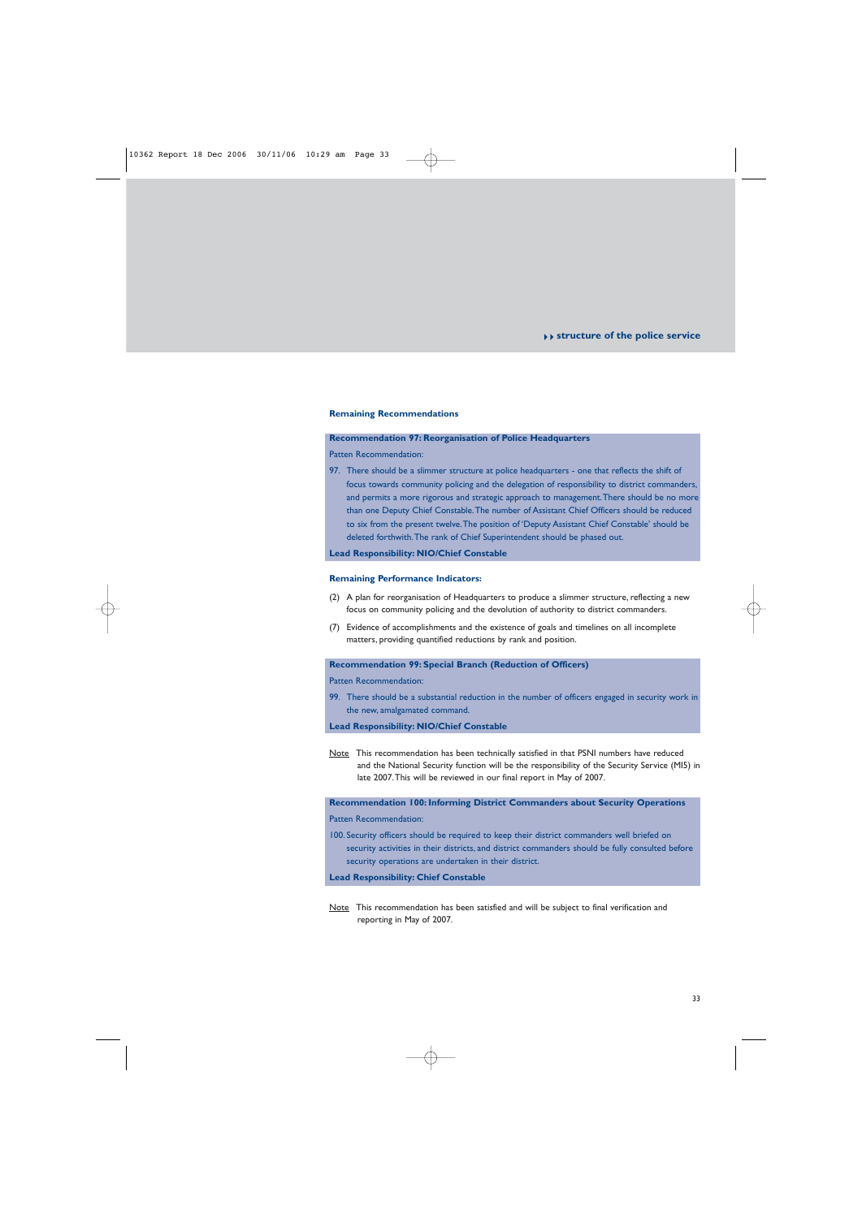# --**structure of the police service**

#### **Remaining Recommendations**

#### **Recommendation 97: Reorganisation of Police Headquarters**

Patten Recommendation:

97. There should be a slimmer structure at police headquarters - one that reflects the shift of focus towards community policing and the delegation of responsibility to district commanders, and permits a more rigorous and strategic approach to management.There should be no more than one Deputy Chief Constable.The number of Assistant Chief Officers should be reduced to six from the present twelve.The position of 'Deputy Assistant Chief Constable' should be deleted forthwith.The rank of Chief Superintendent should be phased out.

**Lead Responsibility: NIO/Chief Constable**

#### **Remaining Performance Indicators:**

- (2) A plan for reorganisation of Headquarters to produce a slimmer structure, reflecting a new focus on community policing and the devolution of authority to district commanders.
- (7) Evidence of accomplishments and the existence of goals and timelines on all incomplete matters, providing quantified reductions by rank and position.

## **Recommendation 99: Special Branch (Reduction of Officers)**

Patten Recommendation:

99. There should be a substantial reduction in the number of officers engaged in security work in the new, amalgamated command.

**Lead Responsibility: NIO/Chief Constable**

Note This recommendation has been technically satisfied in that PSNI numbers have reduced and the National Security function will be the responsibility of the Security Service (MI5) in late 2007.This will be reviewed in our final report in May of 2007.

**Recommendation 100: Informing District Commanders about Security Operations**

Patten Recommendation:

100. Security officers should be required to keep their district commanders well briefed on security activities in their districts, and district commanders should be fully consulted before security operations are undertaken in their district.

**Lead Responsibility: Chief Constable**

Note This recommendation has been satisfied and will be subject to final verification and reporting in May of 2007.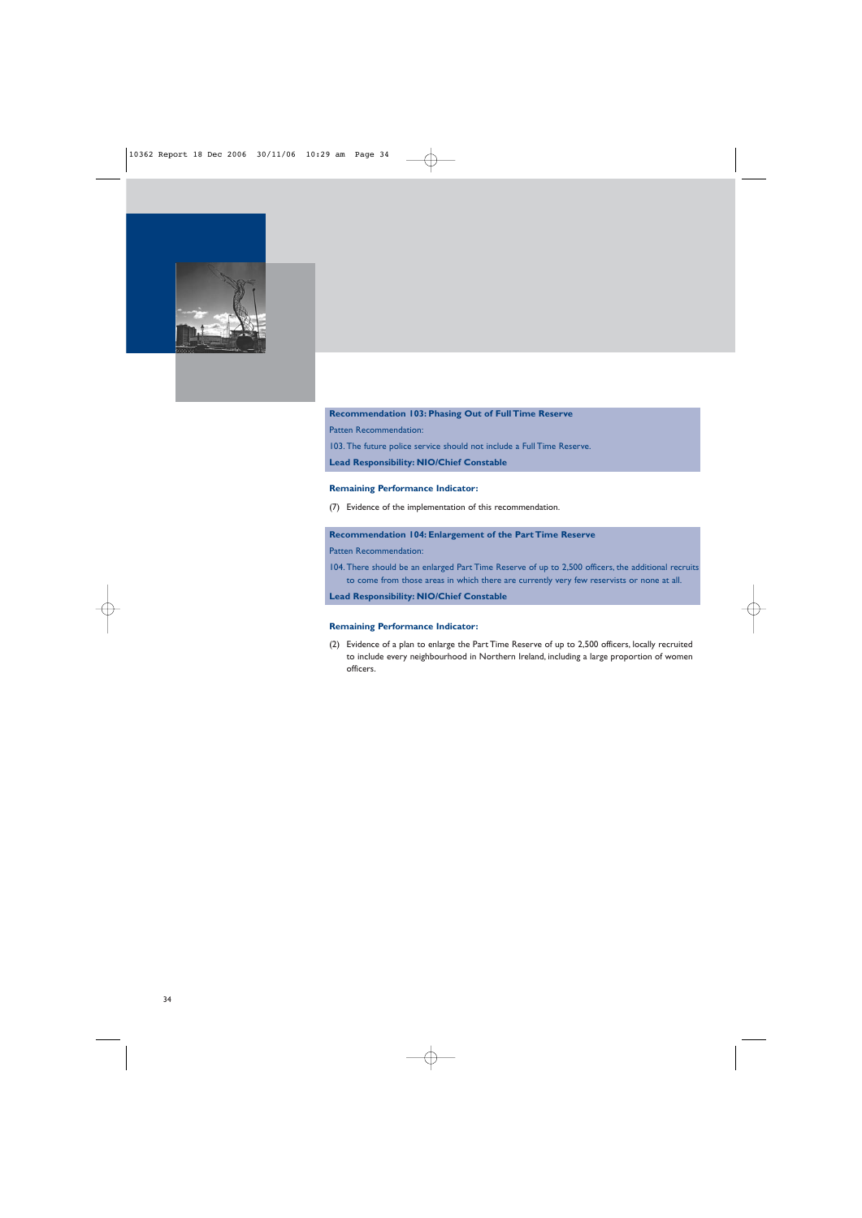

# **Recommendation 103: Phasing Out of Full Time Reserve**

Patten Recommendation:

103. The future police service should not include a Full Time Reserve.

**Lead Responsibility: NIO/Chief Constable**

## **Remaining Performance Indicator:**

(7) Evidence of the implementation of this recommendation.

# **Recommendation 104: Enlargement of the Part Time Reserve**

Patten Recommendation:

104. There should be an enlarged Part Time Reserve of up to 2,500 officers, the additional recruits to come from those areas in which there are currently very few reservists or none at all.

**Lead Responsibility: NIO/Chief Constable**

## **Remaining Performance Indicator:**

(2) Evidence of a plan to enlarge the Part Time Reserve of up to 2,500 officers, locally recruited to include every neighbourhood in Northern Ireland, including a large proportion of women officers.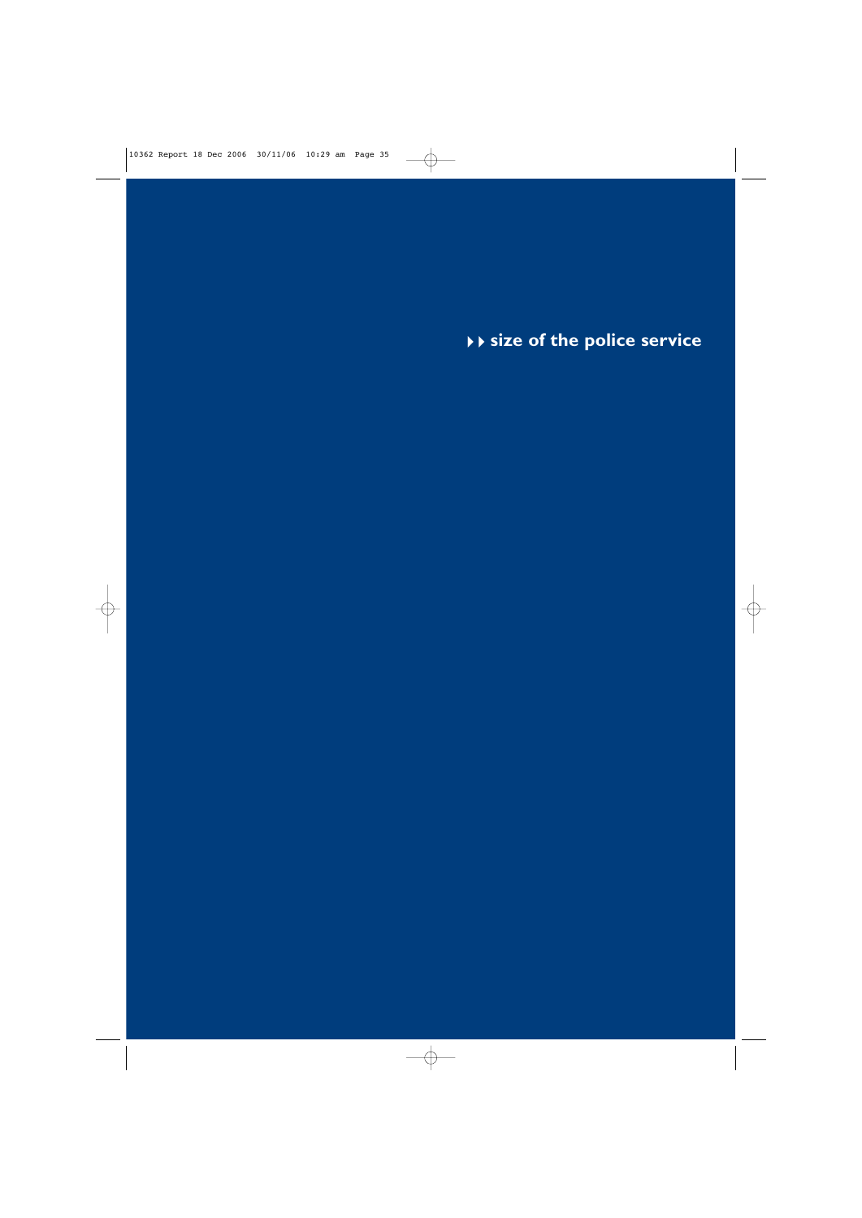--**size of the police service**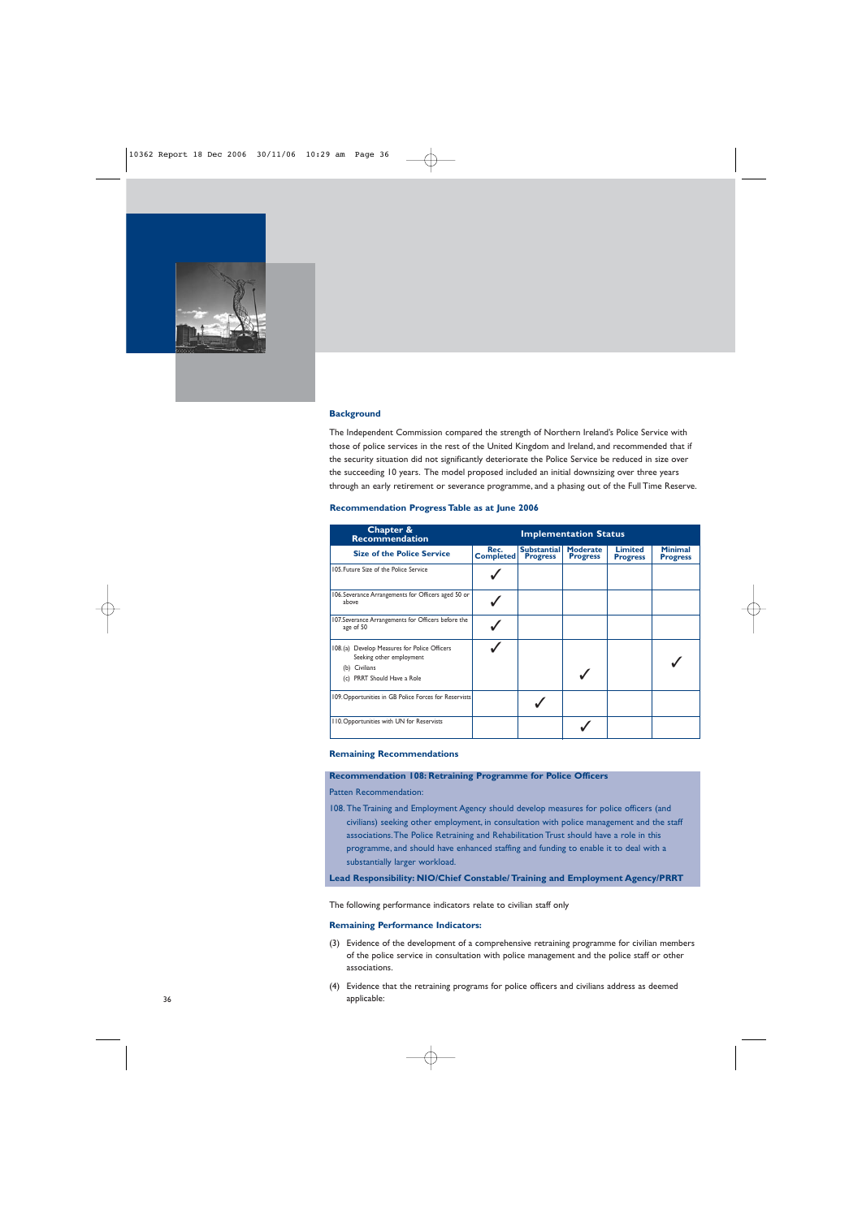

The Independent Commission compared the strength of Northern Ireland's Police Service with those of police services in the rest of the United Kingdom and Ireland, and recommended that if the security situation did not significantly deteriorate the Police Service be reduced in size over the succeeding 10 years. The model proposed included an initial downsizing over three years through an early retirement or severance programme, and a phasing out of the Full Time Reserve.

#### **Recommendation Progress Table as at June 2006**

| Chapter &<br><b>Recommendation</b>                                                                                             | <b>Implementation Status</b> |                                       |                             |                                   |                                   |
|--------------------------------------------------------------------------------------------------------------------------------|------------------------------|---------------------------------------|-----------------------------|-----------------------------------|-----------------------------------|
| <b>Size of the Police Service</b>                                                                                              | Rec.<br><b>Completed</b>     | <b>Substantial</b><br><b>Progress</b> | Moderate<br><b>Progress</b> | <b>Limited</b><br><b>Progress</b> | <b>Minimal</b><br><b>Progress</b> |
| 105. Future Size of the Police Service                                                                                         |                              |                                       |                             |                                   |                                   |
| 106. Severance Arrangements for Officers aged 50 or<br>above                                                                   |                              |                                       |                             |                                   |                                   |
| 107. Severance Arrangements for Officers before the<br>age of 50                                                               |                              |                                       |                             |                                   |                                   |
| 108.(a) Develop Measures for Police Officers<br>Seeking other employment<br>Civilians<br>(b)<br>PRRT Should Have a Role<br>(c) |                              |                                       |                             |                                   |                                   |
| 109. Opportunities in GB Police Forces for Reservists                                                                          |                              |                                       |                             |                                   |                                   |
| 110. Opportunities with UN for Reservists                                                                                      |                              |                                       |                             |                                   |                                   |

## **Remaining Recommendations**

#### **Recommendation 108: Retraining Programme for Police Officers**

Patten Recommendation:

108. The Training and Employment Agency should develop measures for police officers (and civilians) seeking other employment, in consultation with police management and the staff associations.The Police Retraining and Rehabilitation Trust should have a role in this programme, and should have enhanced staffing and funding to enable it to deal with a substantially larger workload.

**Lead Responsibility: NIO/Chief Constable/ Training and Employment Agency/PRRT**

The following performance indicators relate to civilian staff only

- (3) Evidence of the development of a comprehensive retraining programme for civilian members of the police service in consultation with police management and the police staff or other associations.
- (4) Evidence that the retraining programs for police officers and civilians address as deemed applicable: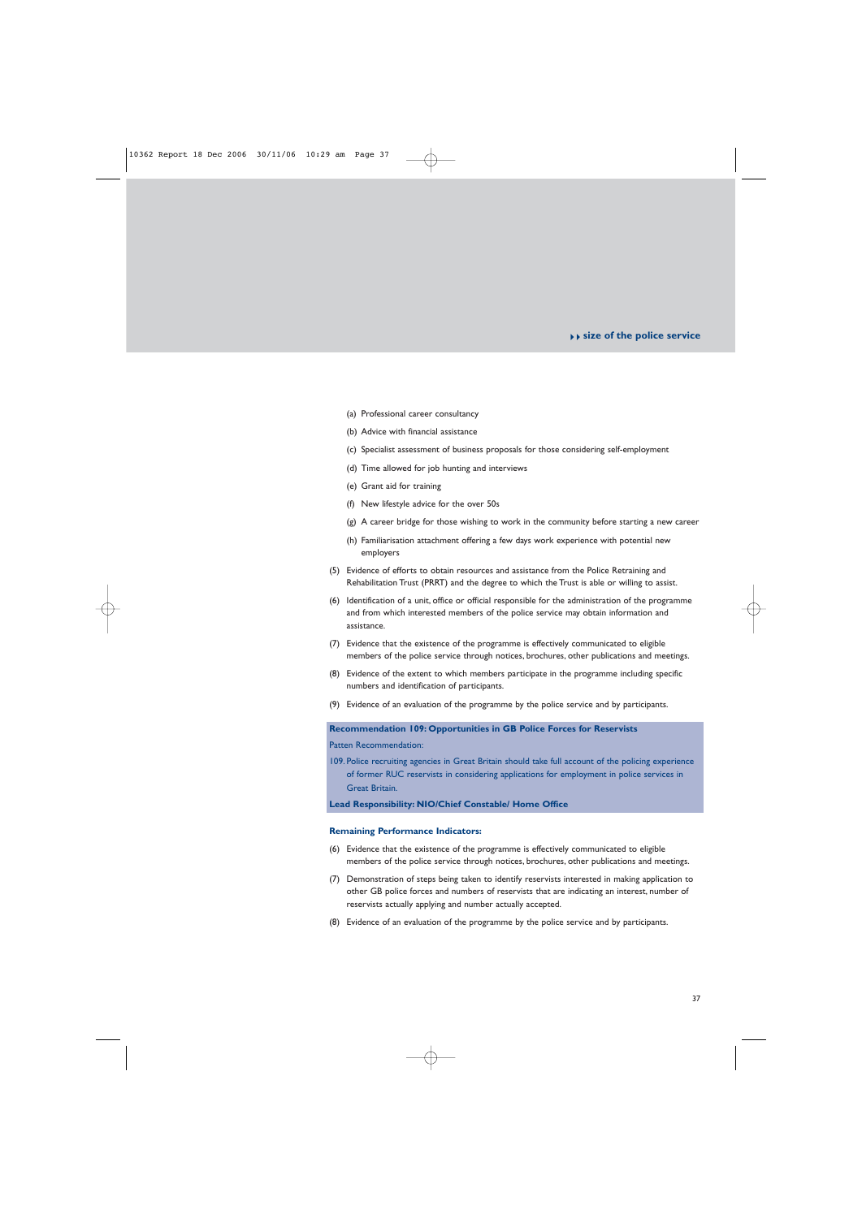# --**size of the police service**

- (a) Professional career consultancy
- (b) Advice with financial assistance
- (c) Specialist assessment of business proposals for those considering self-employment
- (d) Time allowed for job hunting and interviews
- (e) Grant aid for training
- (f) New lifestyle advice for the over 50s
- (g) A career bridge for those wishing to work in the community before starting a new career
- (h) Familiarisation attachment offering a few days work experience with potential new employers
- (5) Evidence of efforts to obtain resources and assistance from the Police Retraining and Rehabilitation Trust (PRRT) and the degree to which the Trust is able or willing to assist.
- (6) Identification of a unit, office or official responsible for the administration of the programme and from which interested members of the police service may obtain information and assistance.
- (7) Evidence that the existence of the programme is effectively communicated to eligible members of the police service through notices, brochures, other publications and meetings.
- (8) Evidence of the extent to which members participate in the programme including specific numbers and identification of participants.
- (9) Evidence of an evaluation of the programme by the police service and by participants.

## **Recommendation 109: Opportunities in GB Police Forces for Reservists**

Patten Recommendation:

109. Police recruiting agencies in Great Britain should take full account of the policing experience of former RUC reservists in considering applications for employment in police services in Great Britain.

**Lead Responsibility: NIO/Chief Constable/ Home Office**

- (6) Evidence that the existence of the programme is effectively communicated to eligible members of the police service through notices, brochures, other publications and meetings.
- (7) Demonstration of steps being taken to identify reservists interested in making application to other GB police forces and numbers of reservists that are indicating an interest, number of reservists actually applying and number actually accepted.
- (8) Evidence of an evaluation of the programme by the police service and by participants.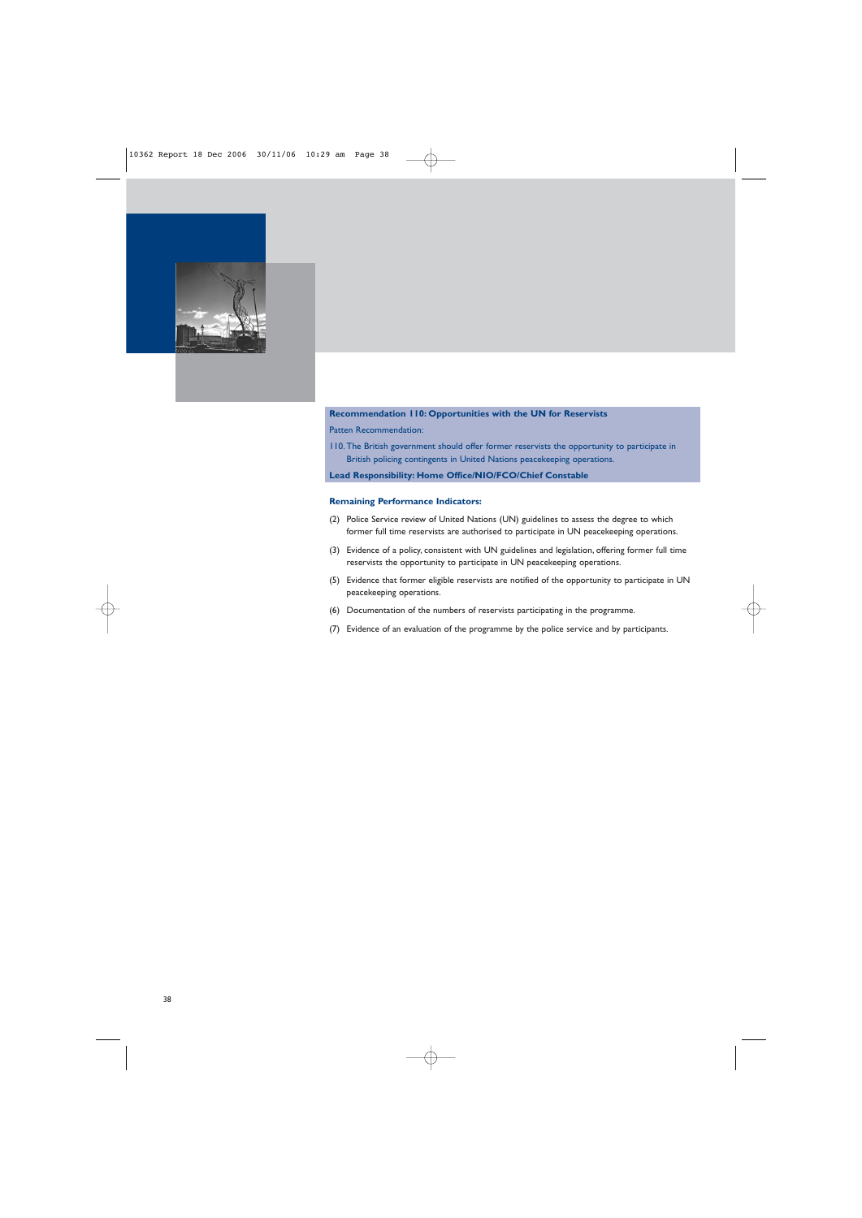

## **Recommendation 110: Opportunities with the UN for Reservists**

Patten Recommendation:

110. The British government should offer former reservists the opportunity to participate in British policing contingents in United Nations peacekeeping operations.

**Lead Responsibility: Home Office/NIO/FCO/Chief Constable**

- (2) Police Service review of United Nations (UN) guidelines to assess the degree to which former full time reservists are authorised to participate in UN peacekeeping operations.
- (3) Evidence of a policy, consistent with UN guidelines and legislation, offering former full time reservists the opportunity to participate in UN peacekeeping operations.
- (5) Evidence that former eligible reservists are notified of the opportunity to participate in UN peacekeeping operations.
- (6) Documentation of the numbers of reservists participating in the programme.
- (7) Evidence of an evaluation of the programme by the police service and by participants.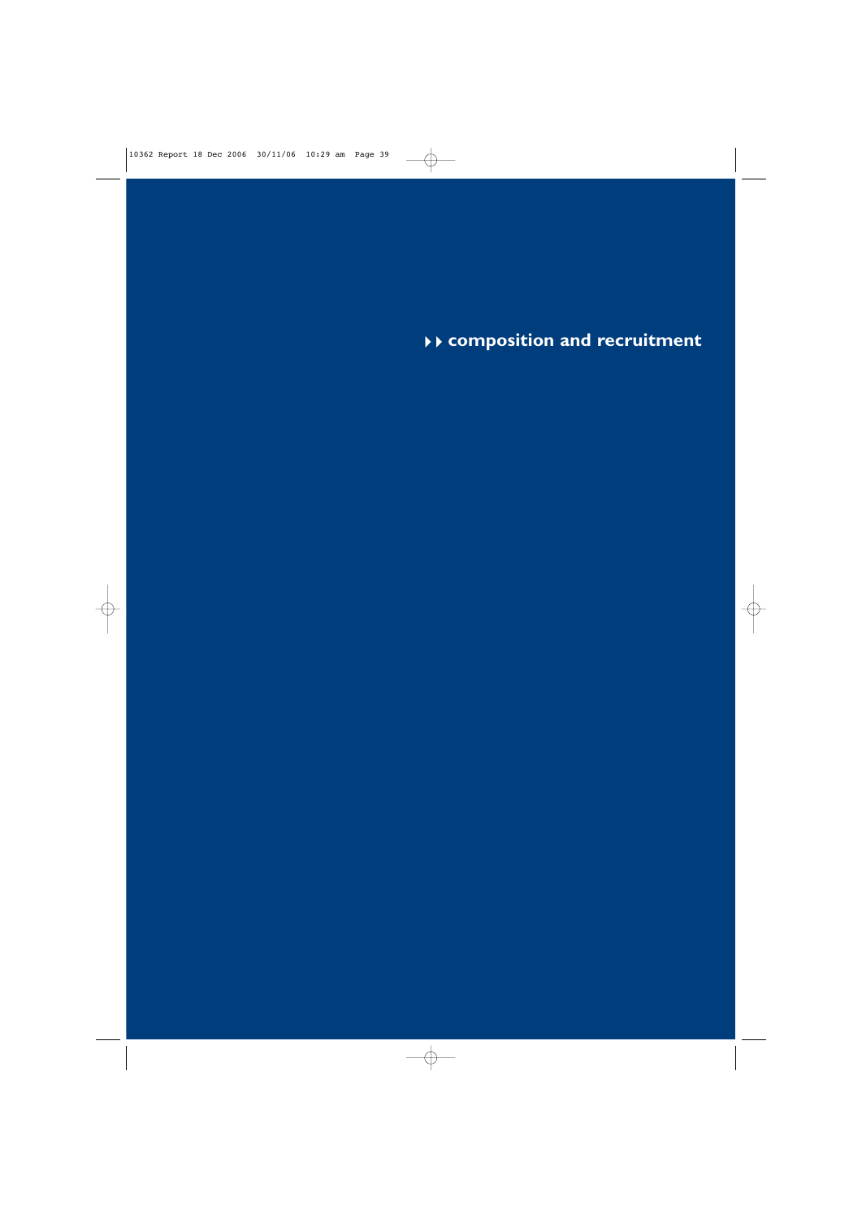--**composition and recruitment**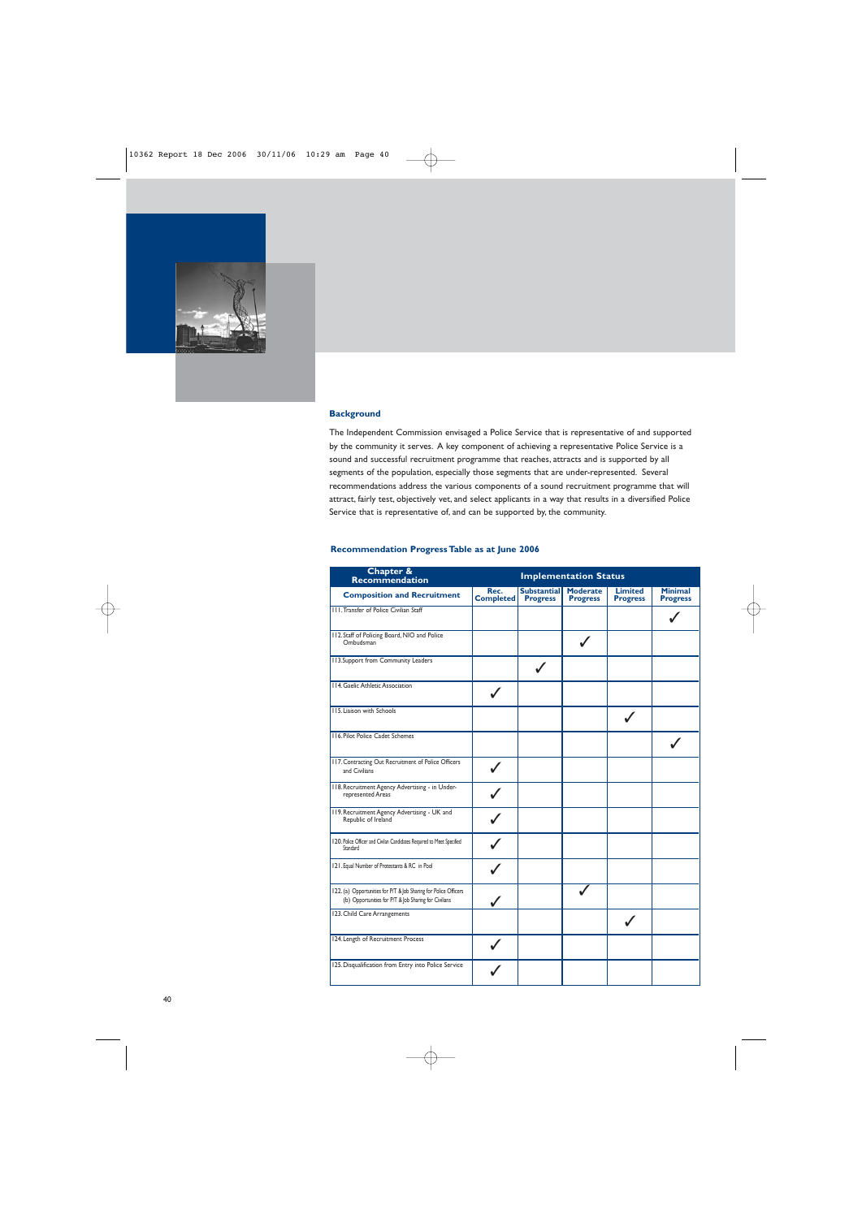

The Independent Commission envisaged a Police Service that is representative of and supported by the community it serves. A key component of achieving a representative Police Service is a sound and successful recruitment programme that reaches, attracts and is supported by all segments of the population, especially those segments that are under-represented. Several recommendations address the various components of a sound recruitment programme that will attract, fairly test, objectively vet, and select applicants in a way that results in a diversified Police Service that is representative of, and can be supported by, the community.

## **Recommendation Progress Table as at June 2006**

| Chapter &<br><b>Recommendation</b>                                                                                        |                          | <b>Implementation Status</b>          |                                    |                                   |                                   |
|---------------------------------------------------------------------------------------------------------------------------|--------------------------|---------------------------------------|------------------------------------|-----------------------------------|-----------------------------------|
| <b>Composition and Recruitment</b>                                                                                        | Rec.<br><b>Completed</b> | <b>Substantial</b><br><b>Progress</b> | <b>Moderate</b><br><b>Progress</b> | <b>Limited</b><br><b>Progress</b> | <b>Minimal</b><br><b>Progress</b> |
| 111. Transfer of Police Civilian Staff                                                                                    |                          |                                       |                                    |                                   |                                   |
| 112. Staff of Policing Board, NIO and Police<br>Ombudsman                                                                 |                          |                                       |                                    |                                   |                                   |
| 113. Support from Community Leaders                                                                                       |                          | $\checkmark$                          |                                    |                                   |                                   |
| 114. Gaelic Athletic Association                                                                                          |                          |                                       |                                    |                                   |                                   |
| 115. Liaison with Schools                                                                                                 |                          |                                       |                                    |                                   |                                   |
| 116. Pilot Police Cadet Schemes                                                                                           |                          |                                       |                                    |                                   |                                   |
| 117. Contracting Out Recruitment of Police Officers<br>and Civilians                                                      |                          |                                       |                                    |                                   |                                   |
| 118. Recruitment Agency Advertising - in Under-<br>represented Areas                                                      |                          |                                       |                                    |                                   |                                   |
| 119. Recruitment Agency Advertising - UK and<br>Republic of Ireland                                                       |                          |                                       |                                    |                                   |                                   |
| I 20. Police Officer and Civilan Candidates Required to Meet Specified<br>Standard                                        |                          |                                       |                                    |                                   |                                   |
| 121. Equal Number of Protestants & RC in Pool                                                                             |                          |                                       |                                    |                                   |                                   |
| 122. (a) Opportunities for P/T & Job Sharing for Police Officers<br>(b) Opportunities for P/T & Job Sharing for Civilians |                          |                                       |                                    |                                   |                                   |
| 123. Child Care Arrangements                                                                                              |                          |                                       |                                    |                                   |                                   |
| 124. Length of Recruitment Process                                                                                        |                          |                                       |                                    |                                   |                                   |
| 125. Disqualification from Entry into Police Service                                                                      |                          |                                       |                                    |                                   |                                   |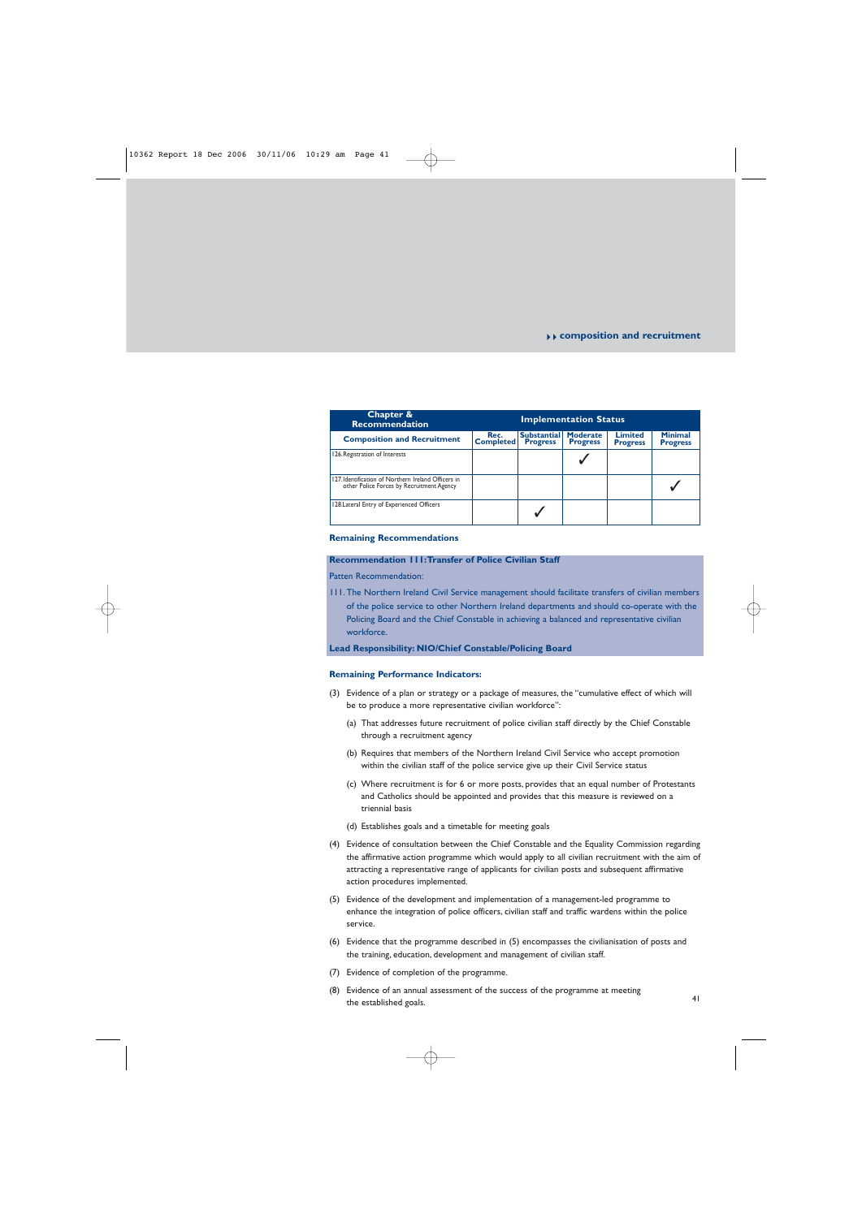# --**composition and recruitment**

| Chapter &<br><b>Recommendation</b>                                                              | <b>Implementation Status</b> |                                       |                                    |                                   |                                   |
|-------------------------------------------------------------------------------------------------|------------------------------|---------------------------------------|------------------------------------|-----------------------------------|-----------------------------------|
| <b>Composition and Recruitment</b>                                                              | Rec.<br><b>Completed</b>     | <b>Substantial</b><br><b>Progress</b> | <b>Moderate</b><br><b>Progress</b> | <b>Limited</b><br><b>Progress</b> | <b>Minimal</b><br><b>Progress</b> |
| 126. Registration of Interests                                                                  |                              |                                       |                                    |                                   |                                   |
| 127 Identification of Northern Ireland Officers in<br>other Police Forces by Recruitment Agency |                              |                                       |                                    |                                   |                                   |
| 128. Lateral Entry of Experienced Officers                                                      |                              |                                       |                                    |                                   |                                   |

#### **Remaining Recommendations**

# **Recommendation 111:Transfer of Police Civilian Staff**

Patten Recommendation:

111. The Northern Ireland Civil Service management should facilitate transfers of civilian members of the police service to other Northern Ireland departments and should co-operate with the Policing Board and the Chief Constable in achieving a balanced and representative civilian workforce.

#### **Lead Responsibility: NIO/Chief Constable/Policing Board**

- (3) Evidence of a plan or strategy or a package of measures, the "cumulative effect of which will be to produce a more representative civilian workforce":
	- (a) That addresses future recruitment of police civilian staff directly by the Chief Constable through a recruitment agency
	- (b) Requires that members of the Northern Ireland Civil Service who accept promotion within the civilian staff of the police service give up their Civil Service status
	- (c) Where recruitment is for 6 or more posts, provides that an equal number of Protestants and Catholics should be appointed and provides that this measure is reviewed on a triennial basis
	- (d) Establishes goals and a timetable for meeting goals
- (4) Evidence of consultation between the Chief Constable and the Equality Commission regarding the affirmative action programme which would apply to all civilian recruitment with the aim of attracting a representative range of applicants for civilian posts and subsequent affirmative action procedures implemented.
- (5) Evidence of the development and implementation of a management-led programme to enhance the integration of police officers, civilian staff and traffic wardens within the police service.
- (6) Evidence that the programme described in (5) encompasses the civilianisation of posts and the training, education, development and management of civilian staff.
- (7) Evidence of completion of the programme.
- (8) Evidence of an annual assessment of the success of the programme at meeting the established goals.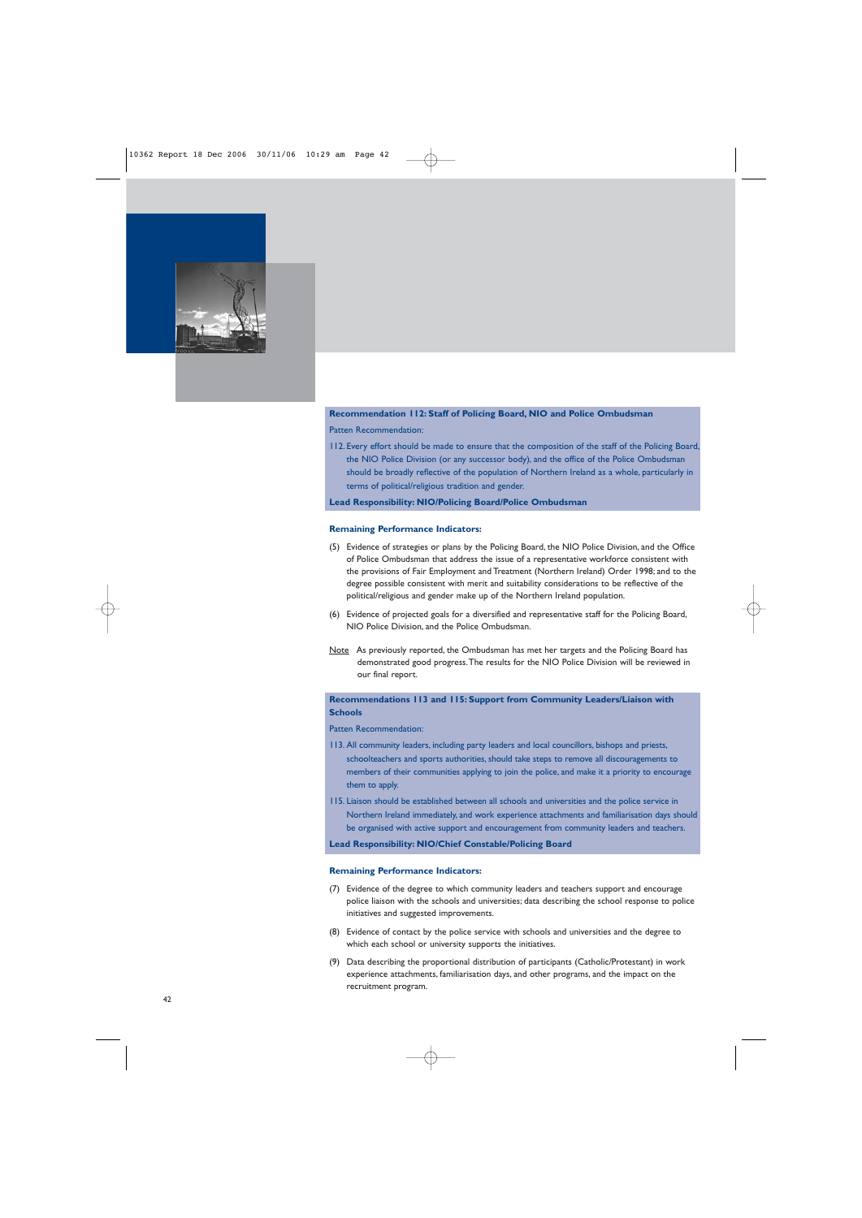

# **Recommendation 112: Staff of Policing Board, NIO and Police Ombudsman**

#### Patten Recommendation:

112. Every effort should be made to ensure that the composition of the staff of the Policing Board, the NIO Police Division (or any successor body), and the office of the Police Ombudsman should be broadly reflective of the population of Northern Ireland as a whole, particularly in terms of political/religious tradition and gender.

**Lead Responsibility: NIO/Policing Board/Police Ombudsman**

#### **Remaining Performance Indicators:**

- (5) Evidence of strategies or plans by the Policing Board, the NIO Police Division, and the Office of Police Ombudsman that address the issue of a representative workforce consistent with the provisions of Fair Employment and Treatment (Northern Ireland) Order 1998; and to the degree possible consistent with merit and suitability considerations to be reflective of the political/religious and gender make up of the Northern Ireland population.
- (6) Evidence of projected goals for a diversified and representative staff for the Policing Board, NIO Police Division, and the Police Ombudsman.
- Note As previously reported, the Ombudsman has met her targets and the Policing Board has demonstrated good progress.The results for the NIO Police Division will be reviewed in our final report.

# **Recommendations 113 and 115: Support from Community Leaders/Liaison with Schools**

#### Patten Recommendation:

- 113. All community leaders, including party leaders and local councillors, bishops and priests, schoolteachers and sports authorities, should take steps to remove all discouragements to members of their communities applying to join the police, and make it a priority to encourage them to apply.
- 115. Liaison should be established between all schools and universities and the police service in Northern Ireland immediately, and work experience attachments and familiarisation days should be organised with active support and encouragement from community leaders and teachers.

**Lead Responsibility: NIO/Chief Constable/Policing Board**

- (7) Evidence of the degree to which community leaders and teachers support and encourage police liaison with the schools and universities; data describing the school response to police initiatives and suggested improvements.
- (8) Evidence of contact by the police service with schools and universities and the degree to which each school or university supports the initiatives.
- (9) Data describing the proportional distribution of participants (Catholic/Protestant) in work experience attachments, familiarisation days, and other programs, and the impact on the recruitment program.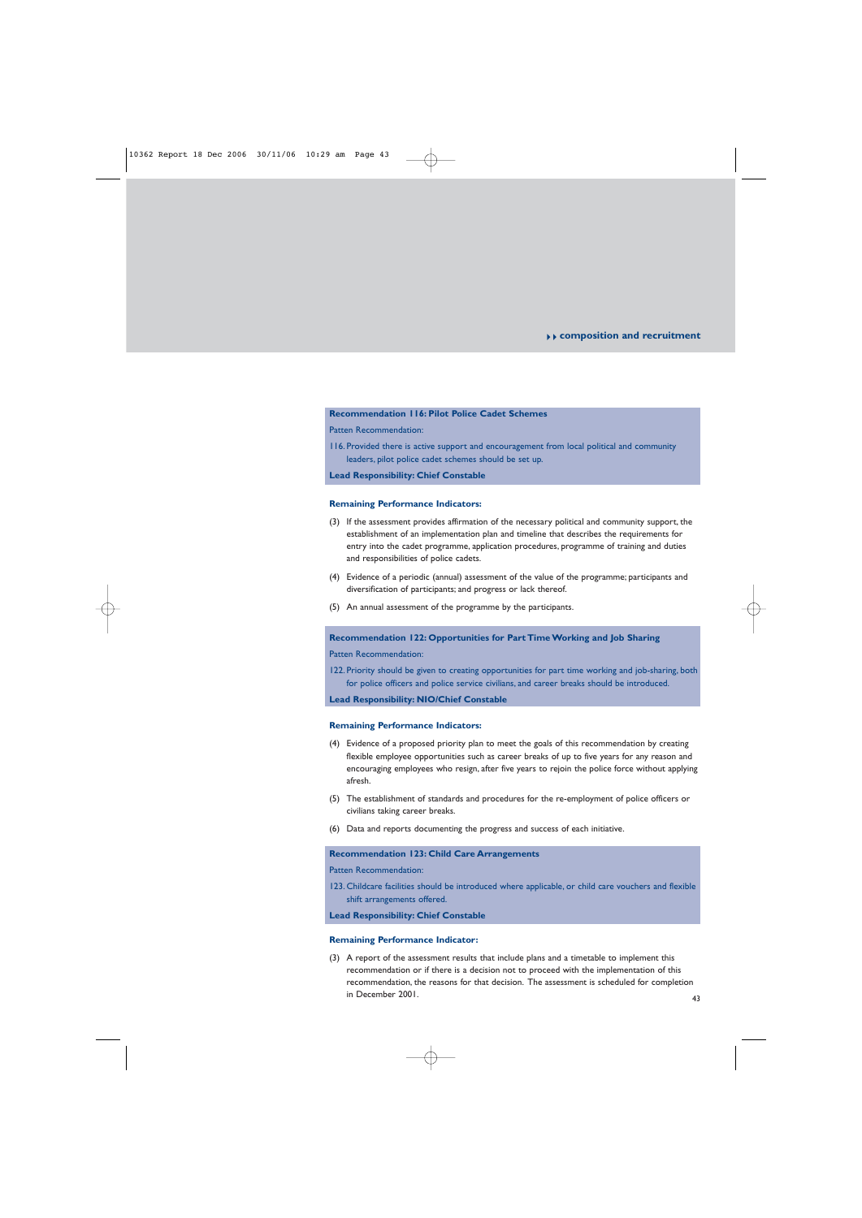# --**composition and recruitment**

## **Recommendation 116: Pilot Police Cadet Schemes**

Patten Recommendation:

116. Provided there is active support and encouragement from local political and community leaders, pilot police cadet schemes should be set up.

**Lead Responsibility: Chief Constable**

#### **Remaining Performance Indicators:**

- (3) If the assessment provides affirmation of the necessary political and community support, the establishment of an implementation plan and timeline that describes the requirements for entry into the cadet programme, application procedures, programme of training and duties and responsibilities of police cadets.
- (4) Evidence of a periodic (annual) assessment of the value of the programme; participants and diversification of participants; and progress or lack thereof.
- (5) An annual assessment of the programme by the participants.

# **Recommendation 122: Opportunities for Part Time Working and Job Sharing**

Patten Recommendation:

122. Priority should be given to creating opportunities for part time working and job-sharing, both for police officers and police service civilians, and career breaks should be introduced.

**Lead Responsibility: NIO/Chief Constable**

#### **Remaining Performance Indicators:**

- (4) Evidence of a proposed priority plan to meet the goals of this recommendation by creating flexible employee opportunities such as career breaks of up to five years for any reason and encouraging employees who resign, after five years to rejoin the police force without applying afresh.
- (5) The establishment of standards and procedures for the re-employment of police officers or civilians taking career breaks.
- (6) Data and reports documenting the progress and success of each initiative.

#### **Recommendation 123: Child Care Arrangements**

Patten Recommendation:

123. Childcare facilities should be introduced where applicable, or child care vouchers and flexible shift arrangements offered.

**Lead Responsibility: Chief Constable**

#### **Remaining Performance Indicator:**

(3) A report of the assessment results that include plans and a timetable to implement this recommendation or if there is a decision not to proceed with the implementation of this recommendation, the reasons for that decision. The assessment is scheduled for completion in December 2001.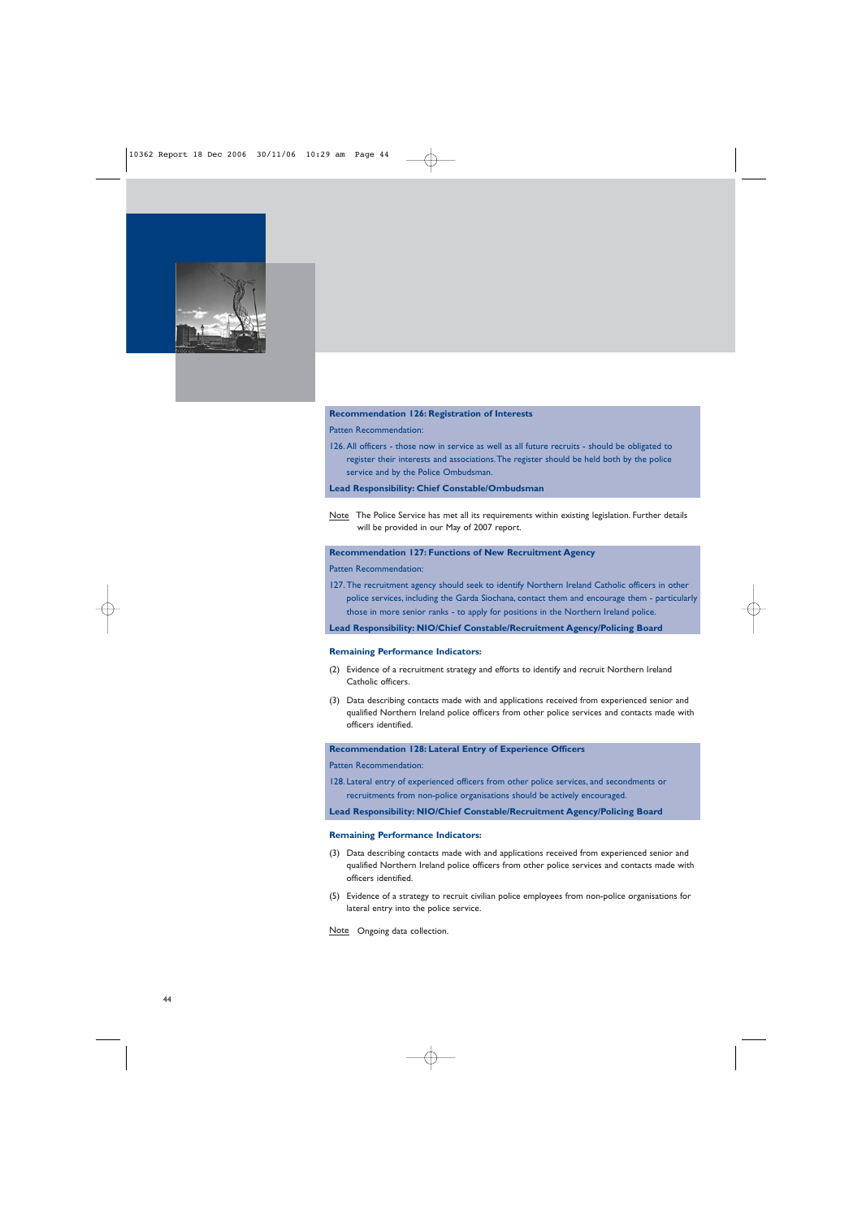

#### **Recommendation 126: Registration of Interests**

Patten Recommendation:

126. All officers - those now in service as well as all future recruits - should be obligated to register their interests and associations.The register should be held both by the police service and by the Police Ombudsman.

**Lead Responsibility: Chief Constable/Ombudsman**

Note The Police Service has met all its requirements within existing legislation. Further details will be provided in our May of 2007 report.

# **Recommendation 127: Functions of New Recruitment Agency**

Patten Recommendation:

127. The recruitment agency should seek to identify Northern Ireland Catholic officers in other police services, including the Garda Siochana, contact them and encourage them - particularly those in more senior ranks - to apply for positions in the Northern Ireland police.

**Lead Responsibility: NIO/Chief Constable/Recruitment Agency/Policing Board**

#### **Remaining Performance Indicators:**

- (2) Evidence of a recruitment strategy and efforts to identify and recruit Northern Ireland Catholic officers.
- (3) Data describing contacts made with and applications received from experienced senior and qualified Northern Ireland police officers from other police services and contacts made with officers identified.

# **Recommendation 128: Lateral Entry of Experience Officers**

Patten Recommendation:

128. Lateral entry of experienced officers from other police services, and secondments or recruitments from non-police organisations should be actively encouraged.

**Lead Responsibility: NIO/Chief Constable/Recruitment Agency/Policing Board**

- (3) Data describing contacts made with and applications received from experienced senior and qualified Northern Ireland police officers from other police services and contacts made with officers identified.
- (5) Evidence of a strategy to recruit civilian police employees from non-police organisations for lateral entry into the police service.
- Note Ongoing data collection.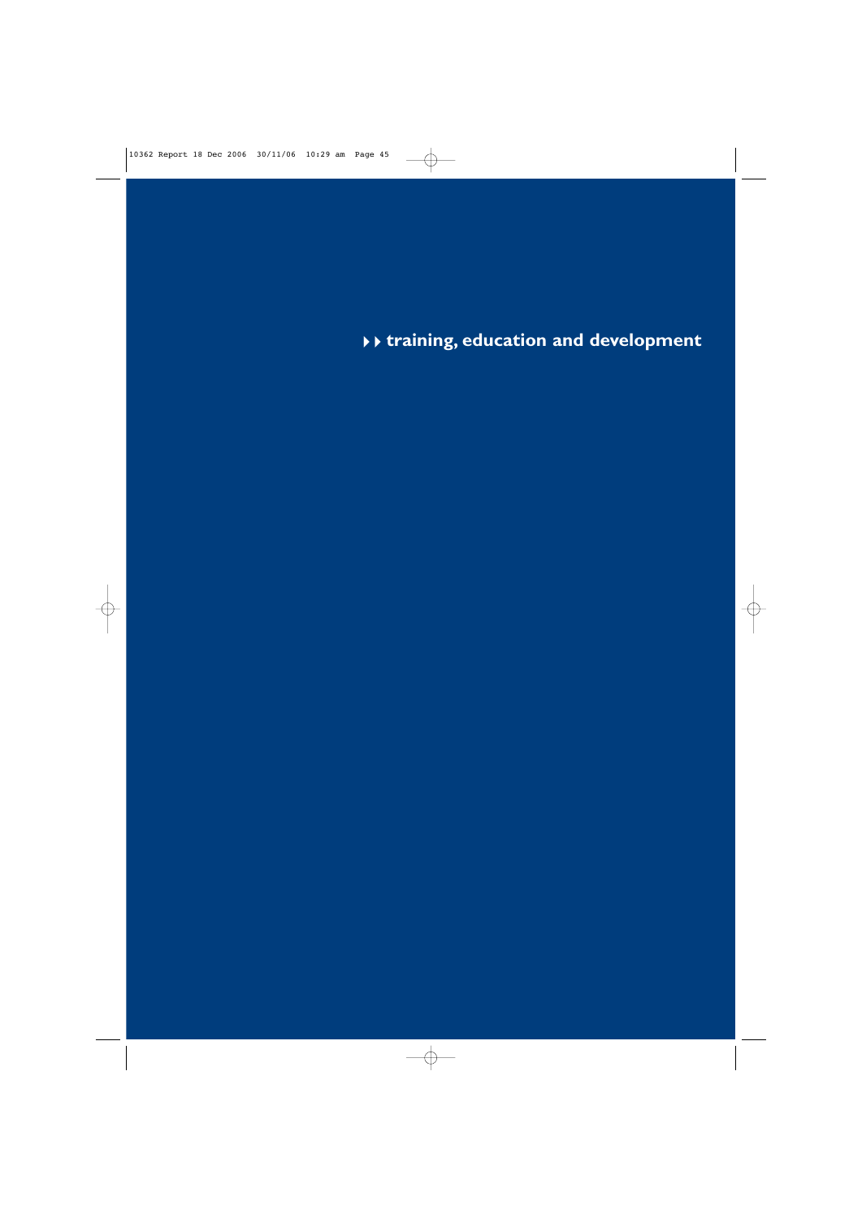--**training, education and development**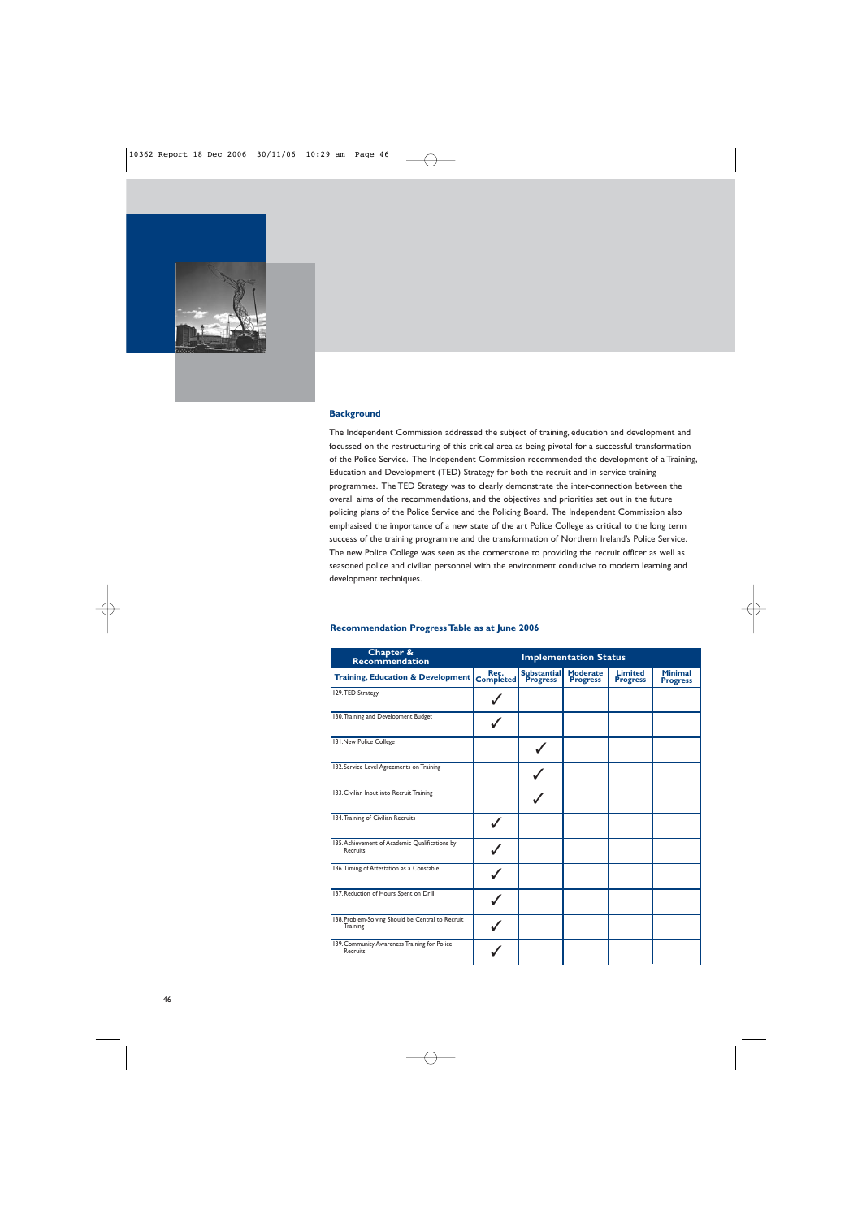

The Independent Commission addressed the subject of training, education and development and focussed on the restructuring of this critical area as being pivotal for a successful transformation of the Police Service. The Independent Commission recommended the development of a Training, Education and Development (TED) Strategy for both the recruit and in-service training programmes. The TED Strategy was to clearly demonstrate the inter-connection between the overall aims of the recommendations, and the objectives and priorities set out in the future policing plans of the Police Service and the Policing Board. The Independent Commission also emphasised the importance of a new state of the art Police College as critical to the long term success of the training programme and the transformation of Northern Ireland's Police Service. The new Police College was seen as the cornerstone to providing the recruit officer as well as seasoned police and civilian personnel with the environment conducive to modern learning and development techniques.

| <b>Chapter &amp;</b><br>Recommendation                               | <b>Implementation Status</b> |                                       |                                    |                                   |                                   |
|----------------------------------------------------------------------|------------------------------|---------------------------------------|------------------------------------|-----------------------------------|-----------------------------------|
| <b>Training, Education &amp; Development</b>                         | Rec.<br><b>Completed</b>     | <b>Substantial</b><br><b>Progress</b> | <b>Moderate</b><br><b>Progress</b> | <b>Limited</b><br><b>Progress</b> | <b>Minimal</b><br><b>Progress</b> |
| 129. TED Strategy                                                    |                              |                                       |                                    |                                   |                                   |
| 130. Training and Development Budget                                 |                              |                                       |                                    |                                   |                                   |
| 131. New Police College                                              |                              |                                       |                                    |                                   |                                   |
| 132. Service Level Agreements on Training                            |                              |                                       |                                    |                                   |                                   |
| 133. Civilian Input into Recruit Training                            |                              |                                       |                                    |                                   |                                   |
| 134. Training of Civilian Recruits                                   |                              |                                       |                                    |                                   |                                   |
| 135. Achievement of Academic Qualifications by<br>Recruits           |                              |                                       |                                    |                                   |                                   |
| 136. Timing of Attestation as a Constable                            |                              |                                       |                                    |                                   |                                   |
| 137. Reduction of Hours Spent on Drill                               |                              |                                       |                                    |                                   |                                   |
| 138. Problem-Solving Should be Central to Recruit<br><b>Training</b> |                              |                                       |                                    |                                   |                                   |
| 139. Community Awareness Training for Police<br>Recruits             |                              |                                       |                                    |                                   |                                   |

#### **Recommendation Progress Table as at June 2006**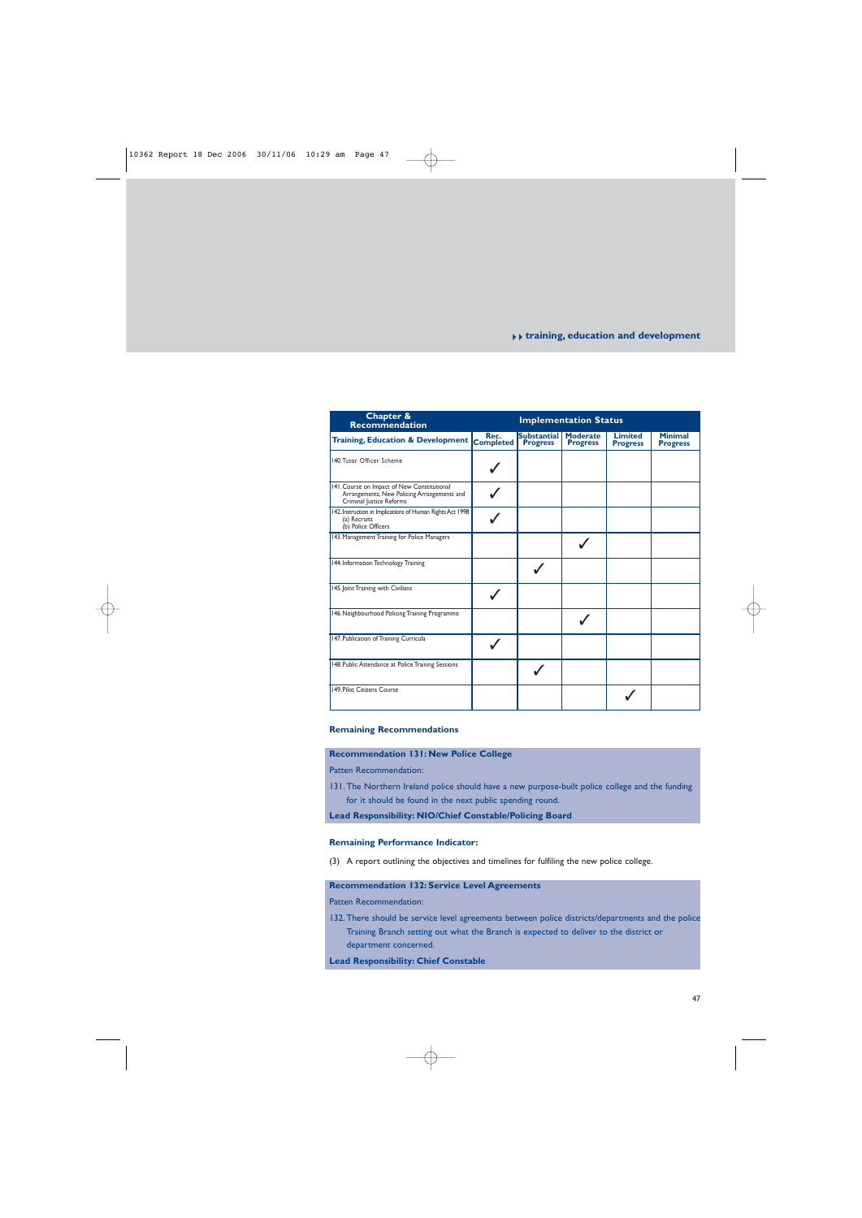# --**training, education and development**

| <b>Chapter &amp;</b><br><b>Recommendation</b>                                                                          |                          |                                       | <b>Implementation Status</b>       |                                   |                                   |
|------------------------------------------------------------------------------------------------------------------------|--------------------------|---------------------------------------|------------------------------------|-----------------------------------|-----------------------------------|
| <b>Training, Education &amp; Development</b>                                                                           | Rec.<br><b>Completed</b> | <b>Substantial</b><br><b>Progress</b> | <b>Moderate</b><br><b>Progress</b> | <b>Limited</b><br><b>Progress</b> | <b>Minimal</b><br><b>Progress</b> |
| 140. Tutor Officer Scheme                                                                                              |                          |                                       |                                    |                                   |                                   |
| 141. Course on Impact of New Constitutional<br>Arrangements, New Policing Arrangements and<br>Criminal Justice Reforms |                          |                                       |                                    |                                   |                                   |
| 142. Instruction in Implications of Human Rights Act 1998<br>(a) Recruits<br>(b) Police Officers                       |                          |                                       |                                    |                                   |                                   |
| 143. Management Training for Police Managers                                                                           |                          |                                       |                                    |                                   |                                   |
| 144. Information Technology Training                                                                                   |                          |                                       |                                    |                                   |                                   |
| 145. Joint Training with Civilians                                                                                     |                          |                                       |                                    |                                   |                                   |
| 146. Neighbourhood Policing Training Programme                                                                         |                          |                                       |                                    |                                   |                                   |
| 147. Publication of Training Curricula                                                                                 |                          |                                       |                                    |                                   |                                   |
| 148. Public Attendance at Police Training Sessions                                                                     |                          |                                       |                                    |                                   |                                   |
| 149. Pilot Citizens Course                                                                                             |                          |                                       |                                    |                                   |                                   |

## **Remaining Recommendations**

## **Recommendation 131: New Police College**

Patten Recommendation:

- 131. The Northern Ireland police should have a new purpose-built police college and the funding for it should be found in the next public spending round.
- **Lead Responsibility: NIO/Chief Constable/Policing Board**

#### **Remaining Performance Indicator:**

(3) A report outlining the objectives and timelines for fulfiling the new police college.

# **Recommendation 132: Service Level Agreements**

Patten Recommendation:

132. There should be service level agreements between police districts/departments and the police Training Branch setting out what the Branch is expected to deliver to the district or department concerned.

**Lead Responsibility: Chief Constable**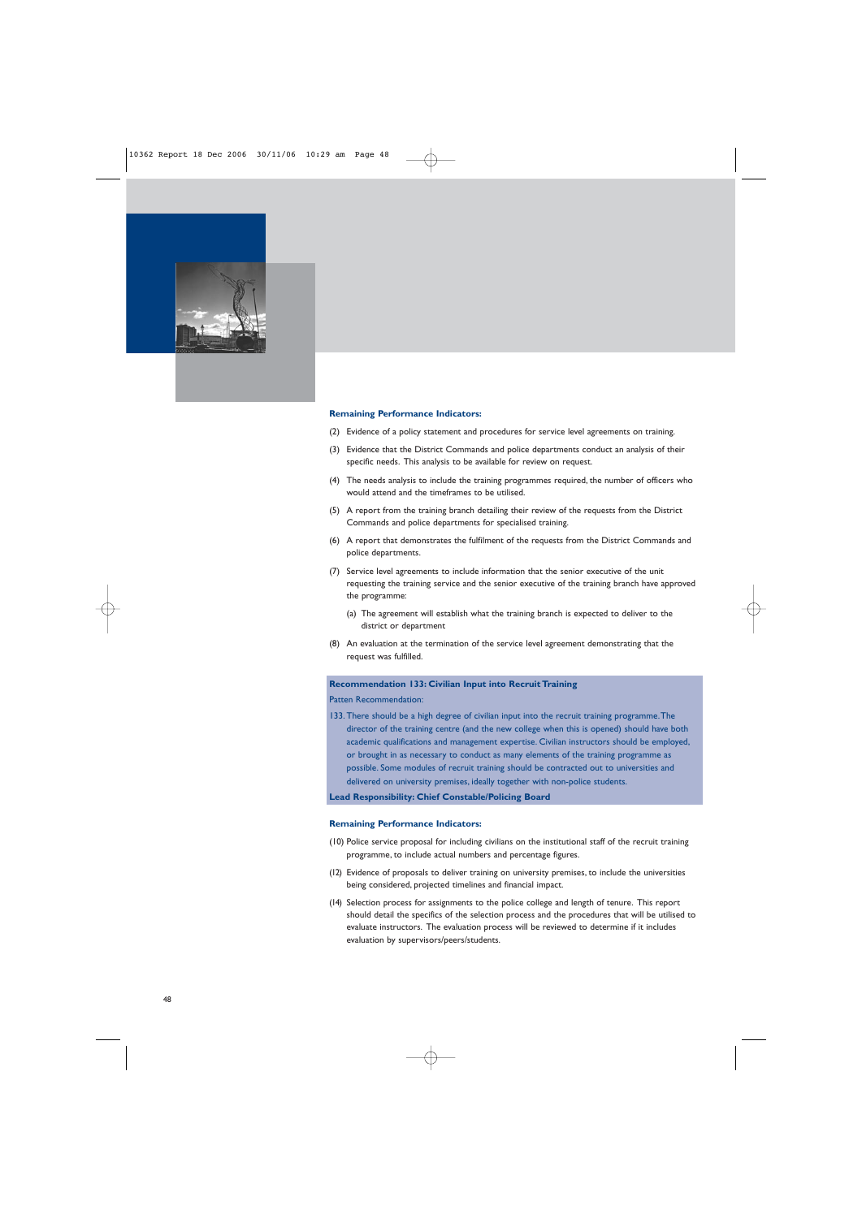

#### **Remaining Performance Indicators:**

- (2) Evidence of a policy statement and procedures for service level agreements on training.
- (3) Evidence that the District Commands and police departments conduct an analysis of their specific needs. This analysis to be available for review on request.
- (4) The needs analysis to include the training programmes required, the number of officers who would attend and the timeframes to be utilised.
- (5) A report from the training branch detailing their review of the requests from the District Commands and police departments for specialised training.
- (6) A report that demonstrates the fulfilment of the requests from the District Commands and police departments.
- (7) Service level agreements to include information that the senior executive of the unit requesting the training service and the senior executive of the training branch have approved the programme:
	- (a) The agreement will establish what the training branch is expected to deliver to the district or department
- (8) An evaluation at the termination of the service level agreement demonstrating that the request was fulfilled.

## **Recommendation 133: Civilian Input into Recruit Training**

Patten Recommendation:

133. There should be a high degree of civilian input into the recruit training programme.The director of the training centre (and the new college when this is opened) should have both academic qualifications and management expertise. Civilian instructors should be employed, or brought in as necessary to conduct as many elements of the training programme as possible. Some modules of recruit training should be contracted out to universities and delivered on university premises, ideally together with non-police students.

**Lead Responsibility: Chief Constable/Policing Board**

- (10) Police service proposal for including civilians on the institutional staff of the recruit training programme, to include actual numbers and percentage figures.
- (12) Evidence of proposals to deliver training on university premises, to include the universities being considered, projected timelines and financial impact.
- (14) Selection process for assignments to the police college and length of tenure. This report should detail the specifics of the selection process and the procedures that will be utilised to evaluate instructors. The evaluation process will be reviewed to determine if it includes evaluation by supervisors/peers/students.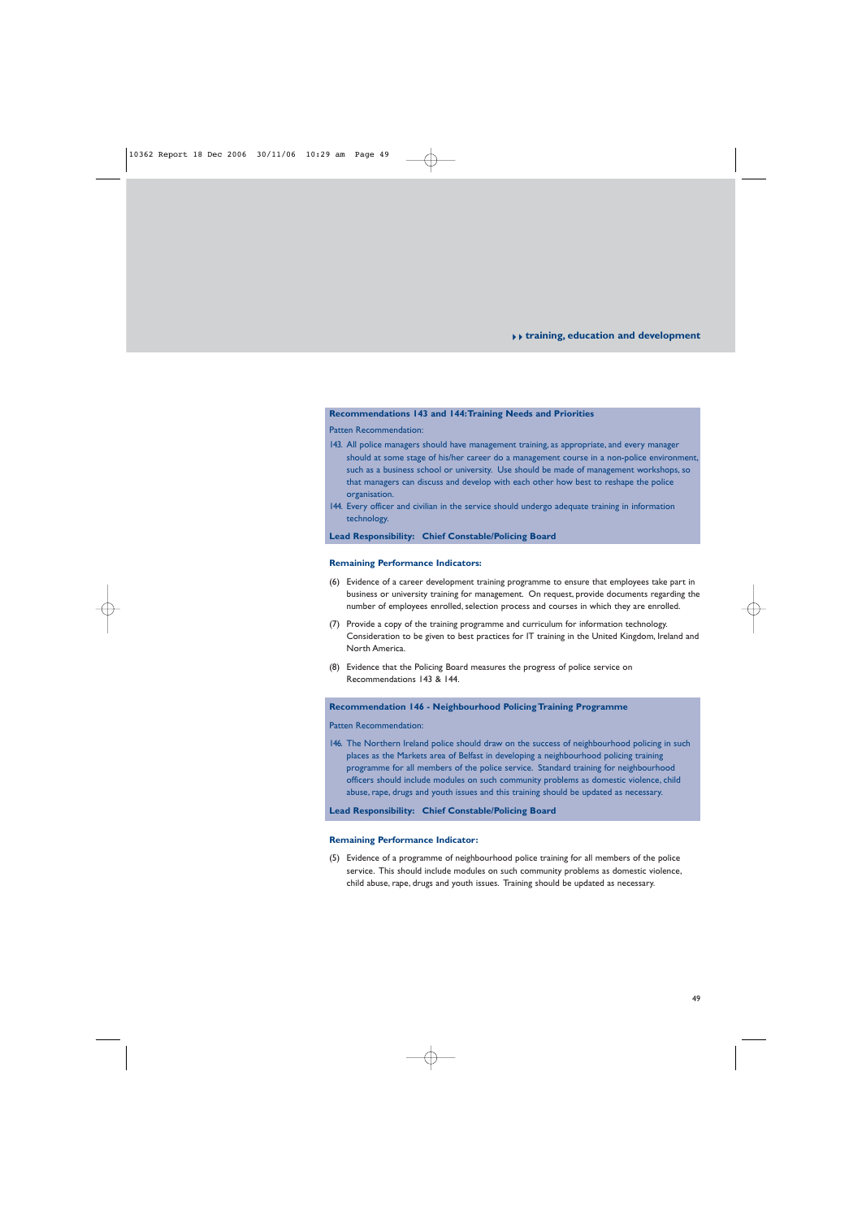#### **Recommendations 143 and 144:Training Needs and Priorities**

Patten Recommendation:

- 143. All police managers should have management training, as appropriate, and every manager should at some stage of his/her career do a management course in a non-police environment, such as a business school or university. Use should be made of management workshops, so that managers can discuss and develop with each other how best to reshape the police organisation.
- 144. Every officer and civilian in the service should undergo adequate training in information technology.

**Lead Responsibility: Chief Constable/Policing Board**

## **Remaining Performance Indicators:**

- (6) Evidence of a career development training programme to ensure that employees take part in business or university training for management. On request, provide documents regarding the number of employees enrolled, selection process and courses in which they are enrolled.
- (7) Provide a copy of the training programme and curriculum for information technology. Consideration to be given to best practices for IT training in the United Kingdom, Ireland and North America.
- (8) Evidence that the Policing Board measures the progress of police service on Recommendations 143 & 144.

# **Recommendation 146 - Neighbourhood Policing Training Programme**

Patten Recommendation:

146. The Northern Ireland police should draw on the success of neighbourhood policing in such places as the Markets area of Belfast in developing a neighbourhood policing training programme for all members of the police service. Standard training for neighbourhood officers should include modules on such community problems as domestic violence, child abuse, rape, drugs and youth issues and this training should be updated as necessary.

#### **Lead Responsibility: Chief Constable/Policing Board**

#### **Remaining Performance Indicator:**

(5) Evidence of a programme of neighbourhood police training for all members of the police service. This should include modules on such community problems as domestic violence, child abuse, rape, drugs and youth issues. Training should be updated as necessary.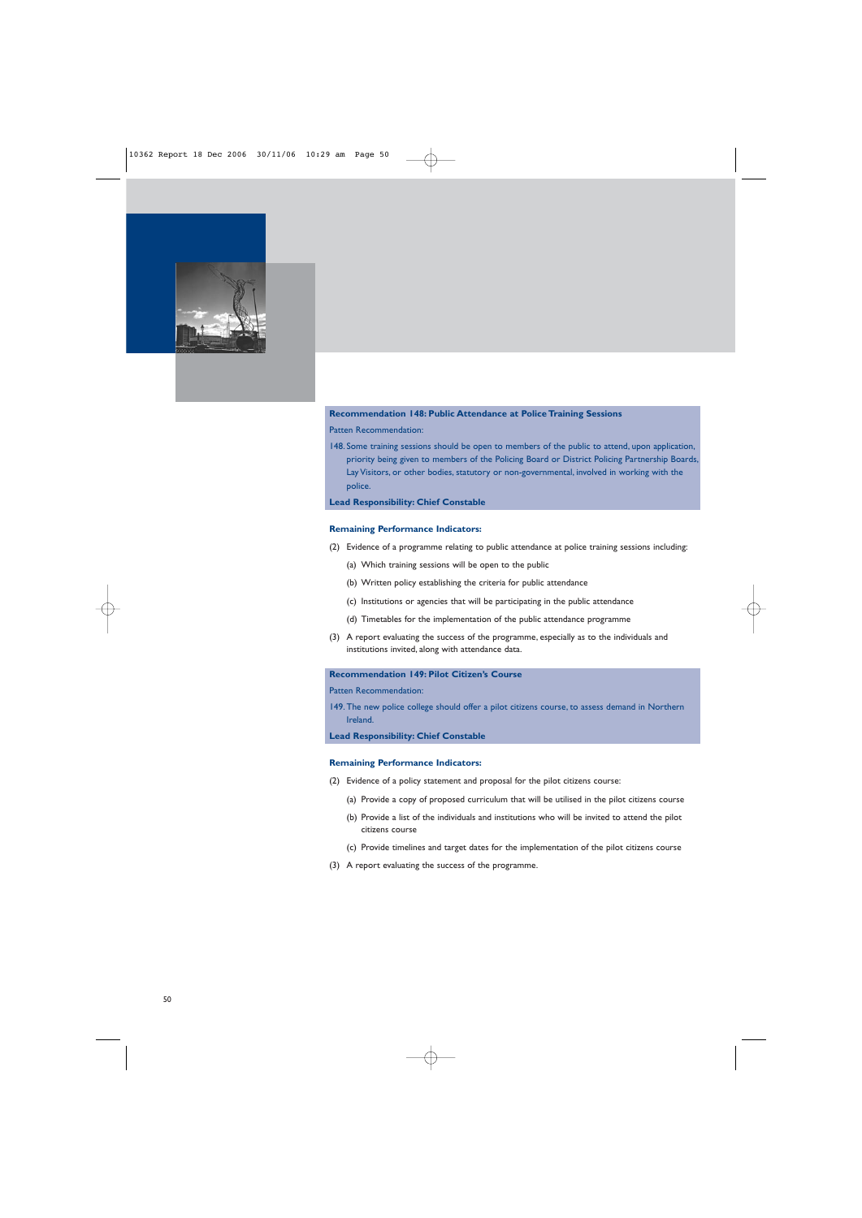

# **Recommendation 148: Public Attendance at Police Training Sessions**

Patten Recommendation:

148. Some training sessions should be open to members of the public to attend, upon application, priority being given to members of the Policing Board or District Policing Partnership Boards, Lay Visitors, or other bodies, statutory or non-governmental, involved in working with the police.

**Lead Responsibility: Chief Constable**

#### **Remaining Performance Indicators:**

- (2) Evidence of a programme relating to public attendance at police training sessions including:
	- (a) Which training sessions will be open to the public
	- (b) Written policy establishing the criteria for public attendance
	- (c) Institutions or agencies that will be participating in the public attendance
	- (d) Timetables for the implementation of the public attendance programme
- (3) A report evaluating the success of the programme, especially as to the individuals and institutions invited, along with attendance data.

## **Recommendation 149: Pilot Citizen's Course**

Patten Recommendation:

149. The new police college should offer a pilot citizens course, to assess demand in Northern Ireland.

**Lead Responsibility: Chief Constable**

- (2) Evidence of a policy statement and proposal for the pilot citizens course:
	- (a) Provide a copy of proposed curriculum that will be utilised in the pilot citizens course
	- (b) Provide a list of the individuals and institutions who will be invited to attend the pilot citizens course
	- (c) Provide timelines and target dates for the implementation of the pilot citizens course
- (3) A report evaluating the success of the programme.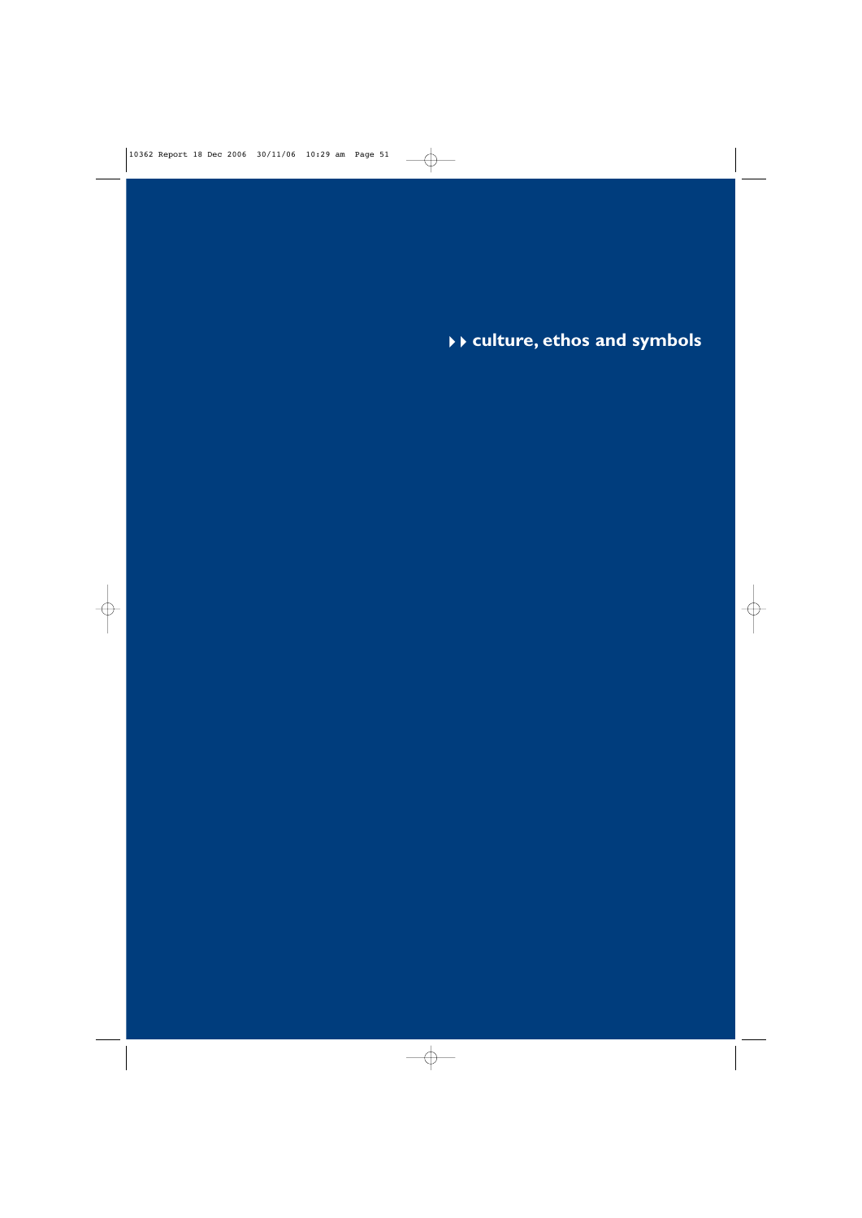--**culture, ethos and symbols**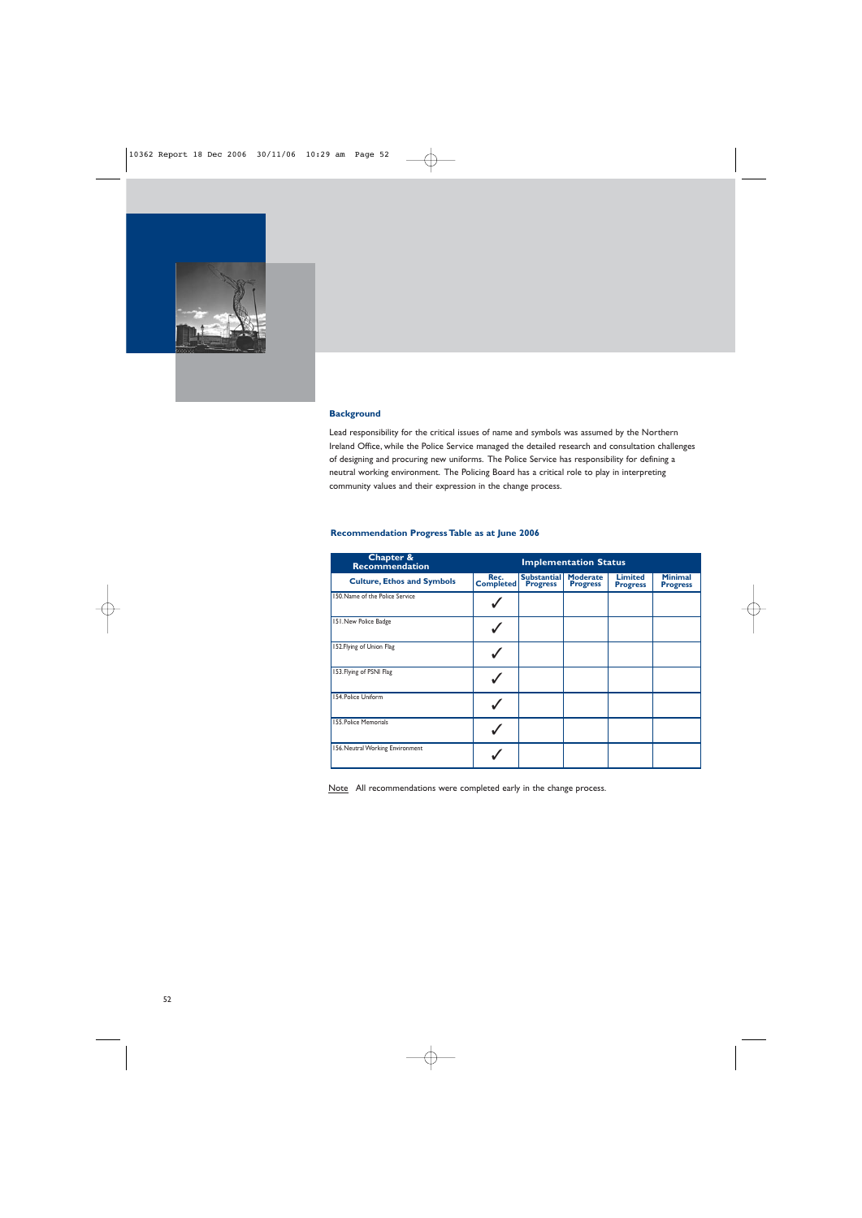

Lead responsibility for the critical issues of name and symbols was assumed by the Northern Ireland Office, while the Police Service managed the detailed research and consultation challenges of designing and procuring new uniforms. The Police Service has responsibility for defining a neutral working environment. The Policing Board has a critical role to play in interpreting community values and their expression in the change process.

# **Recommendation Progress Table as at June 2006**

| Chapter &<br><b>Recommendation</b> | <b>Implementation Status</b> |                                       |                             |                                   |                                   |  |
|------------------------------------|------------------------------|---------------------------------------|-----------------------------|-----------------------------------|-----------------------------------|--|
| <b>Culture, Ethos and Symbols</b>  | Rec.<br><b>Completed</b>     | <b>Substantial</b><br><b>Progress</b> | Moderate<br><b>Progress</b> | <b>Limited</b><br><b>Progress</b> | <b>Minimal</b><br><b>Progress</b> |  |
| 150. Name of the Police Service    |                              |                                       |                             |                                   |                                   |  |
| 151. New Police Badge              |                              |                                       |                             |                                   |                                   |  |
| 152. Flying of Union Flag          |                              |                                       |                             |                                   |                                   |  |
| 153. Flying of PSNI Flag           |                              |                                       |                             |                                   |                                   |  |
| 154. Police Uniform                |                              |                                       |                             |                                   |                                   |  |
| 155. Police Memorials              |                              |                                       |                             |                                   |                                   |  |
| 156. Neutral Working Environment   |                              |                                       |                             |                                   |                                   |  |

Note All recommendations were completed early in the change process.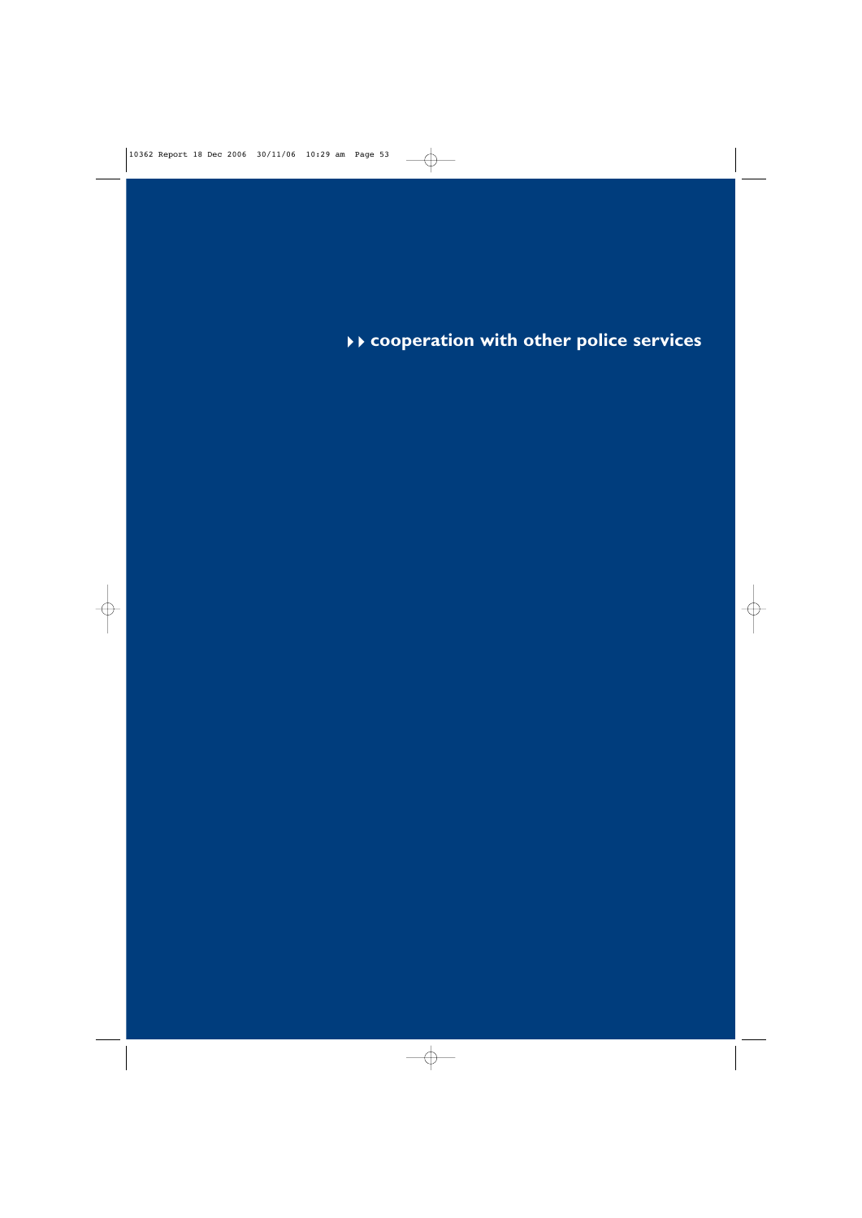--**cooperation with other police services**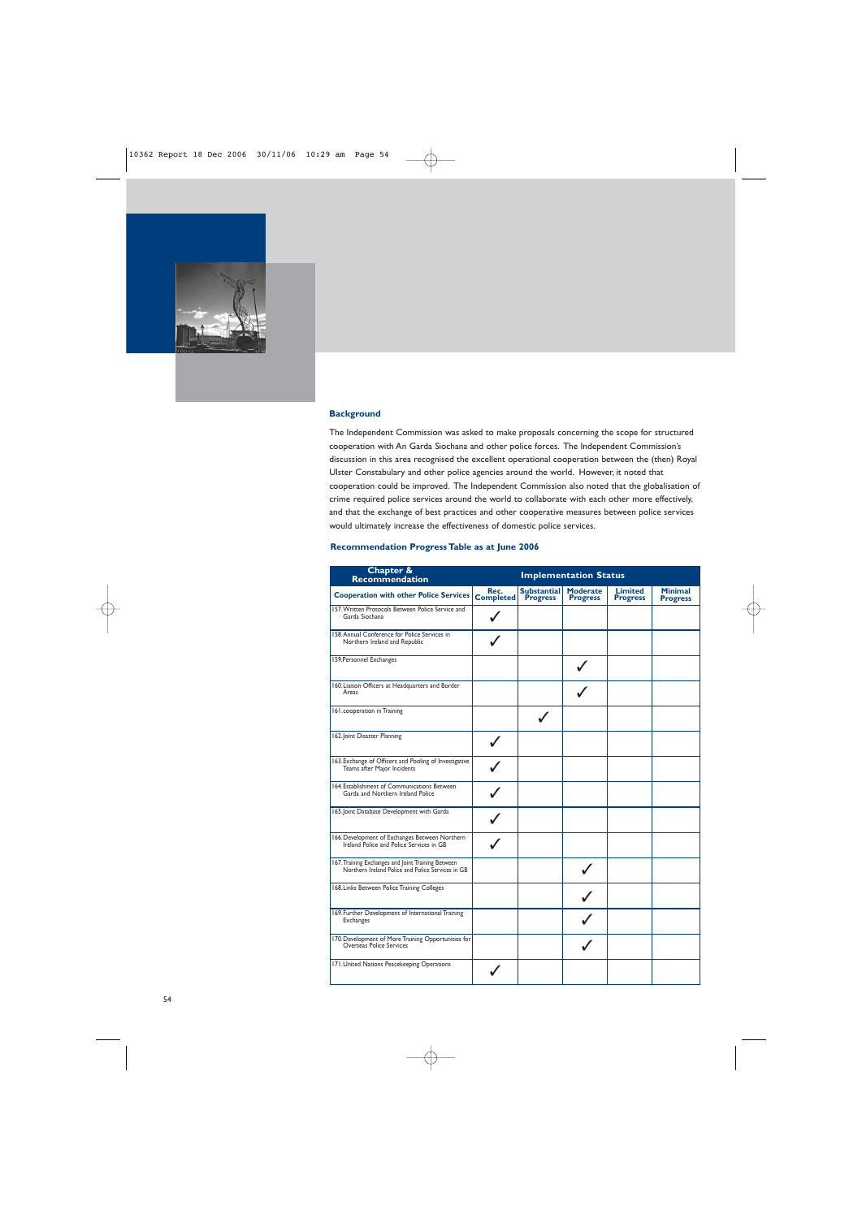

The Independent Commission was asked to make proposals concerning the scope for structured cooperation with An Garda Siochana and other police forces. The Independent Commission's discussion in this area recognised the excellent operational cooperation between the (then) Royal Ulster Constabulary and other police agencies around the world. However, it noted that cooperation could be improved. The Independent Commission also noted that the globalisation of crime required police services around the world to collaborate with each other more effectively, and that the exchange of best practices and other cooperative measures between police services would ultimately increase the effectiveness of domestic police services.

#### **Recommendation Progress Table as at June 2006**

| <b>Chapter &amp; Recommendation</b>                                                                     |                          |                                       | <b>Implementation Status</b>       |                                   |                                   |  |
|---------------------------------------------------------------------------------------------------------|--------------------------|---------------------------------------|------------------------------------|-----------------------------------|-----------------------------------|--|
| <b>Cooperation with other Police Services</b>                                                           | Rec.<br><b>Completed</b> | <b>Substantial</b><br><b>Progress</b> | <b>Moderate</b><br><b>Progress</b> | <b>Limited</b><br><b>Progress</b> | <b>Minimal</b><br><b>Progress</b> |  |
| 157. Written Protocols Between Police Service and<br>Garda Siochana                                     |                          |                                       |                                    |                                   |                                   |  |
| 158. Annual Conference for Police Services in<br>Northern Ireland and Republic                          |                          |                                       |                                    |                                   |                                   |  |
| 159. Personnel Exchanges                                                                                |                          |                                       |                                    |                                   |                                   |  |
| 160. Liaison Officers at Headquarters and Border<br>Areas                                               |                          |                                       |                                    |                                   |                                   |  |
| 161. cooperation in Training                                                                            |                          |                                       |                                    |                                   |                                   |  |
| 162. Joint Disaster Planning                                                                            |                          |                                       |                                    |                                   |                                   |  |
| 163. Exchange of Officers and Pooling of Investigative<br>Teams after Major Incidents                   |                          |                                       |                                    |                                   |                                   |  |
| 164. Establishment of Communications Between<br>Garda and Northern Ireland Police                       |                          |                                       |                                    |                                   |                                   |  |
| 165. Joint Database Development with Garda                                                              |                          |                                       |                                    |                                   |                                   |  |
| 166. Development of Exchanges Between Northern<br>Ireland Police and Police Services in GB              |                          |                                       |                                    |                                   |                                   |  |
| 167. Training Exchanges and Joint Training Between<br>Northern Ireland Police and Police Services in GB |                          |                                       |                                    |                                   |                                   |  |
| 168. Links Between Police Training Colleges                                                             |                          |                                       |                                    |                                   |                                   |  |
| 169. Further Development of International Training<br><b>Exchanges</b>                                  |                          |                                       |                                    |                                   |                                   |  |
| 170. Development of More Training Opportunities for<br>Overseas Police Services                         |                          |                                       |                                    |                                   |                                   |  |
| 171. United Nations Peacekeeping Operations                                                             |                          |                                       |                                    |                                   |                                   |  |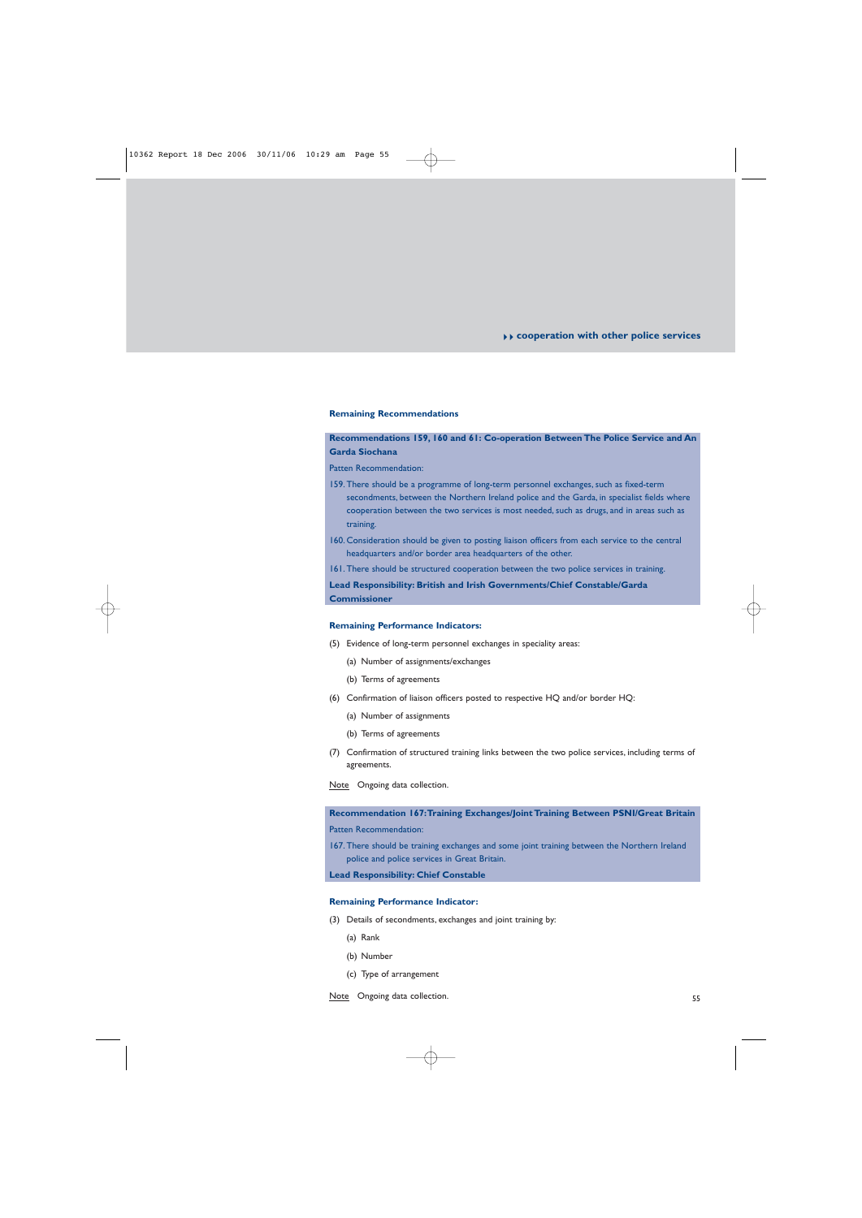# --**cooperation with other police services**

#### **Remaining Recommendations**

# **Recommendations 159, 160 and 61: Co-operation Between The Police Service and An Garda Siochana**

Patten Recommendation:

- 159. There should be a programme of long-term personnel exchanges, such as fixed-term secondments, between the Northern Ireland police and the Garda, in specialist fields where cooperation between the two services is most needed, such as drugs, and in areas such as training.
- 160. Consideration should be given to posting liaison officers from each service to the central headquarters and/or border area headquarters of the other.
- 161. There should be structured cooperation between the two police services in training.

**Lead Responsibility: British and Irish Governments/Chief Constable/Garda Commissioner**

#### **Remaining Performance Indicators:**

- (5) Evidence of long-term personnel exchanges in speciality areas:
	- (a) Number of assignments/exchanges
	- (b) Terms of agreements
- (6) Confirmation of liaison officers posted to respective HQ and/or border HQ:
	- (a) Number of assignments
	- (b) Terms of agreements
- (7) Confirmation of structured training links between the two police services, including terms of agreements.

Note Ongoing data collection.

**Recommendation 167:Training Exchanges/Joint Training Between PSNI/Great Britain**

Patten Recommendation:

167. There should be training exchanges and some joint training between the Northern Ireland police and police services in Great Britain.

**Lead Responsibility: Chief Constable**

## **Remaining Performance Indicator:**

- (3) Details of secondments, exchanges and joint training by:
	- (a) Rank
	- (b) Number
	- (c) Type of arrangement

Note Ongoing data collection.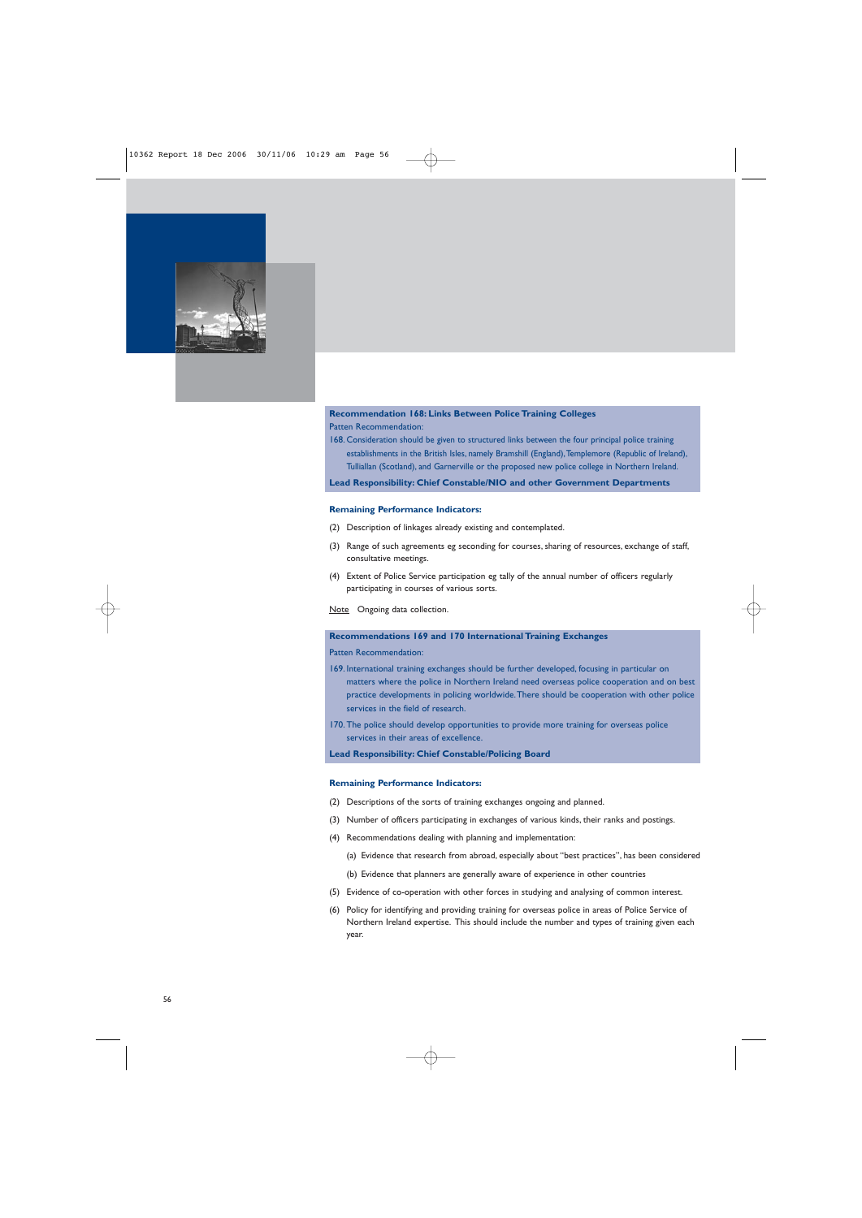

## **Recommendation 168: Links Between Police Training Colleges** Patten Recommendation:

168. Consideration should be given to structured links between the four principal police training establishments in the British Isles, namely Bramshill (England), Templemore (Republic of Ireland),

Tulliallan (Scotland), and Garnerville or the proposed new police college in Northern Ireland.

**Lead Responsibility: Chief Constable/NIO and other Government Departments**

#### **Remaining Performance Indicators:**

- (2) Description of linkages already existing and contemplated.
- (3) Range of such agreements eg seconding for courses, sharing of resources, exchange of staff, consultative meetings.
- (4) Extent of Police Service participation eg tally of the annual number of officers regularly participating in courses of various sorts.

Note Ongoing data collection.

## **Recommendations 169 and 170 International Training Exchanges**

Patten Recommendation:

- 169. International training exchanges should be further developed, focusing in particular on matters where the police in Northern Ireland need overseas police cooperation and on best practice developments in policing worldwide.There should be cooperation with other police services in the field of research.
- 170. The police should develop opportunities to provide more training for overseas police services in their areas of excellence.

**Lead Responsibility: Chief Constable/Policing Board**

- (2) Descriptions of the sorts of training exchanges ongoing and planned.
- (3) Number of officers participating in exchanges of various kinds, their ranks and postings.
- (4) Recommendations dealing with planning and implementation:
	- (a) Evidence that research from abroad, especially about "best practices", has been considered
	- (b) Evidence that planners are generally aware of experience in other countries
- (5) Evidence of co-operation with other forces in studying and analysing of common interest.
- (6) Policy for identifying and providing training for overseas police in areas of Police Service of Northern Ireland expertise. This should include the number and types of training given each year.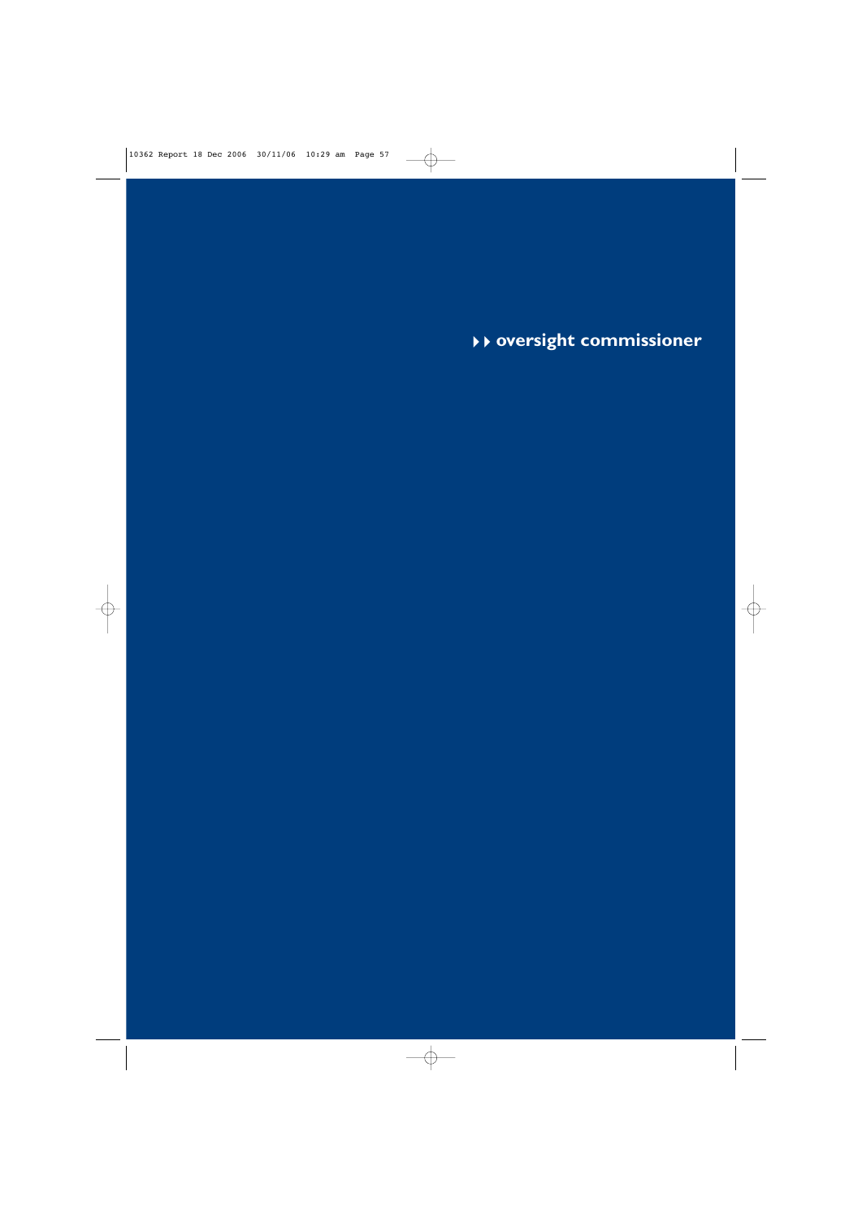--**oversight commissioner**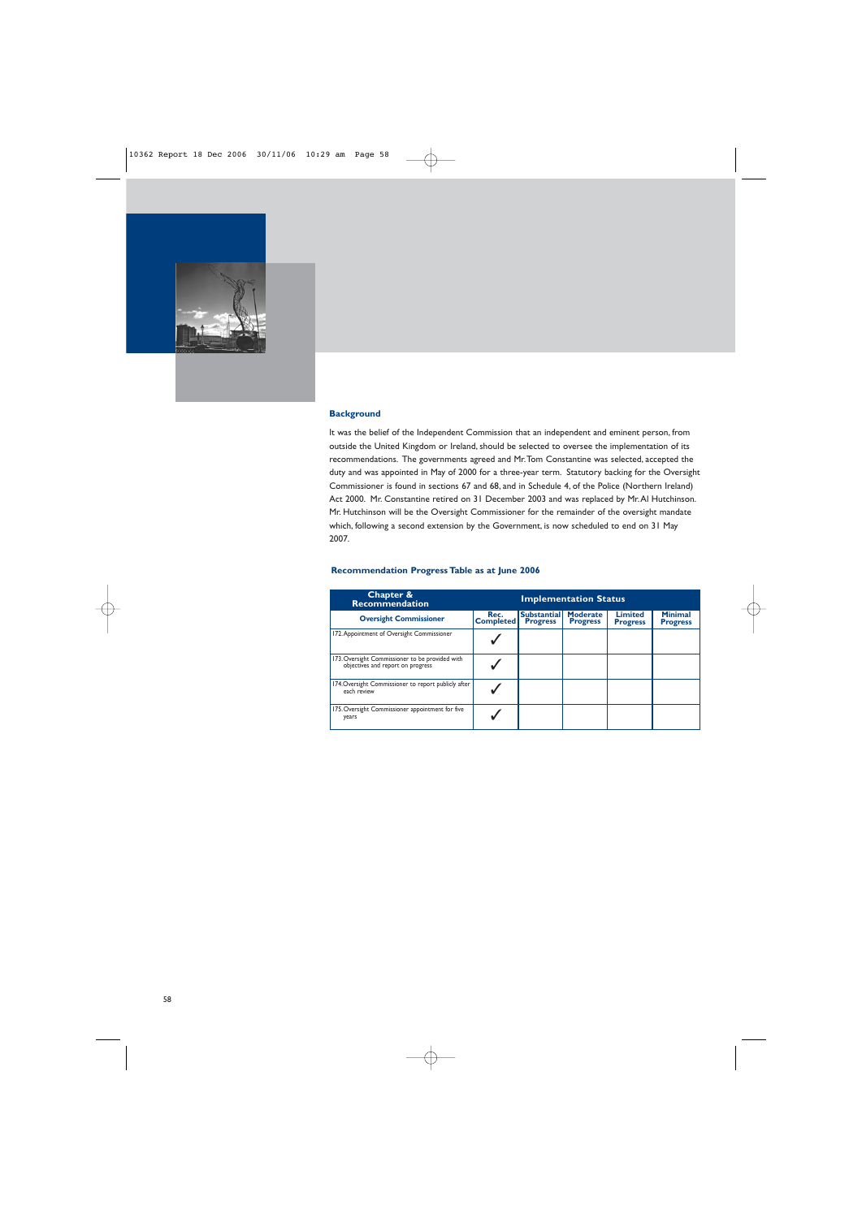

It was the belief of the Independent Commission that an independent and eminent person, from outside the United Kingdom or Ireland, should be selected to oversee the implementation of its recommendations. The governments agreed and Mr.Tom Constantine was selected, accepted the duty and was appointed in May of 2000 for a three-year term. Statutory backing for the Oversight Commissioner is found in sections 67 and 68, and in Schedule 4, of the Police (Northern Ireland) Act 2000. Mr. Constantine retired on 31 December 2003 and was replaced by Mr.Al Hutchinson. Mr. Hutchinson will be the Oversight Commissioner for the remainder of the oversight mandate which, following a second extension by the Government, is now scheduled to end on 31 May 2007.

# **Recommendation Progress Table as at June 2006**

| Chapter &<br><b>Recommendation</b>                                                   | <b>Implementation Status</b> |                                       |                                    |                                   |                                   |
|--------------------------------------------------------------------------------------|------------------------------|---------------------------------------|------------------------------------|-----------------------------------|-----------------------------------|
| <b>Oversight Commissioner</b>                                                        | Rec.<br><b>Completed</b>     | <b>Substantial</b><br><b>Progress</b> | <b>Moderate</b><br><b>Progress</b> | <b>Limited</b><br><b>Progress</b> | <b>Minimal</b><br><b>Progress</b> |
| 172. Appointment of Oversight Commissioner                                           |                              |                                       |                                    |                                   |                                   |
| 173. Oversight Commissioner to be provided with<br>objectives and report on progress |                              |                                       |                                    |                                   |                                   |
| 174. Oversight Commissioner to report publicly after<br>each review                  |                              |                                       |                                    |                                   |                                   |
| 175. Oversight Commissioner appointment for five<br>years                            |                              |                                       |                                    |                                   |                                   |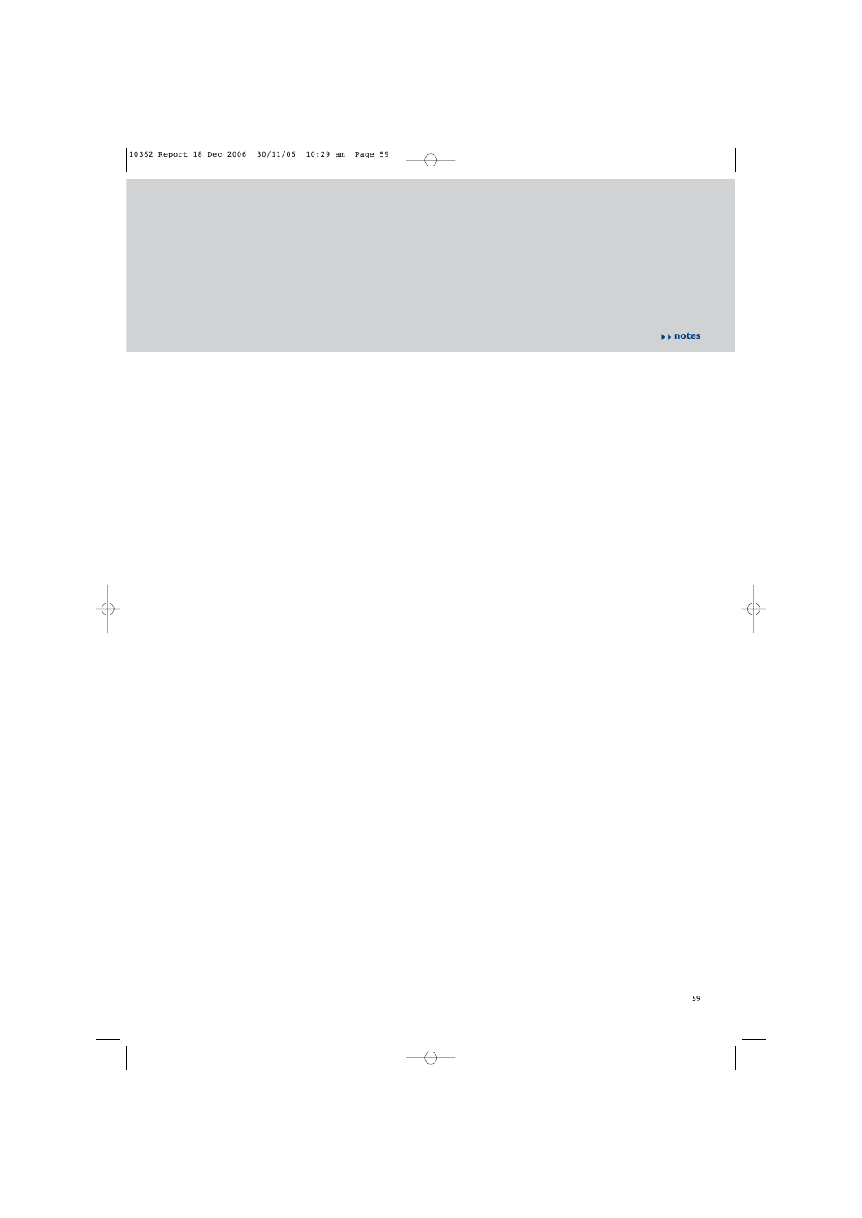--**notes**